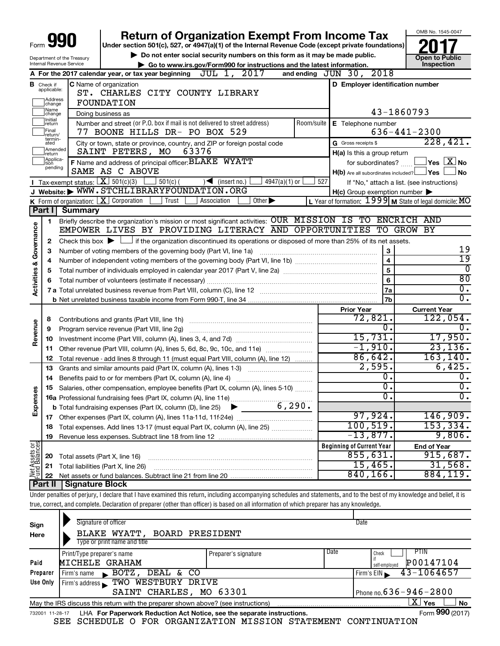|                                    |                                                                                                                                              |                                             | <b>Return of Organization Exempt From Income Tax</b>                                                                                                                       |     |                                                     | OMB No. 1545-0047                                         |
|------------------------------------|----------------------------------------------------------------------------------------------------------------------------------------------|---------------------------------------------|----------------------------------------------------------------------------------------------------------------------------------------------------------------------------|-----|-----------------------------------------------------|-----------------------------------------------------------|
| Form                               |                                                                                                                                              |                                             | Under section 501(c), 527, or 4947(a)(1) of the Internal Revenue Code (except private foundations)                                                                         |     |                                                     |                                                           |
| Department of the Treasury         |                                                                                                                                              |                                             | Do not enter social security numbers on this form as it may be made public.                                                                                                |     |                                                     | <b>Open to Public</b>                                     |
|                                    |                                                                                                                                              | Internal Revenue Service                    | Go to www.irs.gov/Form990 for instructions and the latest information.                                                                                                     |     |                                                     | Inspection                                                |
|                                    |                                                                                                                                              |                                             | A For the 2017 calendar year, or tax year beginning $JUL$ 1, $2017$                                                                                                        |     | and ending $JUN$ 30, $2018$                         |                                                           |
|                                    | <b>B</b> Check if<br>applicable:                                                                                                             |                                             | C Name of organization                                                                                                                                                     |     | D Employer identification number                    |                                                           |
|                                    |                                                                                                                                              |                                             | ST. CHARLES CITY COUNTY LIBRARY                                                                                                                                            |     |                                                     |                                                           |
|                                    | Address<br>FOUNDATION<br>change                                                                                                              |                                             |                                                                                                                                                                            |     |                                                     |                                                           |
|                                    | Name<br>Doing business as<br>change                                                                                                          |                                             |                                                                                                                                                                            |     |                                                     | 43-1860793                                                |
|                                    | Initial<br>Number and street (or P.O. box if mail is not delivered to street address)<br>Room/suite<br>E Telephone number<br>return<br>Final |                                             |                                                                                                                                                                            |     |                                                     |                                                           |
|                                    | return/<br>termin-                                                                                                                           |                                             | 77 BOONE HILLS DR- PO BOX 529                                                                                                                                              |     |                                                     | $636 - 441 - 2300$                                        |
|                                    | ated<br>Amended                                                                                                                              |                                             | City or town, state or province, country, and ZIP or foreign postal code                                                                                                   |     | G Gross receipts \$                                 | 228,421.                                                  |
|                                    | return<br>Applica-                                                                                                                           |                                             | SAINT PETERS, MO<br>63376                                                                                                                                                  |     | H(a) Is this a group return                         |                                                           |
|                                    | tion<br>pending                                                                                                                              |                                             | F Name and address of principal officer: BLAKE WYATT<br>SAME AS C ABOVE                                                                                                    |     | for subordinates?                                   | $\Box$ Yes $[\overline{\mathrm{X}}]$ No                   |
|                                    |                                                                                                                                              | <b>I</b> Tax-exempt status: $X \ 501(c)(3)$ | $501(c)$ (<br>$\sqrt{\frac{1}{1}}$ (insert no.)<br>$4947(a)(1)$ or                                                                                                         | 527 | $H(b)$ Are all subordinates included? $\Box$ Yes    | ⊥No                                                       |
|                                    |                                                                                                                                              |                                             | J Website: WWW.STCHLIBRARYFOUNDATION.ORG                                                                                                                                   |     |                                                     | If "No," attach a list. (see instructions)                |
|                                    |                                                                                                                                              |                                             | K Form of organization: $X$ Corporation<br>$\overline{Other}$<br>Trust<br>Association                                                                                      |     | $H(c)$ Group exemption number $\blacktriangleright$ | L Year of formation: $1999$ M State of legal domicile: MO |
|                                    | Part II                                                                                                                                      | <b>Summary</b>                              |                                                                                                                                                                            |     |                                                     |                                                           |
|                                    | 1                                                                                                                                            |                                             | Briefly describe the organization's mission or most significant activities: OUR MISSION IS TO ENCRICH AND                                                                  |     |                                                     |                                                           |
| <b>Activities &amp; Governance</b> |                                                                                                                                              |                                             | EMPOWER LIVES BY PROVIDING LITERACY AND OPPORTUNITIES                                                                                                                      |     |                                                     | TO GROW BY                                                |
|                                    | 2                                                                                                                                            |                                             | Check this box $\blacktriangleright$ $\Box$ if the organization discontinued its operations or disposed of more than 25% of its net assets.                                |     |                                                     |                                                           |
|                                    | З                                                                                                                                            |                                             | Number of voting members of the governing body (Part VI, line 1a)                                                                                                          |     | 3                                                   | 19                                                        |
|                                    | 4                                                                                                                                            |                                             |                                                                                                                                                                            |     | $\overline{\mathbf{4}}$                             | $\overline{19}$                                           |
|                                    | 5                                                                                                                                            |                                             |                                                                                                                                                                            |     | 5                                                   | $\overline{0}$                                            |
|                                    | 6                                                                                                                                            |                                             |                                                                                                                                                                            |     | 6                                                   | 80                                                        |
|                                    |                                                                                                                                              |                                             |                                                                                                                                                                            |     | 7a                                                  | $\overline{0}$ .                                          |
|                                    |                                                                                                                                              |                                             |                                                                                                                                                                            |     | 7 <sub>b</sub>                                      | $\overline{0}$ .                                          |
|                                    |                                                                                                                                              |                                             |                                                                                                                                                                            |     | <b>Prior Year</b>                                   | <b>Current Year</b>                                       |
|                                    | 8                                                                                                                                            |                                             |                                                                                                                                                                            |     | 72,821.                                             | 122,054.                                                  |
| Revenue                            | 9                                                                                                                                            |                                             | Program service revenue (Part VIII, line 2g)                                                                                                                               |     | о.                                                  | 0.                                                        |
|                                    | 10                                                                                                                                           |                                             |                                                                                                                                                                            |     | 15,731.                                             | 17,950.                                                   |
|                                    | 11                                                                                                                                           |                                             | Other revenue (Part VIII, column (A), lines 5, 6d, 8c, 9c, 10c, and 11e)                                                                                                   |     | $-1,910.$<br>86,642.                                | 23, 136.                                                  |
|                                    | 12                                                                                                                                           |                                             | Total revenue - add lines 8 through 11 (must equal Part VIII, column (A), line 12)                                                                                         |     | 2,595.                                              | 163, 140.<br>6,425.                                       |
|                                    | 13                                                                                                                                           |                                             | Grants and similar amounts paid (Part IX, column (A), lines 1-3)                                                                                                           |     | $\overline{0}$ .                                    | $\overline{0}$ .                                          |
|                                    | 14                                                                                                                                           |                                             | Benefits paid to or for members (Part IX, column (A), line 4)                                                                                                              |     | $\overline{\mathfrak{o}}$ .                         | $\overline{0}$ .                                          |
| w<br>Φ                             | 15                                                                                                                                           |                                             | Salaries, other compensation, employee benefits (Part IX, column (A), lines 5-10)                                                                                          |     | $\overline{0}$ .                                    | $\overline{0}$ .                                          |
| Expens                             |                                                                                                                                              |                                             |                                                                                                                                                                            |     |                                                     |                                                           |
|                                    |                                                                                                                                              |                                             |                                                                                                                                                                            |     | 97,924.                                             | 146,909.                                                  |
|                                    | 18                                                                                                                                           |                                             | Total expenses. Add lines 13-17 (must equal Part IX, column (A), line 25)                                                                                                  |     | 100, 519.                                           | 153,334.                                                  |
|                                    | 19                                                                                                                                           |                                             |                                                                                                                                                                            |     | $-13,877.$                                          | 9,806.                                                    |
|                                    |                                                                                                                                              |                                             |                                                                                                                                                                            |     | <b>Beginning of Current Year</b>                    | <b>End of Year</b>                                        |
| Net Assets or                      | 20                                                                                                                                           | Total assets (Part X, line 16)              |                                                                                                                                                                            |     | 855,631.                                            | 915,687.                                                  |
|                                    | 21                                                                                                                                           |                                             | Total liabilities (Part X, line 26)                                                                                                                                        |     | 15,465.                                             | 31,568.                                                   |
|                                    | 22                                                                                                                                           |                                             |                                                                                                                                                                            |     | 840, 166.                                           | 884,119.                                                  |
|                                    | Part II                                                                                                                                      | Signature Block                             |                                                                                                                                                                            |     |                                                     |                                                           |
|                                    |                                                                                                                                              |                                             | Under penalties of perjury, I declare that I have examined this return, including accompanying schedules and statements, and to the best of my knowledge and belief, it is |     |                                                     |                                                           |
|                                    |                                                                                                                                              |                                             | true, correct, and complete. Declaration of preparer (other than officer) is based on all information of which preparer has any knowledge.                                 |     |                                                     |                                                           |
|                                    |                                                                                                                                              |                                             |                                                                                                                                                                            |     |                                                     |                                                           |

| Sign<br>Here                                                                                                 | Signature of officer<br>BLAKE WYATT, BOARD PRESIDENT<br>Type or print name and title                              |                      | Date |                                                   |  |  |
|--------------------------------------------------------------------------------------------------------------|-------------------------------------------------------------------------------------------------------------------|----------------------|------|---------------------------------------------------|--|--|
| Paid                                                                                                         | Print/Type preparer's name<br>MICHELE GRAHAM                                                                      | Preparer's signature | Date | PTIN<br>Check<br>if<br>P00147104<br>self-emploved |  |  |
| Preparer                                                                                                     | DEAL & CO<br>BOTZ,<br>Firm's name<br>$\mathbf{r}$                                                                 |                      |      | $43 - 1064657$<br>Firm's $EIN$                    |  |  |
| Use Only                                                                                                     | WESTBURY DRIVE<br>TWO<br>Firm's address                                                                           |                      |      |                                                   |  |  |
|                                                                                                              | SAINT CHARLES, MO 63301                                                                                           |                      |      | Phone no. $636 - 946 - 2800$                      |  |  |
|                                                                                                              | $X \mid$<br><b>No</b><br>Yes<br>May the IRS discuss this return with the preparer shown above? (see instructions) |                      |      |                                                   |  |  |
| Form 990 (2017)<br>LHA For Paperwork Reduction Act Notice, see the separate instructions.<br>732001 11-28-17 |                                                                                                                   |                      |      |                                                   |  |  |

SEE SCHEDULE O FOR ORGANIZATION MISSION STATEMENT CONTINUATION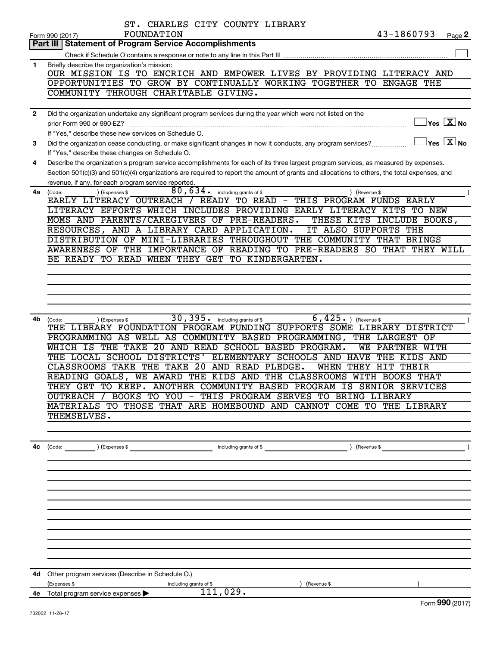|              | ST. CHARLES CITY COUNTY LIBRARY                                                                                                                                                                         |
|--------------|---------------------------------------------------------------------------------------------------------------------------------------------------------------------------------------------------------|
|              | 43-1860793<br>FOUNDATION<br>Page 2<br>Form 990 (2017)                                                                                                                                                   |
|              | <b>Statement of Program Service Accomplishments</b><br>Part III                                                                                                                                         |
|              |                                                                                                                                                                                                         |
| 1            | Briefly describe the organization's mission:<br>OUR MISSION IS TO ENCRICH AND EMPOWER LIVES BY PROVIDING LITERACY AND                                                                                   |
|              | OPPORTUNITIES TO GROW BY CONTINUALLY WORKING TOGETHER TO<br><b>ENGAGE THE</b>                                                                                                                           |
|              | COMMUNITY THROUGH CHARITABLE GIVING.                                                                                                                                                                    |
|              |                                                                                                                                                                                                         |
| $\mathbf{2}$ | Did the organization undertake any significant program services during the year which were not listed on the                                                                                            |
|              | $\sqrt{\mathsf{Yes}\ \mathbf{X}}$ No<br>prior Form 990 or 990-EZ?                                                                                                                                       |
|              | If "Yes," describe these new services on Schedule O.                                                                                                                                                    |
| 3            | $\overline{X}$ Yes $\overline{X}$ No<br>Did the organization cease conducting, or make significant changes in how it conducts, any program services?                                                    |
|              | If "Yes," describe these changes on Schedule O.                                                                                                                                                         |
| 4            | Describe the organization's program service accomplishments for each of its three largest program services, as measured by expenses.                                                                    |
|              | Section 501(c)(3) and 501(c)(4) organizations are required to report the amount of grants and allocations to others, the total expenses, and                                                            |
|              | revenue, if any, for each program service reported.                                                                                                                                                     |
| 4a           | 80,634.<br>(Expenses \$<br>including grants of \$<br>) (Revenue \$<br>(Code:<br>EARLY LITERACY OUTREACH /<br>READY TO READ -<br>THIS PROGRAM FUNDS EARLY                                                |
|              | LITERACY EFFORTS WHICH INCLUDES PROVIDING EARLY LITERACY KITS TO NEW                                                                                                                                    |
|              | MOMS AND PARENTS/CAREGIVERS OF PRE-READERS.<br>THESE KITS INCLUDE BOOKS,                                                                                                                                |
|              | RESOURCES, AND A LIBRARY CARD APPLICATION.<br>IT ALSO SUPPORTS<br>THE                                                                                                                                   |
|              | THROUGHOUT THE COMMUNITY THAT BRINGS<br>DISTRIBUTION OF MINI-LIBRARIES                                                                                                                                  |
|              | READING TO PRE-READERS SO THAT THEY WILL<br>AWARENESS OF THE<br><b>IMPORTANCE OF</b>                                                                                                                    |
|              | BE READY TO READ WHEN THEY GET TO KINDERGARTEN.                                                                                                                                                         |
|              |                                                                                                                                                                                                         |
|              |                                                                                                                                                                                                         |
|              |                                                                                                                                                                                                         |
|              |                                                                                                                                                                                                         |
|              |                                                                                                                                                                                                         |
| 4b           | 30, 395.<br>$\overline{6}$ , $\overline{425}$ , $\overline{)}$ (Revenue \$<br>including grants of \$<br>(Code:<br>(Expenses \$<br>THE LIBRARY FOUNDATION PROGRAM FUNDING SUPPORTS SOME LIBRARY DISTRICT |
|              | PROGRAMMING AS WELL AS COMMUNITY BASED<br>PROGRAMMING,<br>THE LARGEST OF                                                                                                                                |
|              | THE TAKE<br>20<br>AND READ SCHOOL BASED PROGRAM.<br>WHICH IS<br>WE<br>PARTNER<br>WITH                                                                                                                   |
|              | THE LOCAL SCHOOL DISTRICTS'<br>ELEMENTARY SCHOOLS AND HAVE<br>THE<br>KIDS AND                                                                                                                           |
|              | CLASSROOMS TAKE THE TAKE<br>20<br>AND READ<br>PLEDGE.<br>WHEN<br>THEY<br><b>HIT</b><br>THEIR                                                                                                            |
|              | WE AWARD THE KIDS AND THE CLASSROOMS WITH BOOKS THAT<br>READING GOALS,                                                                                                                                  |
|              | THEY GET TO KEEP. ANOTHER COMMUNITY BASED PROGRAM IS SENIOR SERVICES                                                                                                                                    |
|              | BOOKS TO YOU - THIS PROGRAM SERVES TO BRING LIBRARY<br>OUTREACH                                                                                                                                         |
|              | MATERIALS TO THOSE THAT ARE HOMEBOUND AND CANNOT COME TO THE LIBRARY                                                                                                                                    |
|              | THEMSELVES.                                                                                                                                                                                             |
|              |                                                                                                                                                                                                         |
|              |                                                                                                                                                                                                         |
| 4с           | $\angle$ (Revenue \$                                                                                                                                                                                    |
|              |                                                                                                                                                                                                         |
|              |                                                                                                                                                                                                         |
|              |                                                                                                                                                                                                         |
|              |                                                                                                                                                                                                         |
|              |                                                                                                                                                                                                         |
|              |                                                                                                                                                                                                         |
|              |                                                                                                                                                                                                         |
|              |                                                                                                                                                                                                         |
|              |                                                                                                                                                                                                         |
|              |                                                                                                                                                                                                         |
|              | 4d Other program services (Describe in Schedule O.)                                                                                                                                                     |
|              | (Expenses \$<br>(Revenue \$<br>including grants of \$                                                                                                                                                   |
|              | 111,029.<br>4e Total program service expenses $\blacktriangleright$                                                                                                                                     |
|              | $F_{\text{arm}}$ 000 (2017)                                                                                                                                                                             |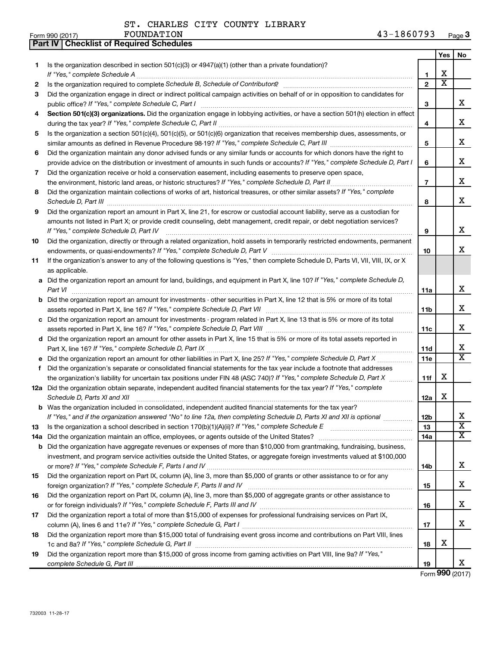**Part IV Checklist of Required Schedules**

ST. CHARLES CITY COUNTY LIBRARY

|    |                                                                                                                                                                                         |                 | Yes                     | No                           |
|----|-----------------------------------------------------------------------------------------------------------------------------------------------------------------------------------------|-----------------|-------------------------|------------------------------|
| 1  | Is the organization described in section $501(c)(3)$ or $4947(a)(1)$ (other than a private foundation)?                                                                                 |                 |                         |                              |
|    | If "Yes," complete Schedule A                                                                                                                                                           | 1               | x.                      |                              |
| 2  |                                                                                                                                                                                         | $\mathbf{2}$    | $\overline{\textbf{x}}$ |                              |
| 3  | Did the organization engage in direct or indirect political campaign activities on behalf of or in opposition to candidates for<br>public office? If "Yes," complete Schedule C, Part I | З               |                         | x.                           |
| 4  | Section 501(c)(3) organizations. Did the organization engage in lobbying activities, or have a section 501(h) election in effect                                                        |                 |                         |                              |
|    |                                                                                                                                                                                         | 4               |                         | x                            |
| 5  | Is the organization a section 501(c)(4), 501(c)(5), or 501(c)(6) organization that receives membership dues, assessments, or                                                            |                 |                         |                              |
|    |                                                                                                                                                                                         | 5               |                         | x                            |
| 6  | Did the organization maintain any donor advised funds or any similar funds or accounts for which donors have the right to                                                               |                 |                         |                              |
|    | provide advice on the distribution or investment of amounts in such funds or accounts? If "Yes," complete Schedule D, Part I                                                            | 6               |                         | x                            |
| 7  | Did the organization receive or hold a conservation easement, including easements to preserve open space,                                                                               |                 |                         |                              |
|    | the environment, historic land areas, or historic structures? If "Yes," complete Schedule D, Part II                                                                                    | $\overline{7}$  |                         | x                            |
| 8  | Did the organization maintain collections of works of art, historical treasures, or other similar assets? If "Yes," complete                                                            | 8               |                         | x                            |
| 9  | Did the organization report an amount in Part X, line 21, for escrow or custodial account liability, serve as a custodian for                                                           |                 |                         |                              |
|    | amounts not listed in Part X; or provide credit counseling, debt management, credit repair, or debt negotiation services?                                                               |                 |                         |                              |
|    | If "Yes," complete Schedule D, Part IV                                                                                                                                                  | 9               |                         | X                            |
| 10 | Did the organization, directly or through a related organization, hold assets in temporarily restricted endowments, permanent                                                           |                 |                         |                              |
|    |                                                                                                                                                                                         | 10              |                         | X.                           |
| 11 | If the organization's answer to any of the following questions is "Yes," then complete Schedule D, Parts VI, VII, VIII, IX, or X                                                        |                 |                         |                              |
|    | as applicable.                                                                                                                                                                          |                 |                         |                              |
|    | a Did the organization report an amount for land, buildings, and equipment in Part X, line 10? If "Yes," complete Schedule D,<br>Part VI                                                | 11a             |                         | x                            |
|    | <b>b</b> Did the organization report an amount for investments - other securities in Part X, line 12 that is 5% or more of its total                                                    |                 |                         |                              |
|    |                                                                                                                                                                                         | 11 <sub>b</sub> |                         | x                            |
|    | c Did the organization report an amount for investments - program related in Part X, line 13 that is 5% or more of its total                                                            |                 |                         |                              |
|    |                                                                                                                                                                                         | 11c             |                         | x                            |
|    | d Did the organization report an amount for other assets in Part X, line 15 that is 5% or more of its total assets reported in                                                          |                 |                         |                              |
|    |                                                                                                                                                                                         | 11d             |                         | x<br>$\overline{\texttt{x}}$ |
|    | e Did the organization report an amount for other liabilities in Part X, line 25? If "Yes," complete Schedule D, Part X                                                                 | 11e             |                         |                              |
| f. | Did the organization's separate or consolidated financial statements for the tax year include a footnote that addresses                                                                 |                 |                         |                              |
|    | the organization's liability for uncertain tax positions under FIN 48 (ASC 740)? If "Yes," complete Schedule D, Part X                                                                  | 11f             | x                       |                              |
|    | 12a Did the organization obtain separate, independent audited financial statements for the tax year? If "Yes," complete<br>Schedule D, Parts XI and XII                                 | 12a             | x                       |                              |
|    | <b>b</b> Was the organization included in consolidated, independent audited financial statements for the tax year?                                                                      |                 |                         |                              |
|    | If "Yes," and if the organization answered "No" to line 12a, then completing Schedule D, Parts XI and XII is optional www.                                                              | 12 <sub>b</sub> |                         | Χ                            |
| 13 | Is the organization a school described in section $170(b)(1)(A)(ii)?$ If "Yes," complete Schedule E                                                                                     | 13              |                         | $\overline{\text{x}}$        |
|    | 14a Did the organization maintain an office, employees, or agents outside of the United States?                                                                                         | 14a             |                         | x                            |
|    | <b>b</b> Did the organization have aggregate revenues or expenses of more than \$10,000 from grantmaking, fundraising, business,                                                        |                 |                         |                              |
|    | investment, and program service activities outside the United States, or aggregate foreign investments valued at \$100,000                                                              |                 |                         |                              |
|    |                                                                                                                                                                                         | 14b             |                         | x                            |
| 15 | Did the organization report on Part IX, column (A), line 3, more than \$5,000 of grants or other assistance to or for any                                                               |                 |                         |                              |
|    |                                                                                                                                                                                         | 15              |                         | x                            |
| 16 | Did the organization report on Part IX, column (A), line 3, more than \$5,000 of aggregate grants or other assistance to                                                                | 16              |                         | x                            |
| 17 | Did the organization report a total of more than \$15,000 of expenses for professional fundraising services on Part IX,                                                                 |                 |                         |                              |
|    |                                                                                                                                                                                         | 17              |                         | x                            |
| 18 | Did the organization report more than \$15,000 total of fundraising event gross income and contributions on Part VIII, lines                                                            |                 |                         |                              |
|    |                                                                                                                                                                                         | 18              | x                       |                              |
| 19 | Did the organization report more than \$15,000 of gross income from gaming activities on Part VIII, line 9a? If "Yes,"                                                                  |                 |                         |                              |
|    |                                                                                                                                                                                         | 19              |                         | x                            |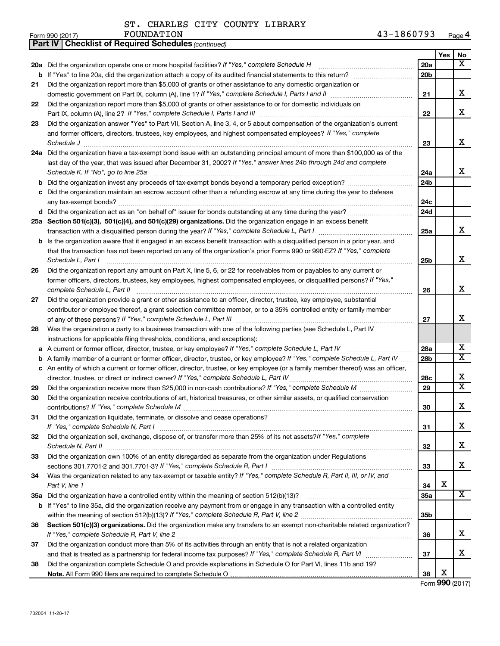| Form 990 (2017) | FOUNDATION | . | Page <sup>r</sup> |
|-----------------|------------|---|-------------------|
|-----------------|------------|---|-------------------|

|     | <b>Part IV   Checklist of Required Schedules (continued)</b>                                                                        |                 |     |                         |
|-----|-------------------------------------------------------------------------------------------------------------------------------------|-----------------|-----|-------------------------|
|     |                                                                                                                                     |                 | Yes | No                      |
|     | 20a Did the organization operate one or more hospital facilities? If "Yes," complete Schedule H                                     | 20a             |     | x                       |
|     |                                                                                                                                     | 20 <sub>b</sub> |     |                         |
| 21  | Did the organization report more than \$5,000 of grants or other assistance to any domestic organization or                         |                 |     |                         |
|     |                                                                                                                                     | 21              |     | x                       |
| 22  | Did the organization report more than \$5,000 of grants or other assistance to or for domestic individuals on                       |                 |     |                         |
|     |                                                                                                                                     | 22              |     | x                       |
| 23  | Did the organization answer "Yes" to Part VII, Section A, line 3, 4, or 5 about compensation of the organization's current          |                 |     |                         |
|     | and former officers, directors, trustees, key employees, and highest compensated employees? If "Yes," complete                      |                 |     |                         |
|     | Schedule J <b>Execute Schedule J Execute Schedule J</b>                                                                             | 23              |     | x                       |
|     | 24a Did the organization have a tax-exempt bond issue with an outstanding principal amount of more than \$100,000 as of the         |                 |     |                         |
|     | last day of the year, that was issued after December 31, 2002? If "Yes," answer lines 24b through 24d and complete                  |                 |     |                         |
|     | Schedule K. If "No", go to line 25a                                                                                                 | 24a             |     | x                       |
| b   |                                                                                                                                     | 24 <sub>b</sub> |     |                         |
|     | Did the organization maintain an escrow account other than a refunding escrow at any time during the year to defease                |                 |     |                         |
|     |                                                                                                                                     | 24c             |     |                         |
|     |                                                                                                                                     | 24d             |     |                         |
|     | 25a Section 501(c)(3), 501(c)(4), and 501(c)(29) organizations. Did the organization engage in an excess benefit                    |                 |     |                         |
|     | transaction with a disqualified person during the year? If "Yes," complete Schedule L, Part I manumumumum                           | 25a             |     | x                       |
|     | <b>b</b> Is the organization aware that it engaged in an excess benefit transaction with a disqualified person in a prior year, and |                 |     |                         |
|     | that the transaction has not been reported on any of the organization's prior Forms 990 or 990-EZ? If "Yes," complete               |                 |     |                         |
|     | Schedule L, Part I                                                                                                                  | 25b             |     | x                       |
| 26  | Did the organization report any amount on Part X, line 5, 6, or 22 for receivables from or payables to any current or               |                 |     |                         |
|     | former officers, directors, trustees, key employees, highest compensated employees, or disqualified persons? If "Yes,"              |                 |     |                         |
|     | complete Schedule L, Part II                                                                                                        | 26              |     | x                       |
| 27  | Did the organization provide a grant or other assistance to an officer, director, trustee, key employee, substantial                |                 |     |                         |
|     | contributor or employee thereof, a grant selection committee member, or to a 35% controlled entity or family member                 |                 |     |                         |
|     |                                                                                                                                     | 27              |     | х                       |
| 28  | Was the organization a party to a business transaction with one of the following parties (see Schedule L, Part IV                   |                 |     |                         |
|     | instructions for applicable filing thresholds, conditions, and exceptions):                                                         |                 |     |                         |
| а   | A current or former officer, director, trustee, or key employee? If "Yes," complete Schedule L, Part IV                             | 28a             |     | х                       |
| b   | A family member of a current or former officer, director, trustee, or key employee? If "Yes," complete Schedule L, Part IV          | 28 <sub>b</sub> |     | $\overline{\textbf{x}}$ |
|     | c An entity of which a current or former officer, director, trustee, or key employee (or a family member thereof) was an officer,   |                 |     |                         |
|     | director, trustee, or direct or indirect owner? If "Yes," complete Schedule L, Part IV                                              | 28c             |     | x                       |
| 29  |                                                                                                                                     | 29              |     | $\overline{\mathtt{x}}$ |
| 30  | Did the organization receive contributions of art, historical treasures, or other similar assets, or qualified conservation         |                 |     |                         |
|     |                                                                                                                                     | 30              |     | Χ                       |
| 31  | Did the organization liquidate, terminate, or dissolve and cease operations?                                                        |                 |     |                         |
|     |                                                                                                                                     | 31              |     | x                       |
| 32  | Did the organization sell, exchange, dispose of, or transfer more than 25% of its net assets? If "Yes," complete                    |                 |     |                         |
|     |                                                                                                                                     | 32              |     | x                       |
| 33  | Did the organization own 100% of an entity disregarded as separate from the organization under Regulations                          |                 |     |                         |
|     |                                                                                                                                     | 33              |     | x                       |
| 34  | Was the organization related to any tax-exempt or taxable entity? If "Yes," complete Schedule R, Part II, III, or IV, and           |                 |     |                         |
|     | Part V, line 1                                                                                                                      | 34              | х   |                         |
| 35а |                                                                                                                                     | 35a             |     | x                       |
| b   | If "Yes" to line 35a, did the organization receive any payment from or engage in any transaction with a controlled entity           |                 |     |                         |
|     |                                                                                                                                     | 35 <sub>b</sub> |     |                         |
| 36  | Section 501(c)(3) organizations. Did the organization make any transfers to an exempt non-charitable related organization?          |                 |     |                         |
|     |                                                                                                                                     | 36              |     | x                       |
| 37  | Did the organization conduct more than 5% of its activities through an entity that is not a related organization                    |                 |     |                         |
|     |                                                                                                                                     | 37              |     | х                       |
| 38  | Did the organization complete Schedule O and provide explanations in Schedule O for Part VI, lines 11b and 19?                      |                 |     |                         |
|     |                                                                                                                                     | 38              | х   |                         |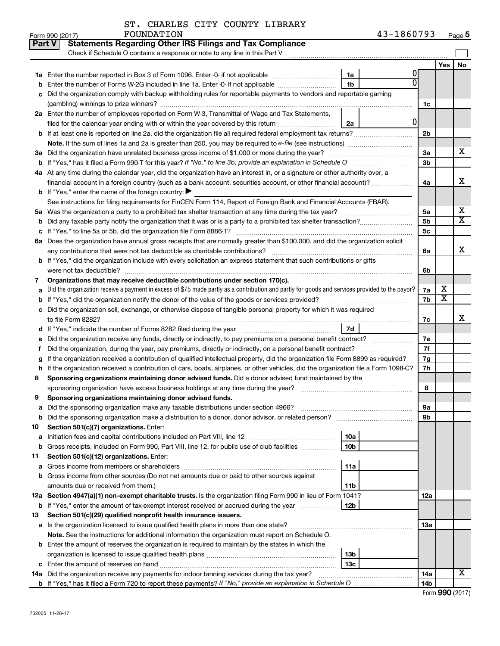| ST. CHARLES CITY COUNTY LIBRARY |  |  |
|---------------------------------|--|--|
|                                 |  |  |

|    | <b>Statements Regarding Other IRS Filings and Tax Compliance</b><br><b>Part V</b><br>Check if Schedule O contains a response or note to any line in this Part V |                 |                 |                         |                         |  |
|----|-----------------------------------------------------------------------------------------------------------------------------------------------------------------|-----------------|-----------------|-------------------------|-------------------------|--|
|    |                                                                                                                                                                 |                 |                 | Yes                     | No                      |  |
| 1a | Enter the number reported in Box 3 of Form 1096. Enter -0- if not applicable                                                                                    | 1a              |                 |                         |                         |  |
| b  | Enter the number of Forms W-2G included in line 1a. Enter -0- if not applicable                                                                                 | 1 <sub>b</sub>  |                 |                         |                         |  |
|    | Did the organization comply with backup withholding rules for reportable payments to vendors and reportable gaming                                              |                 |                 |                         |                         |  |
|    |                                                                                                                                                                 |                 | 1c              |                         |                         |  |
|    | 2a Enter the number of employees reported on Form W-3, Transmittal of Wage and Tax Statements,                                                                  |                 |                 |                         |                         |  |
|    | filed for the calendar year ending with or within the year covered by this return <i>manumumumum</i>                                                            | 0<br>2a         |                 |                         |                         |  |
|    |                                                                                                                                                                 |                 | 2 <sub>b</sub>  |                         |                         |  |
|    | Note. If the sum of lines 1a and 2a is greater than 250, you may be required to e-file (see instructions) <i>managereroum</i>                                   |                 |                 |                         |                         |  |
|    | 3a Did the organization have unrelated business gross income of \$1,000 or more during the year?                                                                |                 | За              |                         | х                       |  |
|    |                                                                                                                                                                 |                 | 3 <sub>b</sub>  |                         |                         |  |
|    | 4a At any time during the calendar year, did the organization have an interest in, or a signature or other authority over, a                                    |                 |                 |                         |                         |  |
|    | financial account in a foreign country (such as a bank account, securities account, or other financial account)?                                                |                 | 4a              |                         | x                       |  |
|    | <b>b</b> If "Yes," enter the name of the foreign country: $\blacktriangleright$                                                                                 |                 |                 |                         |                         |  |
|    | See instructions for filing requirements for FinCEN Form 114, Report of Foreign Bank and Financial Accounts (FBAR).                                             |                 |                 |                         |                         |  |
|    |                                                                                                                                                                 |                 | 5a              |                         | х                       |  |
| b  |                                                                                                                                                                 |                 | 5 <sub>b</sub>  |                         | $\overline{\mathtt{x}}$ |  |
| с  |                                                                                                                                                                 |                 | 5c              |                         |                         |  |
|    | 6a Does the organization have annual gross receipts that are normally greater than \$100,000, and did the organization solicit                                  |                 |                 |                         |                         |  |
|    |                                                                                                                                                                 |                 | 6a              |                         | X                       |  |
|    | <b>b</b> If "Yes," did the organization include with every solicitation an express statement that such contributions or gifts                                   |                 |                 |                         |                         |  |
|    |                                                                                                                                                                 |                 | 6b              |                         |                         |  |
| 7  | Organizations that may receive deductible contributions under section 170(c).                                                                                   |                 |                 |                         |                         |  |
| а  | Did the organization receive a payment in excess of \$75 made partly as a contribution and partly for goods and services provided to the payor?                 |                 | 7a              | х                       |                         |  |
|    |                                                                                                                                                                 |                 | 7b              | $\overline{\textbf{x}}$ |                         |  |
|    | c Did the organization sell, exchange, or otherwise dispose of tangible personal property for which it was required                                             |                 |                 |                         |                         |  |
|    |                                                                                                                                                                 |                 | 7c              |                         | x                       |  |
|    |                                                                                                                                                                 | 7d              |                 |                         |                         |  |
| е  |                                                                                                                                                                 |                 | 7е              |                         |                         |  |
|    |                                                                                                                                                                 |                 | 7f              |                         |                         |  |
|    | If the organization received a contribution of qualified intellectual property, did the organization file Form 8899 as required?                                |                 | 7g              |                         |                         |  |
| h  | If the organization received a contribution of cars, boats, airplanes, or other vehicles, did the organization file a Form 1098-C?                              |                 | 7h              |                         |                         |  |
| 8  | Sponsoring organizations maintaining donor advised funds. Did a donor advised fund maintained by the                                                            |                 |                 |                         |                         |  |
|    | Sponsoring organizations maintaining donor advised funds.                                                                                                       |                 | 8               |                         |                         |  |
| 9  |                                                                                                                                                                 |                 |                 |                         |                         |  |
|    |                                                                                                                                                                 |                 | эа<br>9b        |                         |                         |  |
| 10 | Section 501(c)(7) organizations. Enter:                                                                                                                         |                 |                 |                         |                         |  |
| а  |                                                                                                                                                                 | 10a             |                 |                         |                         |  |
| b  | Gross receipts, included on Form 990, Part VIII, line 12, for public use of club facilities                                                                     | 10b             |                 |                         |                         |  |
| 11 | Section 501(c)(12) organizations. Enter:                                                                                                                        |                 |                 |                         |                         |  |
| а  |                                                                                                                                                                 | 11a             |                 |                         |                         |  |
| b  | Gross income from other sources (Do not net amounts due or paid to other sources against                                                                        |                 |                 |                         |                         |  |
|    | amounts due or received from them.)                                                                                                                             | 11b             |                 |                         |                         |  |
|    | 12a Section 4947(a)(1) non-exempt charitable trusts. Is the organization filing Form 990 in lieu of Form 1041?                                                  |                 | 12a             |                         |                         |  |
|    | <b>b</b> If "Yes," enter the amount of tax-exempt interest received or accrued during the year                                                                  | 12b             |                 |                         |                         |  |
| 13 | Section 501(c)(29) qualified nonprofit health insurance issuers.                                                                                                |                 |                 |                         |                         |  |
|    | a Is the organization licensed to issue qualified health plans in more than one state?                                                                          |                 | 13a             |                         |                         |  |
|    | Note. See the instructions for additional information the organization must report on Schedule O.                                                               |                 |                 |                         |                         |  |
|    | <b>b</b> Enter the amount of reserves the organization is required to maintain by the states in which the                                                       |                 |                 |                         |                         |  |
|    |                                                                                                                                                                 | 13 <sub>b</sub> |                 |                         |                         |  |
|    |                                                                                                                                                                 | 13 <sub>c</sub> |                 |                         |                         |  |
|    | 14a Did the organization receive any payments for indoor tanning services during the tax year?                                                                  |                 | 14a             |                         | x                       |  |
|    |                                                                                                                                                                 |                 | 14 <sub>b</sub> |                         |                         |  |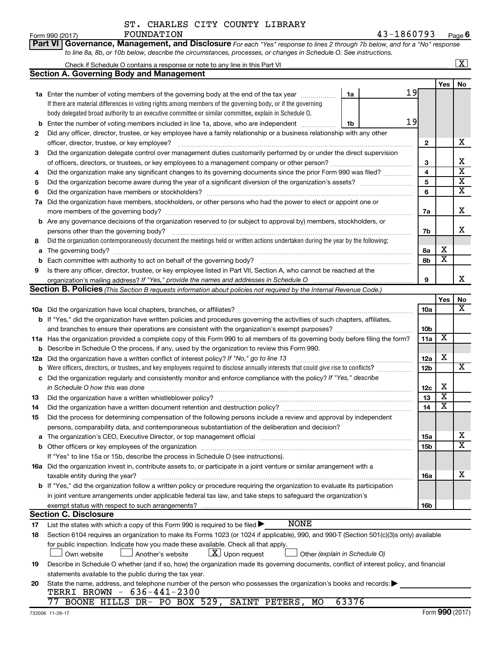| ST. CHARLES CITY COUNTY LIBRARY |  |  |
|---------------------------------|--|--|
|                                 |  |  |

|     | Part VI Governance, Management, and Disclosure For each "Yes" response to lines 2 through 7b below, and for a "No" response                                            |    |              |                         |                         |
|-----|------------------------------------------------------------------------------------------------------------------------------------------------------------------------|----|--------------|-------------------------|-------------------------|
|     | to line 8a, 8b, or 10b below, describe the circumstances, processes, or changes in Schedule O. See instructions.                                                       |    |              |                         |                         |
|     |                                                                                                                                                                        |    |              |                         | $\overline{\mathbf{X}}$ |
|     | <b>Section A. Governing Body and Management</b>                                                                                                                        |    |              |                         |                         |
|     |                                                                                                                                                                        | 19 |              | Yes                     | No                      |
|     | 1a Enter the number of voting members of the governing body at the end of the tax year<br>1a                                                                           |    |              |                         |                         |
|     | If there are material differences in voting rights among members of the governing body, or if the governing                                                            |    |              |                         |                         |
|     | body delegated broad authority to an executive committee or similar committee, explain in Schedule O.                                                                  | 19 |              |                         |                         |
| b   | Enter the number of voting members included in line 1a, above, who are independent<br>1b                                                                               |    |              |                         |                         |
| 2   | Did any officer, director, trustee, or key employee have a family relationship or a business relationship with any other                                               |    |              |                         | х                       |
|     | officer, director, trustee, or key employee?                                                                                                                           |    | $\mathbf{2}$ |                         |                         |
| 3   | Did the organization delegate control over management duties customarily performed by or under the direct supervision                                                  |    |              |                         | х                       |
|     |                                                                                                                                                                        |    | 3<br>4       |                         | $\overline{\textbf{x}}$ |
| 4   | Did the organization make any significant changes to its governing documents since the prior Form 990 was filed?                                                       |    | 5            |                         | $\overline{\textbf{X}}$ |
| 5   |                                                                                                                                                                        |    | 6            |                         | $\overline{\mathbf{x}}$ |
| 6   |                                                                                                                                                                        |    |              |                         |                         |
| 7a  | Did the organization have members, stockholders, or other persons who had the power to elect or appoint one or                                                         |    |              |                         | X                       |
|     | b Are any governance decisions of the organization reserved to (or subject to approval by) members, stockholders, or                                                   |    | 7a           |                         |                         |
|     | persons other than the governing body?                                                                                                                                 |    | 7b           |                         | X                       |
| 8   | Did the organization contemporaneously document the meetings held or written actions undertaken during the year by the following:                                      |    |              |                         |                         |
| a   |                                                                                                                                                                        |    | 8а           | х                       |                         |
| b   |                                                                                                                                                                        |    | 8b           | $\overline{\mathbf{x}}$ |                         |
| 9   | Is there any officer, director, trustee, or key employee listed in Part VII, Section A, who cannot be reached at the                                                   |    |              |                         |                         |
|     |                                                                                                                                                                        |    | 9            |                         | X                       |
|     | Section B. Policies (This Section B requests information about policies not required by the Internal Revenue Code.)                                                    |    |              |                         |                         |
|     |                                                                                                                                                                        |    |              | Yes                     | No                      |
|     |                                                                                                                                                                        |    | 10a          |                         | x                       |
|     | <b>b</b> If "Yes," did the organization have written policies and procedures governing the activities of such chapters, affiliates,                                    |    |              |                         |                         |
|     | and branches to ensure their operations are consistent with the organization's exempt purposes? www.www.www.www.                                                       |    | 10b          |                         |                         |
|     | 11a Has the organization provided a complete copy of this Form 990 to all members of its governing body before filing the form?                                        |    | 11a          | X                       |                         |
| b   | Describe in Schedule O the process, if any, used by the organization to review this Form 990.                                                                          |    |              |                         |                         |
| 12a | Did the organization have a written conflict of interest policy? If "No," go to line 13                                                                                |    | 12a          | х                       |                         |
| b   | Were officers, directors, or trustees, and key employees required to disclose annually interests that could give rise to conflicts?                                    |    | 12b          |                         | х                       |
| с   | Did the organization regularly and consistently monitor and enforce compliance with the policy? If "Yes," describe                                                     |    |              |                         |                         |
|     |                                                                                                                                                                        |    | 12c          | х                       |                         |
| 13  |                                                                                                                                                                        |    | 13           | $\overline{\mathbf{X}}$ |                         |
| 14  | Did the organization have a written document retention and destruction policy? [111] manufaction manufaction have a written document retention and destruction policy? |    | 14           | $\overline{\mathtt{x}}$ |                         |
| 15  | Did the process for determining compensation of the following persons include a review and approval by independent                                                     |    |              |                         |                         |
|     | persons, comparability data, and contemporaneous substantiation of the deliberation and decision?                                                                      |    |              |                         |                         |
| а   |                                                                                                                                                                        |    | 15a          |                         | х                       |
| b   |                                                                                                                                                                        |    | 15b          |                         | X                       |
|     | If "Yes" to line 15a or 15b, describe the process in Schedule O (see instructions).                                                                                    |    |              |                         |                         |
|     | 16a Did the organization invest in, contribute assets to, or participate in a joint venture or similar arrangement with a                                              |    |              |                         |                         |
|     | taxable entity during the year?                                                                                                                                        |    | 16a          |                         | x                       |
|     | b If "Yes," did the organization follow a written policy or procedure requiring the organization to evaluate its participation                                         |    |              |                         |                         |
|     | in joint venture arrangements under applicable federal tax law, and take steps to safeguard the organization's                                                         |    |              |                         |                         |
|     | exempt status with respect to such arrangements?<br><b>Section C. Disclosure</b>                                                                                       |    | 16b          |                         |                         |
| 17  | <b>NONE</b><br>List the states with which a copy of this Form 990 is required to be filed >                                                                            |    |              |                         |                         |
| 18  | Section 6104 requires an organization to make its Forms 1023 (or 1024 if applicable), 990, and 990-T (Section 501(c)(3)s only) available                               |    |              |                         |                         |
|     | for public inspection. Indicate how you made these available. Check all that apply.                                                                                    |    |              |                         |                         |
|     | $\lfloor \underline{X} \rfloor$ Upon request<br>Another's website<br>Other (explain in Schedule O)<br>Own website                                                      |    |              |                         |                         |
| 19  | Describe in Schedule O whether (and if so, how) the organization made its governing documents, conflict of interest policy, and financial                              |    |              |                         |                         |
|     | statements available to the public during the tax year.                                                                                                                |    |              |                         |                         |
| 20  | State the name, address, and telephone number of the person who possesses the organization's books and records:                                                        |    |              |                         |                         |
|     | TERRI BROWN - 636-441-2300                                                                                                                                             |    |              |                         |                         |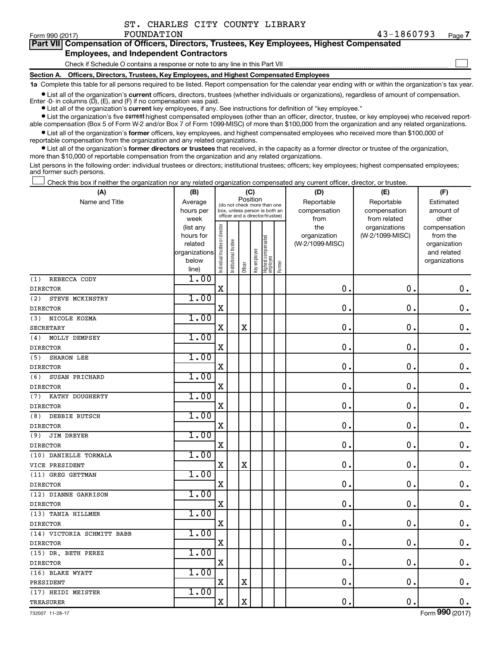| ST. CHARLES CITY COUNTY LIBRARY |  |  |
|---------------------------------|--|--|
|                                 |  |  |

 $Form 990 (2017)$   $FOUNDATION$ 

 $\Box$ 

| Part VII Compensation of Officers, Directors, Trustees, Key Employees, Highest Compensated |  |
|--------------------------------------------------------------------------------------------|--|
| <b>Employees, and Independent Contractors</b>                                              |  |

Check if Schedule O contains a response or note to any line in this Part VII

**Section A. Officers, Directors, Trustees, Key Employees, and Highest Compensated Employees**

**1a**  Complete this table for all persons required to be listed. Report compensation for the calendar year ending with or within the organization's tax year.

**•** List all of the organization's current officers, directors, trustees (whether individuals or organizations), regardless of amount of compensation. Enter  $-0$ - in columns  $(D)$ ,  $(E)$ , and  $(F)$  if no compensation was paid.

**•** List all of the organization's **current** key employees, if any. See instructions for definition of "key employee."

**•** List the organization's five current highest compensated employees (other than an officer, director, trustee, or key employee) who received reportable compensation (Box 5 of Form W-2 and/or Box 7 of Form 1099-MISC) of more than \$100,000 from the organization and any related organizations.

**•** List all of the organization's former officers, key employees, and highest compensated employees who received more than \$100,000 of reportable compensation from the organization and any related organizations.

**•** List all of the organization's former directors or trustees that received, in the capacity as a former director or trustee of the organization, more than \$10,000 of reportable compensation from the organization and any related organizations.

List persons in the following order: individual trustees or directors; institutional trustees; officers; key employees; highest compensated employees; and former such persons.

Check this box if neither the organization nor any related organization compensated any current officer, director, or trustee.  $\Box$ 

| Position<br>Name and Title<br>Reportable<br>Reportable<br>Average<br>Estimated<br>(do not check more than one<br>compensation<br>hours per<br>box, unless person is both an<br>compensation<br>amount of<br>officer and a director/trustee)<br>week<br>from related<br>other<br>from<br>Individual trustee or director<br>the<br>organizations<br>(list any<br>compensation<br>(W-2/1099-MISC)<br>hours for<br>organization<br>from the<br>Highest compensated<br>employee<br>Institutional trustee<br>related<br>(W-2/1099-MISC)<br>organization<br>Key employee<br>organizations<br>and related<br>below<br>organizations<br>Former<br>Officer<br>line)<br>1.00<br>REBECCA CODY<br>(1)<br>$\mathbf X$<br>0<br>$\mathbf 0$ .<br>$\mathbf 0$ .<br><b>DIRECTOR</b><br>1.00<br>(2)<br>STEVE MCKINSTRY<br>$\mathbf 0$<br>X<br>0<br>$\mathbf 0$ .<br><b>DIRECTOR</b><br>1.00<br>NICOLE KOZMA<br>(3)<br>$\mathbf 0$<br>$\mathbf 0$<br>$\mathbf 0$ .<br>$\mathbf X$<br>$\mathbf X$<br><b>SECRETARY</b><br>1.00<br>MOLLY DEMPSEY<br>(4)<br>$\mathbf X$<br>0<br>$\mathbf 0$ .<br>$\mathbf 0$ .<br><b>DIRECTOR</b><br>1.00<br><b>SHARON LEE</b><br>(5)<br>0<br>0.<br>$0$ .<br>X<br><b>DIRECTOR</b><br>1.00<br>(6)<br>SUSAN PRICHARD<br>$\mathbf X$<br>$\mathbf 0$<br>0.<br>$0$ .<br><b>DIRECTOR</b><br>1.00<br>KATHY DOUGHERTY<br>(7)<br>$\mathbf X$<br>$\mathbf 0$<br>0.<br>$\mathbf 0$ .<br><b>DIRECTOR</b><br>1.00<br>(8)<br>DEBBIE RUTSCH<br>$\mathbf X$<br>$0$ .<br>$\mathbf 0$<br>0.<br><b>DIRECTOR</b><br>1.00<br>JIM DREYER<br>(9)<br>$\mathbf X$<br>$\mathbf 0$<br>$\mathbf 0$ .<br>$\boldsymbol{0}$ .<br><b>DIRECTOR</b><br>1.00<br>(10) DANIELLE TORMALA<br>$\mathbf X$<br>$\mathbf X$<br>$\mathbf 0$<br>0.<br>$\mathbf 0$ .<br>VICE PRESIDENT<br>1.00<br>(11) GREG GETTMAN<br>$\mathbf 0$ .<br>$\mathbf X$<br>$\mathbf 0$<br>$\mathbf 0$ .<br><b>DIRECTOR</b><br>1.00<br>(12) DIANNE GARRISON<br>$\rm X$<br>$\mathbf 0$<br>$\mathbf 0$ .<br>$\mathbf 0$ .<br><b>DIRECTOR</b><br>1.00<br>(13) TANIA HILLMER<br>$\mathbf 0$ .<br>X<br>$\mathbf 0$<br>$\boldsymbol{0}$ .<br><b>DIRECTOR</b><br>1.00<br>(14) VICTORIA SCHMITT BABB<br>$\mathbf X$<br>0.<br>$\mathbf 0$<br>$\mathbf 0$ .<br><b>DIRECTOR</b><br>1.00<br>(15) DR. BETH PEREZ<br>$\mathbf X$<br>0.<br>$\mathbf 0$<br>$\boldsymbol{0}$ .<br><b>DIRECTOR</b><br>1.00<br>(16) BLAKE WYATT<br>$\mathbf X$<br>$\mathbf X$<br>$\pmb{0}$<br>$\mathbf 0$ .<br>$\mathbf 0$ .<br>PRESIDENT<br>1.00<br>(17) HEIDI MEISTER<br>$\mathbf X$<br>$\mathbf X$<br>$\mathbf 0$<br>$\mathbf 0$ .<br>$\mathbf 0$ .<br><b>TREASURER</b> | (A) | (B) |  | (C) |  | (D) | (E) | (F) |
|------------------------------------------------------------------------------------------------------------------------------------------------------------------------------------------------------------------------------------------------------------------------------------------------------------------------------------------------------------------------------------------------------------------------------------------------------------------------------------------------------------------------------------------------------------------------------------------------------------------------------------------------------------------------------------------------------------------------------------------------------------------------------------------------------------------------------------------------------------------------------------------------------------------------------------------------------------------------------------------------------------------------------------------------------------------------------------------------------------------------------------------------------------------------------------------------------------------------------------------------------------------------------------------------------------------------------------------------------------------------------------------------------------------------------------------------------------------------------------------------------------------------------------------------------------------------------------------------------------------------------------------------------------------------------------------------------------------------------------------------------------------------------------------------------------------------------------------------------------------------------------------------------------------------------------------------------------------------------------------------------------------------------------------------------------------------------------------------------------------------------------------------------------------------------------------------------------------------------------------------------------------------------------------------------------------------------------------------------------------------------------------------------------------------------------------------------------------------------------------------------------------------------------------------------------------------------|-----|-----|--|-----|--|-----|-----|-----|
|                                                                                                                                                                                                                                                                                                                                                                                                                                                                                                                                                                                                                                                                                                                                                                                                                                                                                                                                                                                                                                                                                                                                                                                                                                                                                                                                                                                                                                                                                                                                                                                                                                                                                                                                                                                                                                                                                                                                                                                                                                                                                                                                                                                                                                                                                                                                                                                                                                                                                                                                                                              |     |     |  |     |  |     |     |     |
|                                                                                                                                                                                                                                                                                                                                                                                                                                                                                                                                                                                                                                                                                                                                                                                                                                                                                                                                                                                                                                                                                                                                                                                                                                                                                                                                                                                                                                                                                                                                                                                                                                                                                                                                                                                                                                                                                                                                                                                                                                                                                                                                                                                                                                                                                                                                                                                                                                                                                                                                                                              |     |     |  |     |  |     |     |     |
|                                                                                                                                                                                                                                                                                                                                                                                                                                                                                                                                                                                                                                                                                                                                                                                                                                                                                                                                                                                                                                                                                                                                                                                                                                                                                                                                                                                                                                                                                                                                                                                                                                                                                                                                                                                                                                                                                                                                                                                                                                                                                                                                                                                                                                                                                                                                                                                                                                                                                                                                                                              |     |     |  |     |  |     |     |     |
|                                                                                                                                                                                                                                                                                                                                                                                                                                                                                                                                                                                                                                                                                                                                                                                                                                                                                                                                                                                                                                                                                                                                                                                                                                                                                                                                                                                                                                                                                                                                                                                                                                                                                                                                                                                                                                                                                                                                                                                                                                                                                                                                                                                                                                                                                                                                                                                                                                                                                                                                                                              |     |     |  |     |  |     |     |     |
|                                                                                                                                                                                                                                                                                                                                                                                                                                                                                                                                                                                                                                                                                                                                                                                                                                                                                                                                                                                                                                                                                                                                                                                                                                                                                                                                                                                                                                                                                                                                                                                                                                                                                                                                                                                                                                                                                                                                                                                                                                                                                                                                                                                                                                                                                                                                                                                                                                                                                                                                                                              |     |     |  |     |  |     |     |     |
|                                                                                                                                                                                                                                                                                                                                                                                                                                                                                                                                                                                                                                                                                                                                                                                                                                                                                                                                                                                                                                                                                                                                                                                                                                                                                                                                                                                                                                                                                                                                                                                                                                                                                                                                                                                                                                                                                                                                                                                                                                                                                                                                                                                                                                                                                                                                                                                                                                                                                                                                                                              |     |     |  |     |  |     |     |     |
|                                                                                                                                                                                                                                                                                                                                                                                                                                                                                                                                                                                                                                                                                                                                                                                                                                                                                                                                                                                                                                                                                                                                                                                                                                                                                                                                                                                                                                                                                                                                                                                                                                                                                                                                                                                                                                                                                                                                                                                                                                                                                                                                                                                                                                                                                                                                                                                                                                                                                                                                                                              |     |     |  |     |  |     |     |     |
|                                                                                                                                                                                                                                                                                                                                                                                                                                                                                                                                                                                                                                                                                                                                                                                                                                                                                                                                                                                                                                                                                                                                                                                                                                                                                                                                                                                                                                                                                                                                                                                                                                                                                                                                                                                                                                                                                                                                                                                                                                                                                                                                                                                                                                                                                                                                                                                                                                                                                                                                                                              |     |     |  |     |  |     |     |     |
|                                                                                                                                                                                                                                                                                                                                                                                                                                                                                                                                                                                                                                                                                                                                                                                                                                                                                                                                                                                                                                                                                                                                                                                                                                                                                                                                                                                                                                                                                                                                                                                                                                                                                                                                                                                                                                                                                                                                                                                                                                                                                                                                                                                                                                                                                                                                                                                                                                                                                                                                                                              |     |     |  |     |  |     |     |     |
|                                                                                                                                                                                                                                                                                                                                                                                                                                                                                                                                                                                                                                                                                                                                                                                                                                                                                                                                                                                                                                                                                                                                                                                                                                                                                                                                                                                                                                                                                                                                                                                                                                                                                                                                                                                                                                                                                                                                                                                                                                                                                                                                                                                                                                                                                                                                                                                                                                                                                                                                                                              |     |     |  |     |  |     |     |     |
|                                                                                                                                                                                                                                                                                                                                                                                                                                                                                                                                                                                                                                                                                                                                                                                                                                                                                                                                                                                                                                                                                                                                                                                                                                                                                                                                                                                                                                                                                                                                                                                                                                                                                                                                                                                                                                                                                                                                                                                                                                                                                                                                                                                                                                                                                                                                                                                                                                                                                                                                                                              |     |     |  |     |  |     |     |     |
|                                                                                                                                                                                                                                                                                                                                                                                                                                                                                                                                                                                                                                                                                                                                                                                                                                                                                                                                                                                                                                                                                                                                                                                                                                                                                                                                                                                                                                                                                                                                                                                                                                                                                                                                                                                                                                                                                                                                                                                                                                                                                                                                                                                                                                                                                                                                                                                                                                                                                                                                                                              |     |     |  |     |  |     |     |     |
|                                                                                                                                                                                                                                                                                                                                                                                                                                                                                                                                                                                                                                                                                                                                                                                                                                                                                                                                                                                                                                                                                                                                                                                                                                                                                                                                                                                                                                                                                                                                                                                                                                                                                                                                                                                                                                                                                                                                                                                                                                                                                                                                                                                                                                                                                                                                                                                                                                                                                                                                                                              |     |     |  |     |  |     |     |     |
|                                                                                                                                                                                                                                                                                                                                                                                                                                                                                                                                                                                                                                                                                                                                                                                                                                                                                                                                                                                                                                                                                                                                                                                                                                                                                                                                                                                                                                                                                                                                                                                                                                                                                                                                                                                                                                                                                                                                                                                                                                                                                                                                                                                                                                                                                                                                                                                                                                                                                                                                                                              |     |     |  |     |  |     |     |     |
|                                                                                                                                                                                                                                                                                                                                                                                                                                                                                                                                                                                                                                                                                                                                                                                                                                                                                                                                                                                                                                                                                                                                                                                                                                                                                                                                                                                                                                                                                                                                                                                                                                                                                                                                                                                                                                                                                                                                                                                                                                                                                                                                                                                                                                                                                                                                                                                                                                                                                                                                                                              |     |     |  |     |  |     |     |     |
|                                                                                                                                                                                                                                                                                                                                                                                                                                                                                                                                                                                                                                                                                                                                                                                                                                                                                                                                                                                                                                                                                                                                                                                                                                                                                                                                                                                                                                                                                                                                                                                                                                                                                                                                                                                                                                                                                                                                                                                                                                                                                                                                                                                                                                                                                                                                                                                                                                                                                                                                                                              |     |     |  |     |  |     |     |     |
|                                                                                                                                                                                                                                                                                                                                                                                                                                                                                                                                                                                                                                                                                                                                                                                                                                                                                                                                                                                                                                                                                                                                                                                                                                                                                                                                                                                                                                                                                                                                                                                                                                                                                                                                                                                                                                                                                                                                                                                                                                                                                                                                                                                                                                                                                                                                                                                                                                                                                                                                                                              |     |     |  |     |  |     |     |     |
|                                                                                                                                                                                                                                                                                                                                                                                                                                                                                                                                                                                                                                                                                                                                                                                                                                                                                                                                                                                                                                                                                                                                                                                                                                                                                                                                                                                                                                                                                                                                                                                                                                                                                                                                                                                                                                                                                                                                                                                                                                                                                                                                                                                                                                                                                                                                                                                                                                                                                                                                                                              |     |     |  |     |  |     |     |     |
|                                                                                                                                                                                                                                                                                                                                                                                                                                                                                                                                                                                                                                                                                                                                                                                                                                                                                                                                                                                                                                                                                                                                                                                                                                                                                                                                                                                                                                                                                                                                                                                                                                                                                                                                                                                                                                                                                                                                                                                                                                                                                                                                                                                                                                                                                                                                                                                                                                                                                                                                                                              |     |     |  |     |  |     |     |     |
|                                                                                                                                                                                                                                                                                                                                                                                                                                                                                                                                                                                                                                                                                                                                                                                                                                                                                                                                                                                                                                                                                                                                                                                                                                                                                                                                                                                                                                                                                                                                                                                                                                                                                                                                                                                                                                                                                                                                                                                                                                                                                                                                                                                                                                                                                                                                                                                                                                                                                                                                                                              |     |     |  |     |  |     |     |     |
|                                                                                                                                                                                                                                                                                                                                                                                                                                                                                                                                                                                                                                                                                                                                                                                                                                                                                                                                                                                                                                                                                                                                                                                                                                                                                                                                                                                                                                                                                                                                                                                                                                                                                                                                                                                                                                                                                                                                                                                                                                                                                                                                                                                                                                                                                                                                                                                                                                                                                                                                                                              |     |     |  |     |  |     |     |     |
|                                                                                                                                                                                                                                                                                                                                                                                                                                                                                                                                                                                                                                                                                                                                                                                                                                                                                                                                                                                                                                                                                                                                                                                                                                                                                                                                                                                                                                                                                                                                                                                                                                                                                                                                                                                                                                                                                                                                                                                                                                                                                                                                                                                                                                                                                                                                                                                                                                                                                                                                                                              |     |     |  |     |  |     |     |     |
|                                                                                                                                                                                                                                                                                                                                                                                                                                                                                                                                                                                                                                                                                                                                                                                                                                                                                                                                                                                                                                                                                                                                                                                                                                                                                                                                                                                                                                                                                                                                                                                                                                                                                                                                                                                                                                                                                                                                                                                                                                                                                                                                                                                                                                                                                                                                                                                                                                                                                                                                                                              |     |     |  |     |  |     |     |     |
|                                                                                                                                                                                                                                                                                                                                                                                                                                                                                                                                                                                                                                                                                                                                                                                                                                                                                                                                                                                                                                                                                                                                                                                                                                                                                                                                                                                                                                                                                                                                                                                                                                                                                                                                                                                                                                                                                                                                                                                                                                                                                                                                                                                                                                                                                                                                                                                                                                                                                                                                                                              |     |     |  |     |  |     |     |     |
|                                                                                                                                                                                                                                                                                                                                                                                                                                                                                                                                                                                                                                                                                                                                                                                                                                                                                                                                                                                                                                                                                                                                                                                                                                                                                                                                                                                                                                                                                                                                                                                                                                                                                                                                                                                                                                                                                                                                                                                                                                                                                                                                                                                                                                                                                                                                                                                                                                                                                                                                                                              |     |     |  |     |  |     |     |     |
|                                                                                                                                                                                                                                                                                                                                                                                                                                                                                                                                                                                                                                                                                                                                                                                                                                                                                                                                                                                                                                                                                                                                                                                                                                                                                                                                                                                                                                                                                                                                                                                                                                                                                                                                                                                                                                                                                                                                                                                                                                                                                                                                                                                                                                                                                                                                                                                                                                                                                                                                                                              |     |     |  |     |  |     |     |     |
|                                                                                                                                                                                                                                                                                                                                                                                                                                                                                                                                                                                                                                                                                                                                                                                                                                                                                                                                                                                                                                                                                                                                                                                                                                                                                                                                                                                                                                                                                                                                                                                                                                                                                                                                                                                                                                                                                                                                                                                                                                                                                                                                                                                                                                                                                                                                                                                                                                                                                                                                                                              |     |     |  |     |  |     |     |     |
|                                                                                                                                                                                                                                                                                                                                                                                                                                                                                                                                                                                                                                                                                                                                                                                                                                                                                                                                                                                                                                                                                                                                                                                                                                                                                                                                                                                                                                                                                                                                                                                                                                                                                                                                                                                                                                                                                                                                                                                                                                                                                                                                                                                                                                                                                                                                                                                                                                                                                                                                                                              |     |     |  |     |  |     |     |     |
|                                                                                                                                                                                                                                                                                                                                                                                                                                                                                                                                                                                                                                                                                                                                                                                                                                                                                                                                                                                                                                                                                                                                                                                                                                                                                                                                                                                                                                                                                                                                                                                                                                                                                                                                                                                                                                                                                                                                                                                                                                                                                                                                                                                                                                                                                                                                                                                                                                                                                                                                                                              |     |     |  |     |  |     |     |     |
|                                                                                                                                                                                                                                                                                                                                                                                                                                                                                                                                                                                                                                                                                                                                                                                                                                                                                                                                                                                                                                                                                                                                                                                                                                                                                                                                                                                                                                                                                                                                                                                                                                                                                                                                                                                                                                                                                                                                                                                                                                                                                                                                                                                                                                                                                                                                                                                                                                                                                                                                                                              |     |     |  |     |  |     |     |     |
|                                                                                                                                                                                                                                                                                                                                                                                                                                                                                                                                                                                                                                                                                                                                                                                                                                                                                                                                                                                                                                                                                                                                                                                                                                                                                                                                                                                                                                                                                                                                                                                                                                                                                                                                                                                                                                                                                                                                                                                                                                                                                                                                                                                                                                                                                                                                                                                                                                                                                                                                                                              |     |     |  |     |  |     |     |     |
|                                                                                                                                                                                                                                                                                                                                                                                                                                                                                                                                                                                                                                                                                                                                                                                                                                                                                                                                                                                                                                                                                                                                                                                                                                                                                                                                                                                                                                                                                                                                                                                                                                                                                                                                                                                                                                                                                                                                                                                                                                                                                                                                                                                                                                                                                                                                                                                                                                                                                                                                                                              |     |     |  |     |  |     |     |     |
|                                                                                                                                                                                                                                                                                                                                                                                                                                                                                                                                                                                                                                                                                                                                                                                                                                                                                                                                                                                                                                                                                                                                                                                                                                                                                                                                                                                                                                                                                                                                                                                                                                                                                                                                                                                                                                                                                                                                                                                                                                                                                                                                                                                                                                                                                                                                                                                                                                                                                                                                                                              |     |     |  |     |  |     |     |     |
|                                                                                                                                                                                                                                                                                                                                                                                                                                                                                                                                                                                                                                                                                                                                                                                                                                                                                                                                                                                                                                                                                                                                                                                                                                                                                                                                                                                                                                                                                                                                                                                                                                                                                                                                                                                                                                                                                                                                                                                                                                                                                                                                                                                                                                                                                                                                                                                                                                                                                                                                                                              |     |     |  |     |  |     |     |     |
|                                                                                                                                                                                                                                                                                                                                                                                                                                                                                                                                                                                                                                                                                                                                                                                                                                                                                                                                                                                                                                                                                                                                                                                                                                                                                                                                                                                                                                                                                                                                                                                                                                                                                                                                                                                                                                                                                                                                                                                                                                                                                                                                                                                                                                                                                                                                                                                                                                                                                                                                                                              |     |     |  |     |  |     |     |     |
|                                                                                                                                                                                                                                                                                                                                                                                                                                                                                                                                                                                                                                                                                                                                                                                                                                                                                                                                                                                                                                                                                                                                                                                                                                                                                                                                                                                                                                                                                                                                                                                                                                                                                                                                                                                                                                                                                                                                                                                                                                                                                                                                                                                                                                                                                                                                                                                                                                                                                                                                                                              |     |     |  |     |  |     |     |     |
|                                                                                                                                                                                                                                                                                                                                                                                                                                                                                                                                                                                                                                                                                                                                                                                                                                                                                                                                                                                                                                                                                                                                                                                                                                                                                                                                                                                                                                                                                                                                                                                                                                                                                                                                                                                                                                                                                                                                                                                                                                                                                                                                                                                                                                                                                                                                                                                                                                                                                                                                                                              |     |     |  |     |  |     |     |     |
|                                                                                                                                                                                                                                                                                                                                                                                                                                                                                                                                                                                                                                                                                                                                                                                                                                                                                                                                                                                                                                                                                                                                                                                                                                                                                                                                                                                                                                                                                                                                                                                                                                                                                                                                                                                                                                                                                                                                                                                                                                                                                                                                                                                                                                                                                                                                                                                                                                                                                                                                                                              |     |     |  |     |  |     |     |     |
|                                                                                                                                                                                                                                                                                                                                                                                                                                                                                                                                                                                                                                                                                                                                                                                                                                                                                                                                                                                                                                                                                                                                                                                                                                                                                                                                                                                                                                                                                                                                                                                                                                                                                                                                                                                                                                                                                                                                                                                                                                                                                                                                                                                                                                                                                                                                                                                                                                                                                                                                                                              |     |     |  |     |  |     |     |     |
|                                                                                                                                                                                                                                                                                                                                                                                                                                                                                                                                                                                                                                                                                                                                                                                                                                                                                                                                                                                                                                                                                                                                                                                                                                                                                                                                                                                                                                                                                                                                                                                                                                                                                                                                                                                                                                                                                                                                                                                                                                                                                                                                                                                                                                                                                                                                                                                                                                                                                                                                                                              |     |     |  |     |  |     |     |     |
|                                                                                                                                                                                                                                                                                                                                                                                                                                                                                                                                                                                                                                                                                                                                                                                                                                                                                                                                                                                                                                                                                                                                                                                                                                                                                                                                                                                                                                                                                                                                                                                                                                                                                                                                                                                                                                                                                                                                                                                                                                                                                                                                                                                                                                                                                                                                                                                                                                                                                                                                                                              |     |     |  |     |  |     |     |     |
|                                                                                                                                                                                                                                                                                                                                                                                                                                                                                                                                                                                                                                                                                                                                                                                                                                                                                                                                                                                                                                                                                                                                                                                                                                                                                                                                                                                                                                                                                                                                                                                                                                                                                                                                                                                                                                                                                                                                                                                                                                                                                                                                                                                                                                                                                                                                                                                                                                                                                                                                                                              |     |     |  |     |  |     |     |     |

732007 11-28-17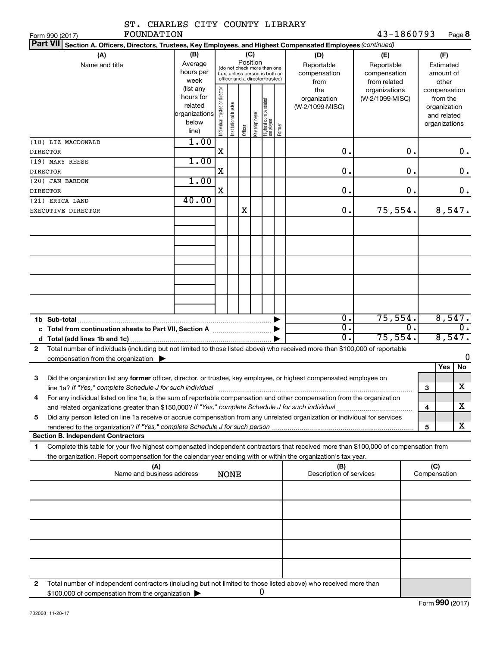| ST. CHARLES CITY COUNTY LIBRARY                                                                                                                                                                                                                             |                                                               |                                |                       |          |              |                                                                                                 |        |                                                  |                                                                                       |                  |                     |                                                          |
|-------------------------------------------------------------------------------------------------------------------------------------------------------------------------------------------------------------------------------------------------------------|---------------------------------------------------------------|--------------------------------|-----------------------|----------|--------------|-------------------------------------------------------------------------------------------------|--------|--------------------------------------------------|---------------------------------------------------------------------------------------|------------------|---------------------|----------------------------------------------------------|
| <b>FOUNDATION</b><br>Form 990 (2017)                                                                                                                                                                                                                        |                                                               |                                |                       |          |              |                                                                                                 |        |                                                  | 43-1860793                                                                            |                  |                     | Page 8                                                   |
| Part VII Section A. Officers, Directors, Trustees, Key Employees, and Highest Compensated Employees (continued)                                                                                                                                             |                                                               |                                |                       |          |              |                                                                                                 |        |                                                  |                                                                                       |                  |                     |                                                          |
| (A)<br>Name and title                                                                                                                                                                                                                                       | (B)<br>Average<br>hours per<br>week<br>(list any<br>hours for |                                |                       | Position | (C)          | (do not check more than one<br>box, unless person is both an<br>officer and a director/trustee) |        | (D)<br>Reportable<br>compensation<br>from<br>the | (E)<br>Reportable<br>compensation<br>from related<br>organizations<br>(W-2/1099-MISC) |                  |                     | (F)<br>Estimated<br>amount of<br>other<br>compensation   |
|                                                                                                                                                                                                                                                             | related<br>organizations<br>below<br>line)                    | Individual trustee or director | Institutional trustee | Officer  | Key employee | Highest compensated<br>employee                                                                 | Former | organization<br>(W-2/1099-MISC)                  |                                                                                       |                  |                     | from the<br>organization<br>and related<br>organizations |
| (18) LIZ MACDONALD<br><b>DIRECTOR</b>                                                                                                                                                                                                                       | 1.00                                                          | X                              |                       |          |              |                                                                                                 |        | $\mathbf 0$ .                                    |                                                                                       | 0.               |                     | 0.                                                       |
| (19) MARY REESE                                                                                                                                                                                                                                             | 1.00                                                          |                                |                       |          |              |                                                                                                 |        |                                                  |                                                                                       |                  |                     |                                                          |
| <b>DIRECTOR</b>                                                                                                                                                                                                                                             |                                                               | X                              |                       |          |              |                                                                                                 |        | $\mathbf 0$ .                                    |                                                                                       | О.               |                     | $0$ .                                                    |
| (20) JAN BARDON                                                                                                                                                                                                                                             | 1.00                                                          |                                |                       |          |              |                                                                                                 |        |                                                  |                                                                                       |                  |                     |                                                          |
| <b>DIRECTOR</b>                                                                                                                                                                                                                                             |                                                               | X                              |                       |          |              |                                                                                                 |        | $\mathbf 0$ .                                    |                                                                                       | 0.               |                     | $\mathbf 0$ .                                            |
| (21) ERICA LAND                                                                                                                                                                                                                                             | 40.00                                                         |                                |                       |          |              |                                                                                                 |        |                                                  |                                                                                       |                  |                     |                                                          |
| EXECUTIVE DIRECTOR                                                                                                                                                                                                                                          |                                                               |                                |                       | X        |              |                                                                                                 |        | $\mathbf 0$ .                                    | 75,554.                                                                               |                  |                     | 8,547.                                                   |
|                                                                                                                                                                                                                                                             |                                                               |                                |                       |          |              |                                                                                                 |        |                                                  |                                                                                       |                  |                     |                                                          |
|                                                                                                                                                                                                                                                             |                                                               |                                |                       |          |              |                                                                                                 |        |                                                  |                                                                                       |                  |                     |                                                          |
|                                                                                                                                                                                                                                                             |                                                               |                                |                       |          |              |                                                                                                 |        |                                                  |                                                                                       |                  |                     |                                                          |
|                                                                                                                                                                                                                                                             |                                                               |                                |                       |          |              |                                                                                                 |        |                                                  |                                                                                       |                  |                     |                                                          |
| 1b Sub-total                                                                                                                                                                                                                                                |                                                               |                                |                       |          |              |                                                                                                 |        | $\overline{0}$ .                                 | 75,554.                                                                               |                  |                     | 8,547.                                                   |
|                                                                                                                                                                                                                                                             |                                                               |                                |                       |          |              |                                                                                                 |        | σ.                                               |                                                                                       | $\overline{0}$ . |                     | $\overline{0}$ .                                         |
|                                                                                                                                                                                                                                                             |                                                               |                                |                       |          |              |                                                                                                 |        | σ.                                               | 75,554.                                                                               |                  |                     | 8,547.                                                   |
| Total number of individuals (including but not limited to those listed above) who received more than \$100,000 of reportable<br>$\mathbf{2}$<br>compensation from the organization $\blacktriangleright$                                                    |                                                               |                                |                       |          |              |                                                                                                 |        |                                                  |                                                                                       |                  |                     | 0                                                        |
|                                                                                                                                                                                                                                                             |                                                               |                                |                       |          |              |                                                                                                 |        |                                                  |                                                                                       |                  |                     | Yes<br>No                                                |
| Did the organization list any former officer, director, or trustee, key employee, or highest compensated employee on<br>з                                                                                                                                   |                                                               |                                |                       |          |              |                                                                                                 |        |                                                  |                                                                                       |                  |                     |                                                          |
| line 1a? If "Yes," complete Schedule J for such individual material content content content for the content of                                                                                                                                              |                                                               |                                |                       |          |              |                                                                                                 |        |                                                  |                                                                                       |                  | 3                   | $\mathbf X$                                              |
| For any individual listed on line 1a, is the sum of reportable compensation and other compensation from the organization<br>4                                                                                                                               |                                                               |                                |                       |          |              |                                                                                                 |        |                                                  |                                                                                       |                  | 4                   | х                                                        |
| Did any person listed on line 1a receive or accrue compensation from any unrelated organization or individual for services<br>5                                                                                                                             |                                                               |                                |                       |          |              |                                                                                                 |        |                                                  |                                                                                       |                  |                     | x                                                        |
| <b>Section B. Independent Contractors</b>                                                                                                                                                                                                                   |                                                               |                                |                       |          |              |                                                                                                 |        |                                                  |                                                                                       |                  | 5                   |                                                          |
| Complete this table for your five highest compensated independent contractors that received more than \$100,000 of compensation from<br>1<br>the organization. Report compensation for the calendar year ending with or within the organization's tax year. |                                                               |                                |                       |          |              |                                                                                                 |        |                                                  |                                                                                       |                  |                     |                                                          |
| (A)<br>Name and business address                                                                                                                                                                                                                            |                                                               |                                | <b>NONE</b>           |          |              |                                                                                                 |        | (B)<br>Description of services                   |                                                                                       |                  | (C)<br>Compensation |                                                          |
|                                                                                                                                                                                                                                                             |                                                               |                                |                       |          |              |                                                                                                 |        |                                                  |                                                                                       |                  |                     |                                                          |
|                                                                                                                                                                                                                                                             |                                                               |                                |                       |          |              |                                                                                                 |        |                                                  |                                                                                       |                  |                     |                                                          |
|                                                                                                                                                                                                                                                             |                                                               |                                |                       |          |              |                                                                                                 |        |                                                  |                                                                                       |                  |                     |                                                          |
|                                                                                                                                                                                                                                                             |                                                               |                                |                       |          |              |                                                                                                 |        |                                                  |                                                                                       |                  |                     |                                                          |
|                                                                                                                                                                                                                                                             |                                                               |                                |                       |          |              |                                                                                                 |        |                                                  |                                                                                       |                  |                     |                                                          |
| Total number of independent contractors (including but not limited to those listed above) who received more than<br>2                                                                                                                                       |                                                               |                                |                       |          |              |                                                                                                 |        |                                                  |                                                                                       |                  |                     |                                                          |
| \$100,000 of compensation from the organization                                                                                                                                                                                                             |                                                               |                                |                       |          |              | 0                                                                                               |        |                                                  |                                                                                       |                  |                     |                                                          |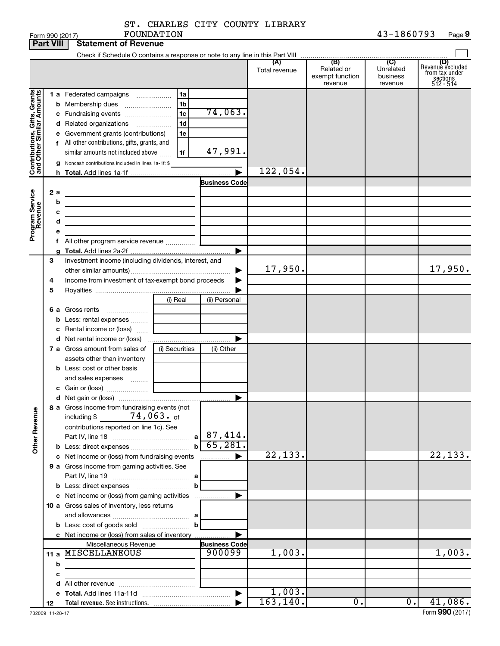| ST. CHARLES CITY COUNTY LIBRARY |  |            |
|---------------------------------|--|------------|
| FOUNDATION                      |  | 43-1860793 |

|                                                                                         | <b>Part VIII</b>                               |                                             | <b>Statement of Revenue</b>                                                                                                                                                                                                                                                                                                                                                                                                                                                                                                                                                                                       |                                                          |                                                 |                      |                                                 |                                                    |                                                                    |
|-----------------------------------------------------------------------------------------|------------------------------------------------|---------------------------------------------|-------------------------------------------------------------------------------------------------------------------------------------------------------------------------------------------------------------------------------------------------------------------------------------------------------------------------------------------------------------------------------------------------------------------------------------------------------------------------------------------------------------------------------------------------------------------------------------------------------------------|----------------------------------------------------------|-------------------------------------------------|----------------------|-------------------------------------------------|----------------------------------------------------|--------------------------------------------------------------------|
|                                                                                         |                                                |                                             |                                                                                                                                                                                                                                                                                                                                                                                                                                                                                                                                                                                                                   |                                                          |                                                 |                      |                                                 |                                                    |                                                                    |
|                                                                                         |                                                |                                             |                                                                                                                                                                                                                                                                                                                                                                                                                                                                                                                                                                                                                   |                                                          |                                                 | (A)<br>Total revenue | (B)<br>Related or<br>exempt function<br>revenue | $\overline{C}$<br>Unrelated<br>business<br>revenue | (D)<br>Revenue excluded<br>from tax under<br>sections<br>512 - 514 |
| Contributions, Gifts, Grants<br>and Other Similar Amounts<br>Program Service<br>Revenue | 2 a<br>b<br>c<br>d                             |                                             | 1 a Federated campaigns<br><b>b</b> Membership dues<br>c Fundraising events<br>d Related organizations<br>$\overline{\phantom{a}}$<br>e Government grants (contributions)<br>f All other contributions, gifts, grants, and<br>similar amounts not included above<br>g Noncash contributions included in lines 1a-1f: \$<br>the contract of the contract of the contract of the contract of the contract of<br><u> 1989 - Johann Stein, markin film ar yn y brenin y brenin y brenin y brenin y brenin y brenin y brenin y breni</u><br>the control of the control of the control of the control of the control of | 1a<br>1b<br>1 <sub>c</sub><br>1 <sub>d</sub><br>1e<br>1f | 74,063.<br>47,991.<br><b>Business Code</b><br>▶ | 122,054.             |                                                 |                                                    |                                                                    |
|                                                                                         | 3<br>4<br>5                                    |                                             | Investment income (including dividends, interest, and<br>Income from investment of tax-exempt bond proceeds                                                                                                                                                                                                                                                                                                                                                                                                                                                                                                       |                                                          |                                                 | 17,950.              |                                                 |                                                    | 17,950.                                                            |
|                                                                                         | 6а                                             |                                             | Gross rents<br><b>b</b> Less: rental expenses<br>c Rental income or (loss)                                                                                                                                                                                                                                                                                                                                                                                                                                                                                                                                        | (i) Real                                                 | (ii) Personal                                   |                      |                                                 |                                                    |                                                                    |
|                                                                                         |                                                |                                             | 7 a Gross amount from sales of<br>assets other than inventory<br><b>b</b> Less: cost or other basis                                                                                                                                                                                                                                                                                                                                                                                                                                                                                                               | (i) Securities                                           | (ii) Other                                      |                      |                                                 |                                                    |                                                                    |
|                                                                                         |                                                |                                             | and sales expenses                                                                                                                                                                                                                                                                                                                                                                                                                                                                                                                                                                                                |                                                          |                                                 |                      |                                                 |                                                    |                                                                    |
| <b>Other Revenue</b>                                                                    |                                                |                                             | 8 a Gross income from fundraising events (not<br>$74$ ,063. $_{\rm of}$<br>including \$<br>contributions reported on line 1c). See<br><b>b</b> Less: direct expenses                                                                                                                                                                                                                                                                                                                                                                                                                                              | a <br>$\mathbf b$                                        | $87,414$ .<br>65,281.                           |                      |                                                 |                                                    |                                                                    |
|                                                                                         |                                                |                                             | c Net income or (loss) from fundraising events<br>9 a Gross income from gaming activities. See                                                                                                                                                                                                                                                                                                                                                                                                                                                                                                                    |                                                          |                                                 | 22,133.              |                                                 |                                                    | 22, 133.                                                           |
|                                                                                         |                                                |                                             | c Net income or (loss) from gaming activities                                                                                                                                                                                                                                                                                                                                                                                                                                                                                                                                                                     | b                                                        |                                                 |                      |                                                 |                                                    |                                                                    |
|                                                                                         |                                                | 10 a Gross sales of inventory, less returns |                                                                                                                                                                                                                                                                                                                                                                                                                                                                                                                                                                                                                   |                                                          |                                                 |                      |                                                 |                                                    |                                                                    |
|                                                                                         | c Net income or (loss) from sales of inventory |                                             |                                                                                                                                                                                                                                                                                                                                                                                                                                                                                                                                                                                                                   |                                                          |                                                 |                      |                                                 |                                                    |                                                                    |
|                                                                                         |                                                |                                             | Miscellaneous Revenue                                                                                                                                                                                                                                                                                                                                                                                                                                                                                                                                                                                             |                                                          | <b>Business Code</b>                            |                      |                                                 |                                                    |                                                                    |
|                                                                                         |                                                | 11 a MISCELLANEOUS<br>900099                |                                                                                                                                                                                                                                                                                                                                                                                                                                                                                                                                                                                                                   |                                                          |                                                 | 1,003.               |                                                 |                                                    | 1,003.                                                             |
|                                                                                         | b                                              |                                             | <u> 1980 - Johann Barbara, martxa alemaniar a</u>                                                                                                                                                                                                                                                                                                                                                                                                                                                                                                                                                                 |                                                          |                                                 |                      |                                                 |                                                    |                                                                    |
|                                                                                         | с                                              |                                             |                                                                                                                                                                                                                                                                                                                                                                                                                                                                                                                                                                                                                   | the control of the control of the control of the         |                                                 |                      |                                                 |                                                    |                                                                    |
|                                                                                         |                                                |                                             |                                                                                                                                                                                                                                                                                                                                                                                                                                                                                                                                                                                                                   |                                                          |                                                 | 1,003.               |                                                 |                                                    |                                                                    |
|                                                                                         |                                                |                                             |                                                                                                                                                                                                                                                                                                                                                                                                                                                                                                                                                                                                                   |                                                          |                                                 | 163, 140.            | 0.                                              | 0.1                                                | 41,086.                                                            |
|                                                                                         | 12                                             |                                             |                                                                                                                                                                                                                                                                                                                                                                                                                                                                                                                                                                                                                   |                                                          |                                                 |                      |                                                 |                                                    |                                                                    |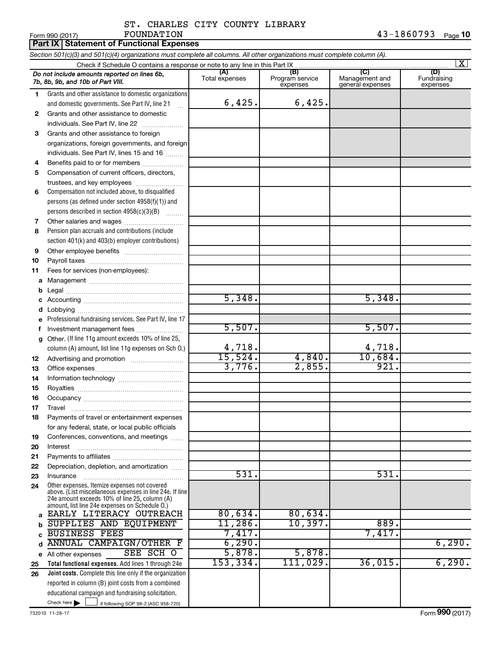# ST. CHARLES CITY COUNTY LIBRARY<br>FOUNDATION

|              | FOUNDATION<br>Form 990 (2017)                                                                                                                               |                       |                                    |                                           | 43-1860793<br>Page 10          |
|--------------|-------------------------------------------------------------------------------------------------------------------------------------------------------------|-----------------------|------------------------------------|-------------------------------------------|--------------------------------|
|              | <b>Part IX Statement of Functional Expenses</b>                                                                                                             |                       |                                    |                                           |                                |
|              | Section 501(c)(3) and 501(c)(4) organizations must complete all columns. All other organizations must complete column (A).                                  |                       |                                    |                                           |                                |
|              |                                                                                                                                                             |                       |                                    |                                           | $\overline{\mathbf{x}}$        |
|              | Do not include amounts reported on lines 6b,<br>7b, 8b, 9b, and 10b of Part VIII.                                                                           | (A)<br>Total expenses | (B)<br>Program service<br>expenses | (C)<br>Management and<br>general expenses | (D)<br>Fundraising<br>expenses |
| 1.           | Grants and other assistance to domestic organizations<br>and domestic governments. See Part IV, line 21                                                     | 6,425.                | 6,425.                             |                                           |                                |
| 2            | Grants and other assistance to domestic                                                                                                                     |                       |                                    |                                           |                                |
|              | individuals. See Part IV, line 22                                                                                                                           |                       |                                    |                                           |                                |
| 3            | Grants and other assistance to foreign                                                                                                                      |                       |                                    |                                           |                                |
|              | organizations, foreign governments, and foreign                                                                                                             |                       |                                    |                                           |                                |
|              | individuals. See Part IV, lines 15 and 16                                                                                                                   |                       |                                    |                                           |                                |
| 4            | Benefits paid to or for members                                                                                                                             |                       |                                    |                                           |                                |
| 5            | Compensation of current officers, directors,                                                                                                                |                       |                                    |                                           |                                |
|              | trustees, and key employees                                                                                                                                 |                       |                                    |                                           |                                |
| 6            | Compensation not included above, to disqualified                                                                                                            |                       |                                    |                                           |                                |
|              | persons (as defined under section 4958(f)(1)) and                                                                                                           |                       |                                    |                                           |                                |
|              | persons described in section 4958(c)(3)(B)                                                                                                                  |                       |                                    |                                           |                                |
| 7<br>8       | Other salaries and wages<br>Pension plan accruals and contributions (include                                                                                |                       |                                    |                                           |                                |
|              | section 401(k) and 403(b) employer contributions)                                                                                                           |                       |                                    |                                           |                                |
| 9            |                                                                                                                                                             |                       |                                    |                                           |                                |
| 10           |                                                                                                                                                             |                       |                                    |                                           |                                |
| 11           | Fees for services (non-employees):                                                                                                                          |                       |                                    |                                           |                                |
| a            |                                                                                                                                                             |                       |                                    |                                           |                                |
| b            |                                                                                                                                                             |                       |                                    |                                           |                                |
| c            |                                                                                                                                                             | 5,348.                |                                    | 5,348.                                    |                                |
| d            |                                                                                                                                                             |                       |                                    |                                           |                                |
| e            | Professional fundraising services. See Part IV, line 17                                                                                                     |                       |                                    |                                           |                                |
| f            | Investment management fees                                                                                                                                  | 5,507.                |                                    | 5,507.                                    |                                |
| $\mathbf{q}$ | Other. (If line 11g amount exceeds 10% of line 25,                                                                                                          |                       |                                    |                                           |                                |
|              | column (A) amount, list line 11g expenses on Sch O.)                                                                                                        | 4,718.                |                                    | 4,718.                                    |                                |
| 12           |                                                                                                                                                             | 15,524.               | 4,840.                             | 10,684.                                   |                                |
| 13           |                                                                                                                                                             | 3,776.                | 2,855.                             | 921.                                      |                                |
| 14           |                                                                                                                                                             |                       |                                    |                                           |                                |
| 15           |                                                                                                                                                             |                       |                                    |                                           |                                |
| 16           |                                                                                                                                                             |                       |                                    |                                           |                                |
| 17           | Travel                                                                                                                                                      |                       |                                    |                                           |                                |
| 18           | Payments of travel or entertainment expenses                                                                                                                |                       |                                    |                                           |                                |
|              | for any federal, state, or local public officials                                                                                                           |                       |                                    |                                           |                                |
| 19           | Conferences, conventions, and meetings                                                                                                                      |                       |                                    |                                           |                                |
| 20           | Interest                                                                                                                                                    |                       |                                    |                                           |                                |
| 21<br>22     | Depreciation, depletion, and amortization                                                                                                                   |                       |                                    |                                           |                                |
| 23           | Insurance                                                                                                                                                   | 531.                  |                                    | 531.                                      |                                |
| 24           | Other expenses. Itemize expenses not covered                                                                                                                |                       |                                    |                                           |                                |
|              | above. (List miscellaneous expenses in line 24e. If line<br>24e amount exceeds 10% of line 25, column (A)<br>amount, list line 24e expenses on Schedule O.) |                       |                                    |                                           |                                |
| a            | EARLY LITERACY OUTREACH                                                                                                                                     | 80,634.               | 80,634.                            |                                           |                                |
| b            | SUPPLIES AND EQUIPMENT                                                                                                                                      | 11,286.               | 10,397.                            | 889.                                      |                                |
| C            | <b>BUSINESS FEES</b>                                                                                                                                        | 7,417.                |                                    | 7,417.                                    |                                |
| d            | <b>ANNUAL CAMPAIGN/OTHER F</b>                                                                                                                              | 6, 290.               |                                    |                                           | 6,290.                         |
| е            | SEE SCH O<br>All other expenses                                                                                                                             | 5,878.                | 5,878.                             |                                           |                                |
| 25           | Total functional expenses. Add lines 1 through 24e                                                                                                          | 153, 334.             | 111,029.                           | 36,015.                                   | 6,290.                         |
| 26           | Joint costs. Complete this line only if the organization                                                                                                    |                       |                                    |                                           |                                |
|              | reported in column (B) joint costs from a combined                                                                                                          |                       |                                    |                                           |                                |
|              | educational campaign and fundraising solicitation.<br>Check here $\blacktriangleright$<br>if following SOP 98-2 (ASC 958-720)                               |                       |                                    |                                           |                                |
|              |                                                                                                                                                             |                       |                                    |                                           |                                |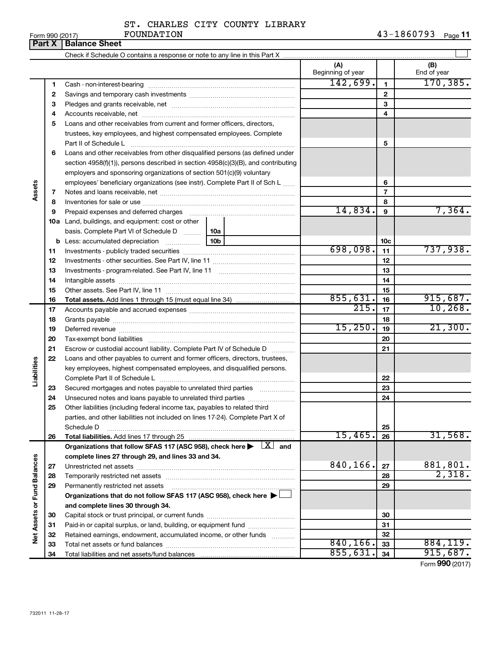| ST. CHARLES CITY COUNTY LIBRARY |  |  |
|---------------------------------|--|--|
|                                 |  |  |

Form 990 (2017) Page **11** FOUNDATION 43-1860793

|                             | Part X   | <b>Balance Sheet</b>                                                                                                                                                                                                           |     |                          |                          |                    |
|-----------------------------|----------|--------------------------------------------------------------------------------------------------------------------------------------------------------------------------------------------------------------------------------|-----|--------------------------|--------------------------|--------------------|
|                             |          |                                                                                                                                                                                                                                |     |                          |                          |                    |
|                             |          |                                                                                                                                                                                                                                |     | (A)<br>Beginning of year |                          | (B)<br>End of year |
|                             | 1        |                                                                                                                                                                                                                                |     | 142,699.                 | $\mathbf{1}$             | 170, 385.          |
|                             | 2        |                                                                                                                                                                                                                                |     |                          | $\mathbf{2}$             |                    |
|                             | 3        |                                                                                                                                                                                                                                |     |                          | 3                        |                    |
|                             | 4        |                                                                                                                                                                                                                                |     |                          | 4                        |                    |
|                             | 5        | Loans and other receivables from current and former officers, directors,                                                                                                                                                       |     |                          |                          |                    |
|                             |          | trustees, key employees, and highest compensated employees. Complete                                                                                                                                                           |     |                          |                          |                    |
|                             |          | Part II of Schedule L                                                                                                                                                                                                          |     |                          | 5                        |                    |
|                             | 6        | Loans and other receivables from other disqualified persons (as defined under                                                                                                                                                  |     |                          |                          |                    |
|                             |          | section 4958(f)(1)), persons described in section 4958(c)(3)(B), and contributing                                                                                                                                              |     |                          |                          |                    |
|                             |          | employers and sponsoring organizations of section 501(c)(9) voluntary                                                                                                                                                          |     |                          |                          |                    |
|                             |          | employees' beneficiary organizations (see instr). Complete Part II of Sch L                                                                                                                                                    |     |                          | 6                        |                    |
| Assets                      | 7        |                                                                                                                                                                                                                                |     |                          | $\overline{\phantom{a}}$ |                    |
|                             | 8        |                                                                                                                                                                                                                                |     |                          | 8                        |                    |
|                             | 9        | Prepaid expenses and deferred charges [11] matter continuum matter and referred charges [11] matter continuum matter continuum matter and continuum matter continuum matter continuum matter continuum matter continuum matter |     | 14,834.                  | 9                        | 7,364.             |
|                             |          | 10a Land, buildings, and equipment: cost or other                                                                                                                                                                              |     |                          |                          |                    |
|                             |          | basis. Complete Part VI of Schedule D                                                                                                                                                                                          | 10a |                          |                          |                    |
|                             |          |                                                                                                                                                                                                                                |     |                          | 10c                      |                    |
|                             | 11       |                                                                                                                                                                                                                                |     | 698,098.                 | 11                       | 737,938.           |
|                             | 12       |                                                                                                                                                                                                                                |     |                          | 12                       |                    |
|                             | 13       |                                                                                                                                                                                                                                |     |                          | 13                       |                    |
|                             | 14       |                                                                                                                                                                                                                                |     |                          | 14                       |                    |
|                             | 15       |                                                                                                                                                                                                                                |     |                          | 15                       |                    |
|                             | 16       |                                                                                                                                                                                                                                |     | 855,631.                 | 16                       | 915,687.           |
|                             | 17       |                                                                                                                                                                                                                                |     | $\overline{215}$ .       | 17                       | 10, 268.           |
|                             | 18       |                                                                                                                                                                                                                                |     |                          | 18                       |                    |
|                             | 19       |                                                                                                                                                                                                                                |     | 15,250.                  | 19                       | 21,300.            |
|                             | 20       |                                                                                                                                                                                                                                |     |                          | 20                       |                    |
|                             | 21       | Escrow or custodial account liability. Complete Part IV of Schedule D                                                                                                                                                          |     |                          | 21                       |                    |
|                             | 22       | Loans and other payables to current and former officers, directors, trustees,                                                                                                                                                  |     |                          |                          |                    |
| Liabilities                 |          | key employees, highest compensated employees, and disqualified persons.                                                                                                                                                        |     |                          |                          |                    |
|                             |          |                                                                                                                                                                                                                                |     |                          | 22                       |                    |
|                             | 23       | Secured mortgages and notes payable to unrelated third parties                                                                                                                                                                 |     |                          | 23                       |                    |
|                             | 24       |                                                                                                                                                                                                                                |     |                          | 24                       |                    |
|                             | 25       | Other liabilities (including federal income tax, payables to related third                                                                                                                                                     |     |                          |                          |                    |
|                             |          | parties, and other liabilities not included on lines 17-24). Complete Part X of                                                                                                                                                |     |                          |                          |                    |
|                             |          | Schedule D                                                                                                                                                                                                                     |     |                          | 25                       |                    |
|                             | 26       | Total liabilities. Add lines 17 through 25                                                                                                                                                                                     |     | 15,465.                  | 26                       | 31,568.            |
|                             |          | Organizations that follow SFAS 117 (ASC 958), check here $\blacktriangleright \begin{array}{c} \boxed{X} \\ \end{array}$ and                                                                                                   |     |                          |                          |                    |
|                             |          | complete lines 27 through 29, and lines 33 and 34.                                                                                                                                                                             |     | 840,166.                 |                          | 881,801.           |
|                             | 27       |                                                                                                                                                                                                                                |     |                          | 27                       | 2,318.             |
|                             | 28       |                                                                                                                                                                                                                                |     |                          | 28                       |                    |
|                             | 29       | Permanently restricted net assets                                                                                                                                                                                              |     |                          | 29                       |                    |
|                             |          | Organizations that do not follow SFAS 117 (ASC 958), check here $\blacktriangleright$                                                                                                                                          |     |                          |                          |                    |
|                             |          | and complete lines 30 through 34.                                                                                                                                                                                              |     |                          |                          |                    |
| Net Assets or Fund Balances | 30       |                                                                                                                                                                                                                                |     |                          | 30                       |                    |
|                             | 31       | Paid-in or capital surplus, or land, building, or equipment fund                                                                                                                                                               |     |                          | 31                       |                    |
|                             | 32       | Retained earnings, endowment, accumulated income, or other funds                                                                                                                                                               |     | 840, 166.                | 32<br>33                 | 884,119.           |
|                             | 33<br>34 |                                                                                                                                                                                                                                |     | 855,631                  | 34                       | 915,687.           |
|                             |          |                                                                                                                                                                                                                                |     |                          |                          | Form 990 (2017)    |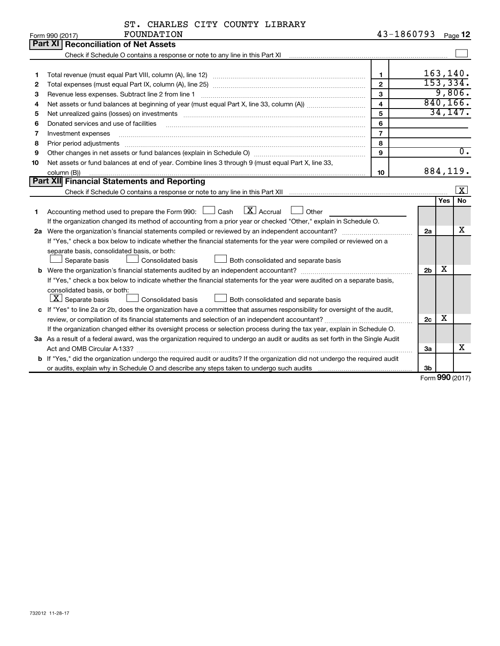| ST. CHARLES CITY COUNTY LIBRARY |  |  |  |  |  |
|---------------------------------|--|--|--|--|--|
|---------------------------------|--|--|--|--|--|

|    | FOUNDATION<br>Form 990 (2017)                                                                                                                                                                                                  | 43-1860793              |                |            | Page 12                 |
|----|--------------------------------------------------------------------------------------------------------------------------------------------------------------------------------------------------------------------------------|-------------------------|----------------|------------|-------------------------|
|    | <b>Reconciliation of Net Assets</b><br>Part XI I                                                                                                                                                                               |                         |                |            |                         |
|    |                                                                                                                                                                                                                                |                         |                |            |                         |
|    |                                                                                                                                                                                                                                |                         |                |            |                         |
| 1  |                                                                                                                                                                                                                                | $\mathbf{1}$            |                |            | 163, 140.               |
| 2  |                                                                                                                                                                                                                                | $\mathbf{2}$            | 153,334.       |            |                         |
| з  | Revenue less expenses. Subtract line 2 from line 1                                                                                                                                                                             | 3                       |                |            | 9,806.                  |
| 4  |                                                                                                                                                                                                                                | $\overline{\mathbf{4}}$ | 840, 166.      |            |                         |
| 5  | Net unrealized gains (losses) on investments [11] matter contracts and the state of the state of the state of the state of the state of the state of the state of the state of the state of the state of the state of the stat | 5                       |                |            | 34,147.                 |
| 6  | Donated services and use of facilities                                                                                                                                                                                         | 6                       |                |            |                         |
| 7  | Investment expenses                                                                                                                                                                                                            | $\overline{7}$          |                |            |                         |
| 8  | Prior period adjustments                                                                                                                                                                                                       | 8                       |                |            |                         |
| 9  |                                                                                                                                                                                                                                | 9                       |                |            | $\overline{0}$ .        |
| 10 | Net assets or fund balances at end of year. Combine lines 3 through 9 (must equal Part X, line 33,                                                                                                                             |                         |                |            |                         |
|    | column (B))                                                                                                                                                                                                                    | 10                      |                |            | 884,119.                |
|    | Part XII Financial Statements and Reporting                                                                                                                                                                                    |                         |                |            |                         |
|    |                                                                                                                                                                                                                                |                         |                |            | $\overline{\mathbf{X}}$ |
|    |                                                                                                                                                                                                                                |                         |                | <b>Yes</b> | <b>No</b>               |
| 1  | $\boxed{\text{X}}$ Accrual<br>Accounting method used to prepare the Form 990: [130] Cash<br>Other                                                                                                                              |                         |                |            |                         |
|    | If the organization changed its method of accounting from a prior year or checked "Other," explain in Schedule O.                                                                                                              |                         |                |            |                         |
| 2a |                                                                                                                                                                                                                                |                         | 2a             |            | х                       |
|    | If "Yes," check a box below to indicate whether the financial statements for the year were compiled or reviewed on a                                                                                                           |                         |                |            |                         |
|    | separate basis, consolidated basis, or both:                                                                                                                                                                                   |                         |                |            |                         |
|    | Both consolidated and separate basis<br>Separate basis<br>Consolidated basis                                                                                                                                                   |                         |                |            |                         |
|    |                                                                                                                                                                                                                                |                         | 2 <sub>b</sub> | X          |                         |
|    | If "Yes," check a box below to indicate whether the financial statements for the year were audited on a separate basis,                                                                                                        |                         |                |            |                         |
|    | consolidated basis, or both:                                                                                                                                                                                                   |                         |                |            |                         |
|    | $\lfloor x \rfloor$ Separate basis<br>Consolidated basis<br>Both consolidated and separate basis                                                                                                                               |                         |                |            |                         |
|    | c If "Yes" to line 2a or 2b, does the organization have a committee that assumes responsibility for oversight of the audit,                                                                                                    |                         |                |            |                         |
|    |                                                                                                                                                                                                                                |                         | 2c             | x          |                         |
|    | If the organization changed either its oversight process or selection process during the tax year, explain in Schedule O.                                                                                                      |                         |                |            |                         |
|    | 3a As a result of a federal award, was the organization required to undergo an audit or audits as set forth in the Single Audit                                                                                                |                         |                |            |                         |
|    |                                                                                                                                                                                                                                |                         | За             |            | X                       |
|    | b If "Yes," did the organization undergo the required audit or audits? If the organization did not undergo the required audit                                                                                                  |                         |                |            |                         |
|    |                                                                                                                                                                                                                                |                         | 3b             |            |                         |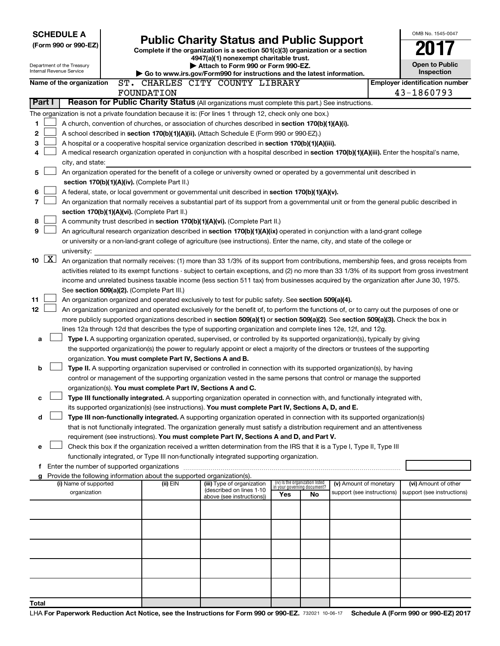| <b>SCHEDULE A</b>                                                                                                                                                      |                                                                                                   |                                                                                                                                               |                                                                |    |                            |  | OMB No. 1545-0047                                   |  |  |  |  |  |
|------------------------------------------------------------------------------------------------------------------------------------------------------------------------|---------------------------------------------------------------------------------------------------|-----------------------------------------------------------------------------------------------------------------------------------------------|----------------------------------------------------------------|----|----------------------------|--|-----------------------------------------------------|--|--|--|--|--|
| (Form 990 or 990-EZ)                                                                                                                                                   |                                                                                                   | <b>Public Charity Status and Public Support</b><br>Complete if the organization is a section 501(c)(3) organization or a section              |                                                                |    |                            |  |                                                     |  |  |  |  |  |
|                                                                                                                                                                        |                                                                                                   | 4947(a)(1) nonexempt charitable trust.                                                                                                        |                                                                |    |                            |  |                                                     |  |  |  |  |  |
| Department of the Treasury<br>Internal Revenue Service                                                                                                                 |                                                                                                   | Attach to Form 990 or Form 990-EZ.                                                                                                            |                                                                |    |                            |  | Open to Public                                      |  |  |  |  |  |
|                                                                                                                                                                        |                                                                                                   | Go to www.irs.gov/Form990 for instructions and the latest information.                                                                        |                                                                |    |                            |  | Inspection                                          |  |  |  |  |  |
| Name of the organization                                                                                                                                               | FOUNDATION                                                                                        | ST. CHARLES CITY COUNTY LIBRARY                                                                                                               |                                                                |    |                            |  | <b>Employer identification number</b><br>43-1860793 |  |  |  |  |  |
| Part I                                                                                                                                                                 |                                                                                                   | Reason for Public Charity Status (All organizations must complete this part.) See instructions.                                               |                                                                |    |                            |  |                                                     |  |  |  |  |  |
| The organization is not a private foundation because it is: (For lines 1 through 12, check only one box.)                                                              |                                                                                                   |                                                                                                                                               |                                                                |    |                            |  |                                                     |  |  |  |  |  |
| 1                                                                                                                                                                      |                                                                                                   | A church, convention of churches, or association of churches described in section 170(b)(1)(A)(i).                                            |                                                                |    |                            |  |                                                     |  |  |  |  |  |
| 2<br>A school described in section 170(b)(1)(A)(ii). (Attach Schedule E (Form 990 or 990-EZ).)                                                                         |                                                                                                   |                                                                                                                                               |                                                                |    |                            |  |                                                     |  |  |  |  |  |
| 3                                                                                                                                                                      | A hospital or a cooperative hospital service organization described in section 170(b)(1)(A)(iii). |                                                                                                                                               |                                                                |    |                            |  |                                                     |  |  |  |  |  |
| A medical research organization operated in conjunction with a hospital described in section 170(b)(1)(A)(iii). Enter the hospital's name,<br>4                        |                                                                                                   |                                                                                                                                               |                                                                |    |                            |  |                                                     |  |  |  |  |  |
| city, and state:                                                                                                                                                       |                                                                                                   |                                                                                                                                               |                                                                |    |                            |  |                                                     |  |  |  |  |  |
| 5                                                                                                                                                                      |                                                                                                   | An organization operated for the benefit of a college or university owned or operated by a governmental unit described in                     |                                                                |    |                            |  |                                                     |  |  |  |  |  |
| section 170(b)(1)(A)(iv). (Complete Part II.)                                                                                                                          |                                                                                                   |                                                                                                                                               |                                                                |    |                            |  |                                                     |  |  |  |  |  |
| 6<br>7                                                                                                                                                                 |                                                                                                   | A federal, state, or local government or governmental unit described in section 170(b)(1)(A)(v).                                              |                                                                |    |                            |  |                                                     |  |  |  |  |  |
| section 170(b)(1)(A)(vi). (Complete Part II.)                                                                                                                          |                                                                                                   | An organization that normally receives a substantial part of its support from a governmental unit or from the general public described in     |                                                                |    |                            |  |                                                     |  |  |  |  |  |
| 8                                                                                                                                                                      |                                                                                                   | A community trust described in section 170(b)(1)(A)(vi). (Complete Part II.)                                                                  |                                                                |    |                            |  |                                                     |  |  |  |  |  |
| 9                                                                                                                                                                      |                                                                                                   | An agricultural research organization described in section 170(b)(1)(A)(ix) operated in conjunction with a land-grant college                 |                                                                |    |                            |  |                                                     |  |  |  |  |  |
|                                                                                                                                                                        |                                                                                                   | or university or a non-land-grant college of agriculture (see instructions). Enter the name, city, and state of the college or                |                                                                |    |                            |  |                                                     |  |  |  |  |  |
| university:                                                                                                                                                            |                                                                                                   |                                                                                                                                               |                                                                |    |                            |  |                                                     |  |  |  |  |  |
| $\lfloor x \rfloor$<br>10<br>An organization that normally receives: (1) more than 33 1/3% of its support from contributions, membership fees, and gross receipts from |                                                                                                   |                                                                                                                                               |                                                                |    |                            |  |                                                     |  |  |  |  |  |
|                                                                                                                                                                        |                                                                                                   | activities related to its exempt functions - subject to certain exceptions, and (2) no more than 33 1/3% of its support from gross investment |                                                                |    |                            |  |                                                     |  |  |  |  |  |
|                                                                                                                                                                        |                                                                                                   | income and unrelated business taxable income (less section 511 tax) from businesses acquired by the organization after June 30, 1975.         |                                                                |    |                            |  |                                                     |  |  |  |  |  |
| See section 509(a)(2). (Complete Part III.)<br>11                                                                                                                      |                                                                                                   | An organization organized and operated exclusively to test for public safety. See section 509(a)(4).                                          |                                                                |    |                            |  |                                                     |  |  |  |  |  |
| 12                                                                                                                                                                     |                                                                                                   | An organization organized and operated exclusively for the benefit of, to perform the functions of, or to carry out the purposes of one or    |                                                                |    |                            |  |                                                     |  |  |  |  |  |
|                                                                                                                                                                        |                                                                                                   | more publicly supported organizations described in section 509(a)(1) or section 509(a)(2). See section 509(a)(3). Check the box in            |                                                                |    |                            |  |                                                     |  |  |  |  |  |
|                                                                                                                                                                        |                                                                                                   | lines 12a through 12d that describes the type of supporting organization and complete lines 12e, 12f, and 12g.                                |                                                                |    |                            |  |                                                     |  |  |  |  |  |
| a                                                                                                                                                                      |                                                                                                   | Type I. A supporting organization operated, supervised, or controlled by its supported organization(s), typically by giving                   |                                                                |    |                            |  |                                                     |  |  |  |  |  |
|                                                                                                                                                                        |                                                                                                   | the supported organization(s) the power to regularly appoint or elect a majority of the directors or trustees of the supporting               |                                                                |    |                            |  |                                                     |  |  |  |  |  |
| organization. You must complete Part IV, Sections A and B.                                                                                                             |                                                                                                   |                                                                                                                                               |                                                                |    |                            |  |                                                     |  |  |  |  |  |
| b                                                                                                                                                                      |                                                                                                   | Type II. A supporting organization supervised or controlled in connection with its supported organization(s), by having                       |                                                                |    |                            |  |                                                     |  |  |  |  |  |
| organization(s). You must complete Part IV, Sections A and C.                                                                                                          |                                                                                                   | control or management of the supporting organization vested in the same persons that control or manage the supported                          |                                                                |    |                            |  |                                                     |  |  |  |  |  |
| с                                                                                                                                                                      |                                                                                                   | Type III functionally integrated. A supporting organization operated in connection with, and functionally integrated with,                    |                                                                |    |                            |  |                                                     |  |  |  |  |  |
|                                                                                                                                                                        |                                                                                                   | its supported organization(s) (see instructions). You must complete Part IV, Sections A, D, and E.                                            |                                                                |    |                            |  |                                                     |  |  |  |  |  |
| d                                                                                                                                                                      |                                                                                                   | Type III non-functionally integrated. A supporting organization operated in connection with its supported organization(s)                     |                                                                |    |                            |  |                                                     |  |  |  |  |  |
|                                                                                                                                                                        |                                                                                                   | that is not functionally integrated. The organization generally must satisfy a distribution requirement and an attentiveness                  |                                                                |    |                            |  |                                                     |  |  |  |  |  |
|                                                                                                                                                                        |                                                                                                   | requirement (see instructions). You must complete Part IV, Sections A and D, and Part V.                                                      |                                                                |    |                            |  |                                                     |  |  |  |  |  |
| e                                                                                                                                                                      |                                                                                                   | Check this box if the organization received a written determination from the IRS that it is a Type I, Type II, Type III                       |                                                                |    |                            |  |                                                     |  |  |  |  |  |
|                                                                                                                                                                        |                                                                                                   | functionally integrated, or Type III non-functionally integrated supporting organization.                                                     |                                                                |    |                            |  |                                                     |  |  |  |  |  |
| g Provide the following information about the supported organization(s).                                                                                               |                                                                                                   |                                                                                                                                               |                                                                |    |                            |  |                                                     |  |  |  |  |  |
| (i) Name of supported                                                                                                                                                  | (ii) EIN                                                                                          | (iii) Type of organization                                                                                                                    | (iv) Is the organization listed<br>in your governing document? |    | (v) Amount of monetary     |  | (vi) Amount of other                                |  |  |  |  |  |
| organization                                                                                                                                                           |                                                                                                   | (described on lines 1-10<br>above (see instructions))                                                                                         | Yes                                                            | No | support (see instructions) |  | support (see instructions)                          |  |  |  |  |  |
|                                                                                                                                                                        |                                                                                                   |                                                                                                                                               |                                                                |    |                            |  |                                                     |  |  |  |  |  |
|                                                                                                                                                                        |                                                                                                   |                                                                                                                                               |                                                                |    |                            |  |                                                     |  |  |  |  |  |
|                                                                                                                                                                        |                                                                                                   |                                                                                                                                               |                                                                |    |                            |  |                                                     |  |  |  |  |  |
|                                                                                                                                                                        |                                                                                                   |                                                                                                                                               |                                                                |    |                            |  |                                                     |  |  |  |  |  |
|                                                                                                                                                                        |                                                                                                   |                                                                                                                                               |                                                                |    |                            |  |                                                     |  |  |  |  |  |
|                                                                                                                                                                        |                                                                                                   |                                                                                                                                               |                                                                |    |                            |  |                                                     |  |  |  |  |  |
|                                                                                                                                                                        |                                                                                                   |                                                                                                                                               |                                                                |    |                            |  |                                                     |  |  |  |  |  |
| Total                                                                                                                                                                  |                                                                                                   |                                                                                                                                               |                                                                |    |                            |  |                                                     |  |  |  |  |  |
|                                                                                                                                                                        |                                                                                                   |                                                                                                                                               |                                                                |    |                            |  |                                                     |  |  |  |  |  |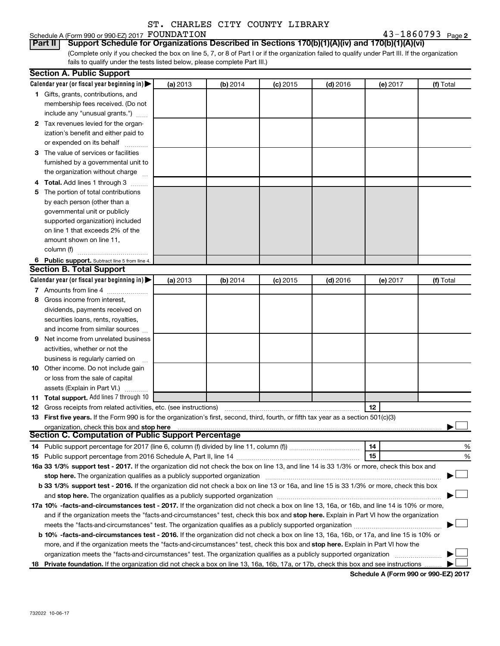# Schedule A (Form 990 or 990-EZ) 2017  ${\rm \bf FOUNDATION} \hspace{2cm} 43-1860793$  Page

43-1860793 Page 2

(Complete only if you checked the box on line 5, 7, or 8 of Part I or if the organization failed to qualify under Part III. If the organization fails to qualify under the tests listed below, please complete Part III.) **Part II Support Schedule for Organizations Described in Sections 170(b)(1)(A)(iv) and 170(b)(1)(A)(vi)**

|   | <b>Section A. Public Support</b>                                                                                                                                                                                                                                                      |          |          |            |            |          |           |  |  |  |  |
|---|---------------------------------------------------------------------------------------------------------------------------------------------------------------------------------------------------------------------------------------------------------------------------------------|----------|----------|------------|------------|----------|-----------|--|--|--|--|
|   | Calendar year (or fiscal year beginning in)                                                                                                                                                                                                                                           | (a) 2013 | (b) 2014 | $(c)$ 2015 | $(d)$ 2016 | (e) 2017 | (f) Total |  |  |  |  |
|   | 1 Gifts, grants, contributions, and                                                                                                                                                                                                                                                   |          |          |            |            |          |           |  |  |  |  |
|   | membership fees received. (Do not                                                                                                                                                                                                                                                     |          |          |            |            |          |           |  |  |  |  |
|   | include any "unusual grants.")                                                                                                                                                                                                                                                        |          |          |            |            |          |           |  |  |  |  |
|   | 2 Tax revenues levied for the organ-                                                                                                                                                                                                                                                  |          |          |            |            |          |           |  |  |  |  |
|   | ization's benefit and either paid to                                                                                                                                                                                                                                                  |          |          |            |            |          |           |  |  |  |  |
|   | or expended on its behalf                                                                                                                                                                                                                                                             |          |          |            |            |          |           |  |  |  |  |
|   | 3 The value of services or facilities                                                                                                                                                                                                                                                 |          |          |            |            |          |           |  |  |  |  |
|   | furnished by a governmental unit to                                                                                                                                                                                                                                                   |          |          |            |            |          |           |  |  |  |  |
|   | the organization without charge                                                                                                                                                                                                                                                       |          |          |            |            |          |           |  |  |  |  |
|   | 4 Total. Add lines 1 through 3                                                                                                                                                                                                                                                        |          |          |            |            |          |           |  |  |  |  |
|   | 5 The portion of total contributions                                                                                                                                                                                                                                                  |          |          |            |            |          |           |  |  |  |  |
|   | by each person (other than a                                                                                                                                                                                                                                                          |          |          |            |            |          |           |  |  |  |  |
|   | governmental unit or publicly                                                                                                                                                                                                                                                         |          |          |            |            |          |           |  |  |  |  |
|   | supported organization) included                                                                                                                                                                                                                                                      |          |          |            |            |          |           |  |  |  |  |
|   | on line 1 that exceeds 2% of the                                                                                                                                                                                                                                                      |          |          |            |            |          |           |  |  |  |  |
|   | amount shown on line 11,                                                                                                                                                                                                                                                              |          |          |            |            |          |           |  |  |  |  |
|   | column (f)                                                                                                                                                                                                                                                                            |          |          |            |            |          |           |  |  |  |  |
|   | 6 Public support. Subtract line 5 from line 4.                                                                                                                                                                                                                                        |          |          |            |            |          |           |  |  |  |  |
|   | <b>Section B. Total Support</b>                                                                                                                                                                                                                                                       |          |          |            |            |          |           |  |  |  |  |
|   | Calendar year (or fiscal year beginning in)                                                                                                                                                                                                                                           | (a) 2013 | (b) 2014 | $(c)$ 2015 | $(d)$ 2016 | (e) 2017 | (f) Total |  |  |  |  |
|   | 7 Amounts from line 4                                                                                                                                                                                                                                                                 |          |          |            |            |          |           |  |  |  |  |
|   | 8 Gross income from interest.                                                                                                                                                                                                                                                         |          |          |            |            |          |           |  |  |  |  |
|   | dividends, payments received on                                                                                                                                                                                                                                                       |          |          |            |            |          |           |  |  |  |  |
|   | securities loans, rents, royalties,                                                                                                                                                                                                                                                   |          |          |            |            |          |           |  |  |  |  |
|   | and income from similar sources                                                                                                                                                                                                                                                       |          |          |            |            |          |           |  |  |  |  |
| 9 | Net income from unrelated business                                                                                                                                                                                                                                                    |          |          |            |            |          |           |  |  |  |  |
|   | activities, whether or not the                                                                                                                                                                                                                                                        |          |          |            |            |          |           |  |  |  |  |
|   | business is regularly carried on                                                                                                                                                                                                                                                      |          |          |            |            |          |           |  |  |  |  |
|   | 10 Other income. Do not include gain                                                                                                                                                                                                                                                  |          |          |            |            |          |           |  |  |  |  |
|   | or loss from the sale of capital                                                                                                                                                                                                                                                      |          |          |            |            |          |           |  |  |  |  |
|   | assets (Explain in Part VI.)                                                                                                                                                                                                                                                          |          |          |            |            |          |           |  |  |  |  |
|   | 11 Total support. Add lines 7 through 10                                                                                                                                                                                                                                              |          |          |            |            |          |           |  |  |  |  |
|   | <b>12</b> Gross receipts from related activities, etc. (see instructions)                                                                                                                                                                                                             |          |          |            |            | 12       |           |  |  |  |  |
|   | 13 First five years. If the Form 990 is for the organization's first, second, third, fourth, or fifth tax year as a section 501(c)(3)                                                                                                                                                 |          |          |            |            |          |           |  |  |  |  |
|   | organization, check this box and stop here                                                                                                                                                                                                                                            |          |          |            |            |          |           |  |  |  |  |
|   | Section C. Computation of Public Support Percentage                                                                                                                                                                                                                                   |          |          |            |            |          |           |  |  |  |  |
|   |                                                                                                                                                                                                                                                                                       |          |          |            |            | 14       | %         |  |  |  |  |
|   |                                                                                                                                                                                                                                                                                       |          |          |            |            | 15       | %         |  |  |  |  |
|   | 16a 33 1/3% support test - 2017. If the organization did not check the box on line 13, and line 14 is 33 1/3% or more, check this box and                                                                                                                                             |          |          |            |            |          |           |  |  |  |  |
|   | stop here. The organization qualifies as a publicly supported organization [11] manuscription [11] manuscription [11] manuscription [11] manuscription [11] manuscription [11] manuscription [11] manuscription [11] manuscrip                                                        |          |          |            |            |          |           |  |  |  |  |
|   | b 33 1/3% support test - 2016. If the organization did not check a box on line 13 or 16a, and line 15 is 33 1/3% or more, check this box                                                                                                                                              |          |          |            |            |          |           |  |  |  |  |
|   |                                                                                                                                                                                                                                                                                       |          |          |            |            |          |           |  |  |  |  |
|   |                                                                                                                                                                                                                                                                                       |          |          |            |            |          |           |  |  |  |  |
|   | 17a 10% -facts-and-circumstances test - 2017. If the organization did not check a box on line 13, 16a, or 16b, and line 14 is 10% or more,<br>and if the organization meets the "facts-and-circumstances" test, check this box and stop here. Explain in Part VI how the organization |          |          |            |            |          |           |  |  |  |  |
|   |                                                                                                                                                                                                                                                                                       |          |          |            |            |          |           |  |  |  |  |
|   | b 10% -facts-and-circumstances test - 2016. If the organization did not check a box on line 13, 16a, 16b, or 17a, and line 15 is 10% or                                                                                                                                               |          |          |            |            |          |           |  |  |  |  |
|   | more, and if the organization meets the "facts-and-circumstances" test, check this box and stop here. Explain in Part VI how the                                                                                                                                                      |          |          |            |            |          |           |  |  |  |  |
|   | organization meets the "facts-and-circumstances" test. The organization qualifies as a publicly supported organization                                                                                                                                                                |          |          |            |            |          |           |  |  |  |  |
|   | 18 Private foundation. If the organization did not check a box on line 13, 16a, 16b, 17a, or 17b, check this box and see instructions                                                                                                                                                 |          |          |            |            |          |           |  |  |  |  |
|   |                                                                                                                                                                                                                                                                                       |          |          |            |            |          |           |  |  |  |  |

**Schedule A (Form 990 or 990-EZ) 2017**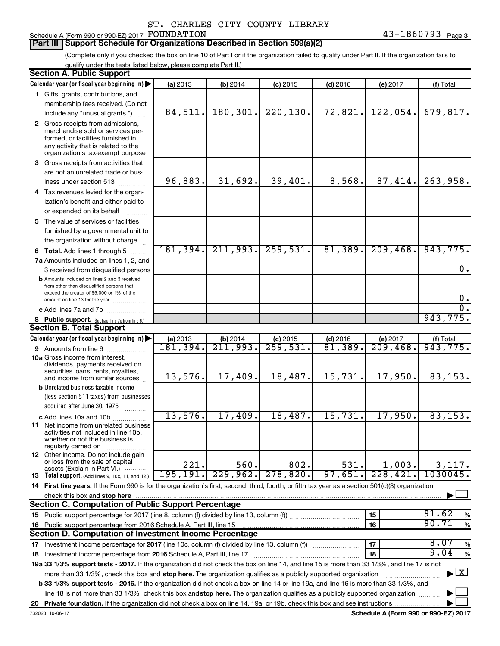# Schedule A (Form 990 or 990-EZ) 2017 FOUNDATION

# **Part III Support Schedule for Organizations Described in Section 509(a)(2)**

(Complete only if you checked the box on line 10 of Part I or if the organization failed to qualify under Part II. If the organization fails to qualify under the tests listed below, please complete Part II.)

| <b>Section A. Public Support</b>                                                                                                                                                                                                                                 |                      |                           |                                       |                                     |                      |                                    |
|------------------------------------------------------------------------------------------------------------------------------------------------------------------------------------------------------------------------------------------------------------------|----------------------|---------------------------|---------------------------------------|-------------------------------------|----------------------|------------------------------------|
| Calendar year (or fiscal year beginning in)                                                                                                                                                                                                                      | (a) 2013             | (b) 2014                  | $(c)$ 2015                            | $(d)$ 2016                          | (e) 2017             | (f) Total                          |
| 1 Gifts, grants, contributions, and                                                                                                                                                                                                                              |                      |                           |                                       |                                     |                      |                                    |
| membership fees received. (Do not                                                                                                                                                                                                                                |                      |                           |                                       |                                     |                      |                                    |
| include any "unusual grants.")                                                                                                                                                                                                                                   | 84,511.              | 180,301.                  | 220, 130.                             | 72,821.                             | 122,054.             | 679,817.                           |
| 2 Gross receipts from admissions,<br>merchandise sold or services per-<br>formed, or facilities furnished in<br>any activity that is related to the<br>organization's tax-exempt purpose                                                                         |                      |                           |                                       |                                     |                      |                                    |
| 3 Gross receipts from activities that                                                                                                                                                                                                                            |                      |                           |                                       |                                     |                      |                                    |
| are not an unrelated trade or bus-<br>iness under section 513                                                                                                                                                                                                    | 96,883.              | 31,692.                   | 39,401.                               | 8,568.                              | 87,414.              | 263,958.                           |
| 4 Tax revenues levied for the organ-                                                                                                                                                                                                                             |                      |                           |                                       |                                     |                      |                                    |
| ization's benefit and either paid to                                                                                                                                                                                                                             |                      |                           |                                       |                                     |                      |                                    |
| or expended on its behalf                                                                                                                                                                                                                                        |                      |                           |                                       |                                     |                      |                                    |
| 5 The value of services or facilities                                                                                                                                                                                                                            |                      |                           |                                       |                                     |                      |                                    |
| furnished by a governmental unit to<br>the organization without charge                                                                                                                                                                                           |                      |                           |                                       |                                     |                      |                                    |
| <b>6 Total.</b> Add lines 1 through 5                                                                                                                                                                                                                            | 181, 394.            | 211,993.                  | 259,531.                              | 81,389.                             | 209, 468.            | 943,775.                           |
| 7a Amounts included on lines 1, 2, and                                                                                                                                                                                                                           |                      |                           |                                       |                                     |                      |                                    |
| 3 received from disqualified persons                                                                                                                                                                                                                             |                      |                           |                                       |                                     |                      | 0.                                 |
| <b>b</b> Amounts included on lines 2 and 3 received<br>from other than disqualified persons that<br>exceed the greater of \$5,000 or 1% of the                                                                                                                   |                      |                           |                                       |                                     |                      | 0.                                 |
| amount on line 13 for the year                                                                                                                                                                                                                                   |                      |                           |                                       |                                     |                      | σ.                                 |
|                                                                                                                                                                                                                                                                  |                      |                           |                                       |                                     |                      | 943,775.                           |
| 8 Public support. (Subtract line 7c from line 6.)<br><b>Section B. Total Support</b>                                                                                                                                                                             |                      |                           |                                       |                                     |                      |                                    |
|                                                                                                                                                                                                                                                                  |                      |                           |                                       |                                     |                      |                                    |
| Calendar year (or fiscal year beginning in)                                                                                                                                                                                                                      | (a) 2013<br>181,394. | (b) $2014$<br>$211, 993.$ | $(c)$ 2015<br>$\overline{259}$ , 531. | $(d)$ 2016<br>$\overline{81,389}$ . | (e) 2017<br>209,468. | (f) Total<br>943,775.              |
| <b>9</b> Amounts from line 6<br><b>10a</b> Gross income from interest,                                                                                                                                                                                           |                      |                           |                                       |                                     |                      |                                    |
| dividends, payments received on<br>securities loans, rents, royalties,<br>and income from similar sources                                                                                                                                                        | 13,576.              | 17,409.                   | 18,487.                               | 15,731.                             | 17,950.              | 83, 153.                           |
| <b>b</b> Unrelated business taxable income                                                                                                                                                                                                                       |                      |                           |                                       |                                     |                      |                                    |
| (less section 511 taxes) from businesses                                                                                                                                                                                                                         |                      |                           |                                       |                                     |                      |                                    |
| acquired after June 30, 1975                                                                                                                                                                                                                                     |                      |                           |                                       |                                     |                      |                                    |
| c Add lines 10a and 10b                                                                                                                                                                                                                                          | 13,576.              | 17,409.                   | 18,487.                               | 15,731.                             | 17,950.              | 83, 153.                           |
| <b>11</b> Net income from unrelated business<br>activities not included in line 10b,<br>whether or not the business is<br>regularly carried on                                                                                                                   |                      |                           |                                       |                                     |                      |                                    |
| <b>12</b> Other income. Do not include gain                                                                                                                                                                                                                      |                      |                           |                                       |                                     |                      |                                    |
| or loss from the sale of capital<br>assets (Explain in Part VI.)                                                                                                                                                                                                 | 221.                 | 560.                      | 802.                                  | 531.                                | 1,003.               | 3,117.                             |
| <b>13</b> Total support. (Add lines 9, 10c, 11, and 12.)                                                                                                                                                                                                         | 195, 191.            | 229,962.                  | 278,820.                              | 97,651.                             | 228,421              | 1030045.                           |
| 14 First five years. If the Form 990 is for the organization's first, second, third, fourth, or fifth tax year as a section 501(c)(3) organization,                                                                                                              |                      |                           |                                       |                                     |                      |                                    |
| check this box and stop here                                                                                                                                                                                                                                     |                      |                           |                                       |                                     |                      |                                    |
| <b>Section C. Computation of Public Support Percentage</b>                                                                                                                                                                                                       |                      |                           |                                       |                                     |                      |                                    |
|                                                                                                                                                                                                                                                                  |                      |                           |                                       |                                     | 15                   | 91.62<br>%                         |
| 16 Public support percentage from 2016 Schedule A, Part III, line 15                                                                                                                                                                                             |                      |                           |                                       |                                     | 16                   | 90.71<br>$\%$                      |
| Section D. Computation of Investment Income Percentage                                                                                                                                                                                                           |                      |                           |                                       |                                     |                      |                                    |
| 17 Investment income percentage for 2017 (line 10c, column (f) divided by line 13, column (f))                                                                                                                                                                   |                      |                           |                                       |                                     | 17                   | 8.07<br>%                          |
| 18 Investment income percentage from 2016 Schedule A, Part III, line 17                                                                                                                                                                                          |                      |                           |                                       |                                     | 18                   | 9.04<br>%                          |
| 19a 33 1/3% support tests - 2017. If the organization did not check the box on line 14, and line 15 is more than 33 1/3%, and line 17 is not                                                                                                                     |                      |                           |                                       |                                     |                      |                                    |
| more than 33 1/3%, check this box and stop here. The organization qualifies as a publicly supported organization<br><b>b 33 1/3% support tests - 2016.</b> If the organization did not check a box on line 14 or line 19a, and line 16 is more than 33 1/3%, and |                      |                           |                                       |                                     |                      | $\blacktriangleright$ $\mathbf{X}$ |
|                                                                                                                                                                                                                                                                  |                      |                           |                                       |                                     |                      |                                    |
| line 18 is not more than 33 1/3%, check this box and stop here. The organization qualifies as a publicly supported organization                                                                                                                                  |                      |                           |                                       |                                     |                      |                                    |
|                                                                                                                                                                                                                                                                  |                      |                           |                                       |                                     |                      |                                    |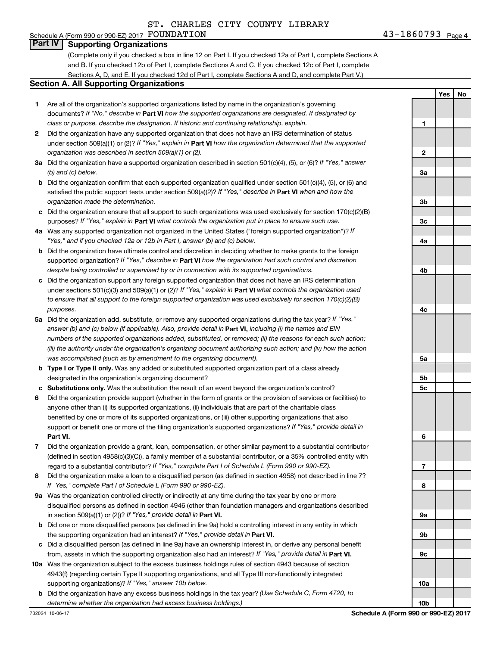# Schedule A (Form 990 or 990-EZ) 2017  ${\rm \bf FOUNDATION} \hspace{2cm} 43-1860793$  Page **Part IV Supporting Organizations**

(Complete only if you checked a box in line 12 on Part I. If you checked 12a of Part I, complete Sections A and B. If you checked 12b of Part I, complete Sections A and C. If you checked 12c of Part I, complete Sections A, D, and E. If you checked 12d of Part I, complete Sections A and D, and complete Part V.)

# **Section A. All Supporting Organizations**

- **1** Are all of the organization's supported organizations listed by name in the organization's governing documents? If "No," describe in Part VI how the supported organizations are designated. If designated by *class or purpose, describe the designation. If historic and continuing relationship, explain.*
- **2** Did the organization have any supported organization that does not have an IRS determination of status under section 509(a)(1) or (2)? If "Yes," explain in Part **VI** how the organization determined that the supported *organization was described in section 509(a)(1) or (2).*
- **3a** Did the organization have a supported organization described in section 501(c)(4), (5), or (6)? If "Yes," answer *(b) and (c) below.*
- **b** Did the organization confirm that each supported organization qualified under section 501(c)(4), (5), or (6) and satisfied the public support tests under section 509(a)(2)? If "Yes," describe in Part VI when and how the *organization made the determination.*
- **c** Did the organization ensure that all support to such organizations was used exclusively for section 170(c)(2)(B) purposes? If "Yes," explain in Part VI what controls the organization put in place to ensure such use.
- **4 a** *If* Was any supported organization not organized in the United States ("foreign supported organization")? *"Yes," and if you checked 12a or 12b in Part I, answer (b) and (c) below.*
- **b** Did the organization have ultimate control and discretion in deciding whether to make grants to the foreign supported organization? If "Yes," describe in Part VI how the organization had such control and discretion *despite being controlled or supervised by or in connection with its supported organizations.*
- **c** Did the organization support any foreign supported organization that does not have an IRS determination under sections 501(c)(3) and 509(a)(1) or (2)? If "Yes," explain in Part VI what controls the organization used *to ensure that all support to the foreign supported organization was used exclusively for section 170(c)(2)(B) purposes.*
- **5a** Did the organization add, substitute, or remove any supported organizations during the tax year? If "Yes," answer (b) and (c) below (if applicable). Also, provide detail in **Part VI,** including (i) the names and EIN *numbers of the supported organizations added, substituted, or removed; (ii) the reasons for each such action; (iii) the authority under the organization's organizing document authorizing such action; and (iv) how the action was accomplished (such as by amendment to the organizing document).*
- **b Type I or Type II only.** Was any added or substituted supported organization part of a class already designated in the organization's organizing document?
- **c Substitutions only.**  Was the substitution the result of an event beyond the organization's control?
- **6** Did the organization provide support (whether in the form of grants or the provision of services or facilities) to **Part VI.** support or benefit one or more of the filing organization's supported organizations? If "Yes," provide detail in anyone other than (i) its supported organizations, (ii) individuals that are part of the charitable class benefited by one or more of its supported organizations, or (iii) other supporting organizations that also
- **7** Did the organization provide a grant, loan, compensation, or other similar payment to a substantial contributor regard to a substantial contributor? If "Yes," complete Part I of Schedule L (Form 990 or 990-EZ). (defined in section 4958(c)(3)(C)), a family member of a substantial contributor, or a 35% controlled entity with
- **8** Did the organization make a loan to a disqualified person (as defined in section 4958) not described in line 7? *If "Yes," complete Part I of Schedule L (Form 990 or 990-EZ).*
- **9 a** Was the organization controlled directly or indirectly at any time during the tax year by one or more in section 509(a)(1) or (2))? If "Yes," provide detail in **Part VI.** disqualified persons as defined in section 4946 (other than foundation managers and organizations described
- **b** Did one or more disqualified persons (as defined in line 9a) hold a controlling interest in any entity in which the supporting organization had an interest? If "Yes," provide detail in Part VI.
- **c** Did a disqualified person (as defined in line 9a) have an ownership interest in, or derive any personal benefit from, assets in which the supporting organization also had an interest? If "Yes," provide detail in Part VI.
- **10 a** Was the organization subject to the excess business holdings rules of section 4943 because of section supporting organizations)? If "Yes," answer 10b below. 4943(f) (regarding certain Type II supporting organizations, and all Type III non-functionally integrated
- **b** Did the organization have any excess business holdings in the tax year? (Use Schedule C, Form 4720, to *determine whether the organization had excess business holdings.)*

**Yes No 1 2 3a 3b 3c 4a 4b 4c 5a 5b 5c 6 7 8 9a 9b 9c 10a**

**10b**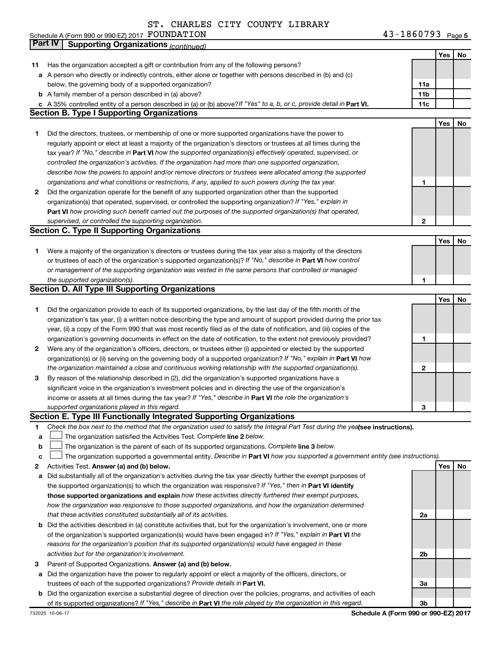43-1860793 Page 5 Schedule A (Form 990 or 990-EZ) 2017 PUUNDATILON North Schedule A (Form 990 or 990-EZ) 2017 Page FOUNDATION 43-1860793

|    | <b>Part IV</b><br><b>Supporting Organizations (continued)</b>                                                                   |                 |            |    |
|----|---------------------------------------------------------------------------------------------------------------------------------|-----------------|------------|----|
|    |                                                                                                                                 |                 | Yes        | No |
| 11 | Has the organization accepted a gift or contribution from any of the following persons?                                         |                 |            |    |
|    | a A person who directly or indirectly controls, either alone or together with persons described in (b) and (c)                  |                 |            |    |
|    | below, the governing body of a supported organization?                                                                          | 11a             |            |    |
|    | <b>b</b> A family member of a person described in (a) above?                                                                    | 11 <sub>b</sub> |            |    |
|    | c A 35% controlled entity of a person described in (a) or (b) above? If "Yes" to a, b, or c, provide detail in Part VI.         | 11c             |            |    |
|    | <b>Section B. Type I Supporting Organizations</b>                                                                               |                 |            |    |
|    |                                                                                                                                 |                 | Yes        | No |
| 1  | Did the directors, trustees, or membership of one or more supported organizations have the power to                             |                 |            |    |
|    | regularly appoint or elect at least a majority of the organization's directors or trustees at all times during the              |                 |            |    |
|    | tax year? If "No," describe in Part VI how the supported organization(s) effectively operated, supervised, or                   |                 |            |    |
|    | controlled the organization's activities. If the organization had more than one supported organization,                         |                 |            |    |
|    | describe how the powers to appoint and/or remove directors or trustees were allocated among the supported                       |                 |            |    |
|    | organizations and what conditions or restrictions, if any, applied to such powers during the tax year.                          | 1               |            |    |
| 2  | Did the organization operate for the benefit of any supported organization other than the supported                             |                 |            |    |
|    | organization(s) that operated, supervised, or controlled the supporting organization? If "Yes," explain in                      |                 |            |    |
|    | Part VI how providing such benefit carried out the purposes of the supported organization(s) that operated,                     |                 |            |    |
|    |                                                                                                                                 | $\mathbf{2}$    |            |    |
|    | supervised, or controlled the supporting organization.<br><b>Section C. Type II Supporting Organizations</b>                    |                 |            |    |
|    |                                                                                                                                 |                 | Yes        |    |
|    |                                                                                                                                 |                 |            | No |
| 1. | Were a majority of the organization's directors or trustees during the tax year also a majority of the directors                |                 |            |    |
|    | or trustees of each of the organization's supported organization(s)? If "No," describe in Part VI how control                   |                 |            |    |
|    | or management of the supporting organization was vested in the same persons that controlled or managed                          |                 |            |    |
|    | the supported organization(s).<br><b>Section D. All Type III Supporting Organizations</b>                                       | 1               |            |    |
|    |                                                                                                                                 |                 | Yes        |    |
|    |                                                                                                                                 |                 |            | No |
| 1  | Did the organization provide to each of its supported organizations, by the last day of the fifth month of the                  |                 |            |    |
|    | organization's tax year, (i) a written notice describing the type and amount of support provided during the prior tax           |                 |            |    |
|    | year, (ii) a copy of the Form 990 that was most recently filed as of the date of notification, and (iii) copies of the          |                 |            |    |
|    | organization's governing documents in effect on the date of notification, to the extent not previously provided?                | 1               |            |    |
| 2  | Were any of the organization's officers, directors, or trustees either (i) appointed or elected by the supported                |                 |            |    |
|    | organization(s) or (ii) serving on the governing body of a supported organization? If "No," explain in Part VI how              |                 |            |    |
|    | the organization maintained a close and continuous working relationship with the supported organization(s).                     | 2               |            |    |
| 3  | By reason of the relationship described in (2), did the organization's supported organizations have a                           |                 |            |    |
|    | significant voice in the organization's investment policies and in directing the use of the organization's                      |                 |            |    |
|    | income or assets at all times during the tax year? If "Yes," describe in Part VI the role the organization's                    |                 |            |    |
|    | supported organizations played in this regard.                                                                                  | з               |            |    |
|    | Section E. Type III Functionally Integrated Supporting Organizations                                                            |                 |            |    |
| 1  | Check the box next to the method that the organization used to satisfy the Integral Part Test during the yealsee instructions). |                 |            |    |
| a  | The organization satisfied the Activities Test. Complete line 2 below.                                                          |                 |            |    |
| b  | The organization is the parent of each of its supported organizations. Complete line 3 below.                                   |                 |            |    |
| с  | The organization supported a governmental entity. Describe in Part VI how you supported a government entity (see instructions). |                 |            |    |
| 2  | Activities Test. Answer (a) and (b) below.                                                                                      |                 | <b>Yes</b> | No |
| а  | Did substantially all of the organization's activities during the tax year directly further the exempt purposes of              |                 |            |    |
|    | the supported organization(s) to which the organization was responsive? If "Yes," then in Part VI identify                      |                 |            |    |
|    | those supported organizations and explain how these activities directly furthered their exempt purposes,                        |                 |            |    |
|    | how the organization was responsive to those supported organizations, and how the organization determined                       |                 |            |    |
|    | that these activities constituted substantially all of its activities.                                                          | 2a              |            |    |
| b  | Did the activities described in (a) constitute activities that, but for the organization's involvement, one or more             |                 |            |    |
|    | of the organization's supported organization(s) would have been engaged in? If "Yes," explain in Part VI the                    |                 |            |    |
|    | reasons for the organization's position that its supported organization(s) would have engaged in these                          |                 |            |    |
|    | activities but for the organization's involvement.                                                                              | 2b              |            |    |
| з  | Parent of Supported Organizations. Answer (a) and (b) below.                                                                    |                 |            |    |
| а  | Did the organization have the power to regularly appoint or elect a majority of the officers, directors, or                     |                 |            |    |
|    | trustees of each of the supported organizations? Provide details in Part VI.                                                    | За              |            |    |
|    | <b>b</b> Did the organization exercise a substantial degree of direction over the policies, programs, and activities of each    |                 |            |    |
|    | of its supported organizations? If "Yes," describe in Part VI the role played by the organization in this regard.               | 3b              |            |    |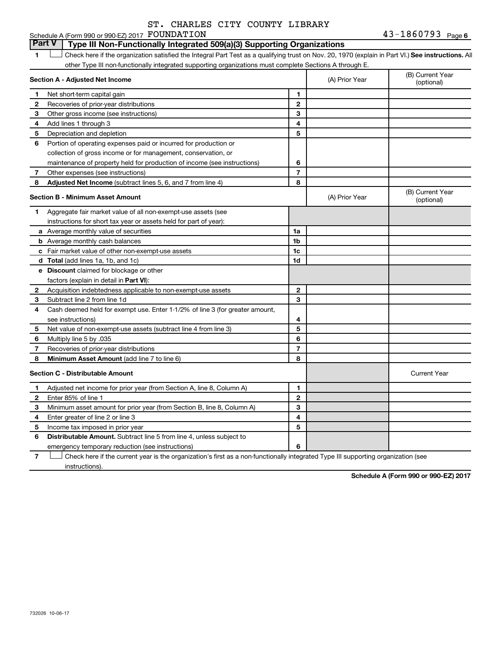#### **1 Letter or if the organization satisfied the Integral Part Test as a qualifying trust on Nov. 20, 1970 (explain in Part VI.) See instructions. All Section A - Adjusted Net Income 1 2 3 4 5 6 7 8 1 2 3 4 5 6 7 Adjusted Net Income** (subtract lines 5, 6, and 7 from line 4) **8 8 Section B - Minimum Asset Amount 1 a 1a** Schedule A (Form 990 or 990-EZ) 2017  ${\rm \bf FOUNDATION} \hspace{2cm} 43-1860793$  Page other Type III non-functionally integrated supporting organizations must complete Sections A through E. (B) Current Year (A) Prior Year Net short-term capital gain Recoveries of prior-year distributions Other gross income (see instructions) Add lines 1 through 3 Depreciation and depletion Portion of operating expenses paid or incurred for production or collection of gross income or for management, conservation, or maintenance of property held for production of income (see instructions) Other expenses (see instructions) (B) Current Year (A) Prior Year  $(0, 0)$  Oditeit i Aggregate fair market value of all non-exempt-use assets (see instructions for short tax year or assets held for part of year): Average monthly value of securities **Part V Type III Non-Functionally Integrated 509(a)(3) Supporting Organizations**   $\Box$

|   | $\frac{1}{2}$ abelief to the case $\frac{1}{2}$ out of abbotts from for part of $\frac{1}{2}$ out fit |                |                     |
|---|-------------------------------------------------------------------------------------------------------|----------------|---------------------|
|   | a Average monthly value of securities                                                                 | 1a             |                     |
|   | <b>b</b> Average monthly cash balances                                                                | 1 <sub>b</sub> |                     |
|   | c Fair market value of other non-exempt-use assets                                                    | 1c             |                     |
|   | <b>d</b> Total (add lines 1a, 1b, and 1c)                                                             | 1d             |                     |
|   | e Discount claimed for blockage or other                                                              |                |                     |
|   | factors (explain in detail in Part VI):                                                               |                |                     |
| 2 | Acquisition indebtedness applicable to non-exempt-use assets                                          | $\mathbf{2}$   |                     |
| 3 | Subtract line 2 from line 1d                                                                          | 3              |                     |
| 4 | Cash deemed held for exempt use. Enter 1-1/2% of line 3 (for greater amount,                          |                |                     |
|   | see instructions)                                                                                     | 4              |                     |
| 5 | Net value of non-exempt-use assets (subtract line 4 from line 3)                                      | 5              |                     |
| 6 | Multiply line 5 by .035                                                                               | 6              |                     |
|   | Recoveries of prior-year distributions                                                                |                |                     |
| 8 | Minimum Asset Amount (add line 7 to line 6)                                                           | 8              |                     |
|   | <b>Section C - Distributable Amount</b>                                                               |                | <b>Current Year</b> |
|   | Adjusted net income for prior year (from Section A, line 8, Column A)                                 |                |                     |
| 2 | Enter 85% of line 1                                                                                   | $\mathbf{2}$   |                     |
| 3 | Minimum asset amount for prior year (from Section B, line 8, Column A)                                | 3              |                     |
| 4 | Enter greater of line 2 or line 3                                                                     | 4              |                     |
| 5 | Income tax imposed in prior year                                                                      | 5              |                     |
| 6 | <b>Distributable Amount.</b> Subtract line 5 from line 4, unless subject to                           |                |                     |
|   | emergency temporary reduction (see instructions)                                                      | 6              |                     |
|   | المتموي والمستحمل                                                                                     |                |                     |

**7** Check here if the current year is the organization's first as a non-functionally integrated Type III supporting organization (see † instructions).

**Schedule A (Form 990 or 990-EZ) 2017**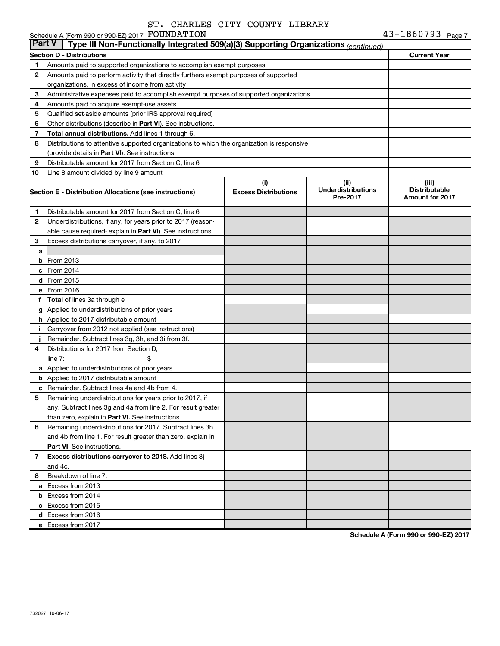|  | pi. Chando Cill Cognit Bibhani |  |                       |  |
|--|--------------------------------|--|-----------------------|--|
|  | EZ) 2017 FOUNDATION            |  | $43 - 1860793$ Page 7 |  |

|               | Schedule A (Form 990 or 990-EZ) 2017 FOUNDATION                                            |                                    |                                               | 43-1860793 <sub>Page 7</sub>                     |
|---------------|--------------------------------------------------------------------------------------------|------------------------------------|-----------------------------------------------|--------------------------------------------------|
| <b>Part V</b> | Type III Non-Functionally Integrated 509(a)(3) Supporting Organizations (continued)        |                                    |                                               |                                                  |
|               | <b>Section D - Distributions</b>                                                           |                                    |                                               | <b>Current Year</b>                              |
| 1             | Amounts paid to supported organizations to accomplish exempt purposes                      |                                    |                                               |                                                  |
| 2             | Amounts paid to perform activity that directly furthers exempt purposes of supported       |                                    |                                               |                                                  |
|               | organizations, in excess of income from activity                                           |                                    |                                               |                                                  |
| З             | Administrative expenses paid to accomplish exempt purposes of supported organizations      |                                    |                                               |                                                  |
| 4             | Amounts paid to acquire exempt-use assets                                                  |                                    |                                               |                                                  |
| 5             | Qualified set-aside amounts (prior IRS approval required)                                  |                                    |                                               |                                                  |
| 6             | Other distributions (describe in Part VI). See instructions.                               |                                    |                                               |                                                  |
| 7             | Total annual distributions. Add lines 1 through 6.                                         |                                    |                                               |                                                  |
| 8             | Distributions to attentive supported organizations to which the organization is responsive |                                    |                                               |                                                  |
|               | (provide details in Part VI). See instructions.                                            |                                    |                                               |                                                  |
| 9             | Distributable amount for 2017 from Section C, line 6                                       |                                    |                                               |                                                  |
| 10            | Line 8 amount divided by line 9 amount                                                     |                                    |                                               |                                                  |
|               | Section E - Distribution Allocations (see instructions)                                    | (i)<br><b>Excess Distributions</b> | (ii)<br><b>Underdistributions</b><br>Pre-2017 | (iii)<br><b>Distributable</b><br>Amount for 2017 |
| 1             | Distributable amount for 2017 from Section C, line 6                                       |                                    |                                               |                                                  |
| 2             | Underdistributions, if any, for years prior to 2017 (reason-                               |                                    |                                               |                                                  |
|               | able cause required-explain in Part VI). See instructions.                                 |                                    |                                               |                                                  |
| З             | Excess distributions carryover, if any, to 2017                                            |                                    |                                               |                                                  |
| а             |                                                                                            |                                    |                                               |                                                  |
|               | $b$ From 2013                                                                              |                                    |                                               |                                                  |
|               | c From 2014                                                                                |                                    |                                               |                                                  |
|               | d From 2015                                                                                |                                    |                                               |                                                  |
|               | e From 2016                                                                                |                                    |                                               |                                                  |
|               | f Total of lines 3a through e                                                              |                                    |                                               |                                                  |
|               | g Applied to underdistributions of prior years                                             |                                    |                                               |                                                  |
|               | h Applied to 2017 distributable amount                                                     |                                    |                                               |                                                  |
| j.            | Carryover from 2012 not applied (see instructions)                                         |                                    |                                               |                                                  |
|               | Remainder. Subtract lines 3g, 3h, and 3i from 3f.                                          |                                    |                                               |                                                  |
| 4             | Distributions for 2017 from Section D.                                                     |                                    |                                               |                                                  |
|               | line $7:$                                                                                  |                                    |                                               |                                                  |
|               | a Applied to underdistributions of prior years                                             |                                    |                                               |                                                  |
|               | <b>b</b> Applied to 2017 distributable amount                                              |                                    |                                               |                                                  |
|               | c Remainder. Subtract lines 4a and 4b from 4.                                              |                                    |                                               |                                                  |
|               | Remaining underdistributions for years prior to 2017, if                                   |                                    |                                               |                                                  |
|               | any. Subtract lines 3g and 4a from line 2. For result greater                              |                                    |                                               |                                                  |
|               | than zero, explain in Part VI. See instructions.                                           |                                    |                                               |                                                  |
| 6             | Remaining underdistributions for 2017. Subtract lines 3h                                   |                                    |                                               |                                                  |
|               | and 4b from line 1. For result greater than zero, explain in                               |                                    |                                               |                                                  |
|               | <b>Part VI.</b> See instructions.                                                          |                                    |                                               |                                                  |
| 7             | Excess distributions carryover to 2018. Add lines 3j                                       |                                    |                                               |                                                  |
|               | and 4c.                                                                                    |                                    |                                               |                                                  |
| 8             | Breakdown of line 7:                                                                       |                                    |                                               |                                                  |
|               | a Excess from 2013                                                                         |                                    |                                               |                                                  |
|               | <b>b</b> Excess from 2014                                                                  |                                    |                                               |                                                  |
|               | c Excess from 2015                                                                         |                                    |                                               |                                                  |
|               | d Excess from 2016                                                                         |                                    |                                               |                                                  |
|               | e Excess from 2017                                                                         |                                    |                                               |                                                  |

**Schedule A (Form 990 or 990-EZ) 2017**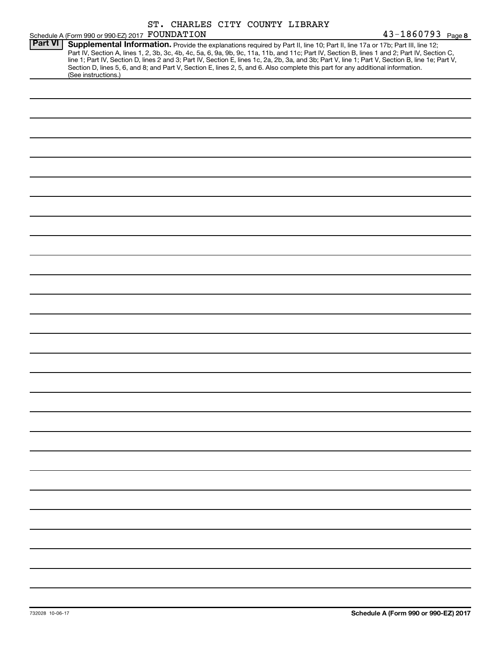|                |                                                 | ST. CHARLES CITY COUNTY LIBRARY |                                                                                                                                                                                                                                                                                                                                                                                                                                                                                                                                                                      |                   |
|----------------|-------------------------------------------------|---------------------------------|----------------------------------------------------------------------------------------------------------------------------------------------------------------------------------------------------------------------------------------------------------------------------------------------------------------------------------------------------------------------------------------------------------------------------------------------------------------------------------------------------------------------------------------------------------------------|-------------------|
|                | Schedule A (Form 990 or 990-EZ) 2017 FOUNDATION |                                 |                                                                                                                                                                                                                                                                                                                                                                                                                                                                                                                                                                      | 43-1860793 Page 8 |
| <b>Part VI</b> | (See instructions.)                             |                                 | Supplemental Information. Provide the explanations required by Part II, line 10; Part II, line 17a or 17b; Part III, line 12;<br>Part IV, Section A, lines 1, 2, 3b, 3c, 4b, 4c, 5a, 6, 9a, 9b, 9c, 11a, 11b, and 11c; Part IV, Section B, lines 1 and 2; Part IV, Section C,<br>line 1; Part IV, Section D, lines 2 and 3; Part IV, Section E, lines 1c, 2a, 2b, 3a, and 3b; Part V, line 1; Part V, Section B, line 1e; Part V,<br>Section D, lines 5, 6, and 8; and Part V, Section E, lines 2, 5, and 6. Also complete this part for any additional information. |                   |
|                |                                                 |                                 |                                                                                                                                                                                                                                                                                                                                                                                                                                                                                                                                                                      |                   |
|                |                                                 |                                 |                                                                                                                                                                                                                                                                                                                                                                                                                                                                                                                                                                      |                   |
|                |                                                 |                                 |                                                                                                                                                                                                                                                                                                                                                                                                                                                                                                                                                                      |                   |
|                |                                                 |                                 |                                                                                                                                                                                                                                                                                                                                                                                                                                                                                                                                                                      |                   |
|                |                                                 |                                 |                                                                                                                                                                                                                                                                                                                                                                                                                                                                                                                                                                      |                   |
|                |                                                 |                                 |                                                                                                                                                                                                                                                                                                                                                                                                                                                                                                                                                                      |                   |
|                |                                                 |                                 |                                                                                                                                                                                                                                                                                                                                                                                                                                                                                                                                                                      |                   |
|                |                                                 |                                 |                                                                                                                                                                                                                                                                                                                                                                                                                                                                                                                                                                      |                   |
|                |                                                 |                                 |                                                                                                                                                                                                                                                                                                                                                                                                                                                                                                                                                                      |                   |
|                |                                                 |                                 |                                                                                                                                                                                                                                                                                                                                                                                                                                                                                                                                                                      |                   |
|                |                                                 |                                 |                                                                                                                                                                                                                                                                                                                                                                                                                                                                                                                                                                      |                   |
|                |                                                 |                                 |                                                                                                                                                                                                                                                                                                                                                                                                                                                                                                                                                                      |                   |
|                |                                                 |                                 |                                                                                                                                                                                                                                                                                                                                                                                                                                                                                                                                                                      |                   |
|                |                                                 |                                 |                                                                                                                                                                                                                                                                                                                                                                                                                                                                                                                                                                      |                   |
|                |                                                 |                                 |                                                                                                                                                                                                                                                                                                                                                                                                                                                                                                                                                                      |                   |
|                |                                                 |                                 |                                                                                                                                                                                                                                                                                                                                                                                                                                                                                                                                                                      |                   |
|                |                                                 |                                 |                                                                                                                                                                                                                                                                                                                                                                                                                                                                                                                                                                      |                   |
|                |                                                 |                                 |                                                                                                                                                                                                                                                                                                                                                                                                                                                                                                                                                                      |                   |
|                |                                                 |                                 |                                                                                                                                                                                                                                                                                                                                                                                                                                                                                                                                                                      |                   |
|                |                                                 |                                 |                                                                                                                                                                                                                                                                                                                                                                                                                                                                                                                                                                      |                   |
|                |                                                 |                                 |                                                                                                                                                                                                                                                                                                                                                                                                                                                                                                                                                                      |                   |
|                |                                                 |                                 |                                                                                                                                                                                                                                                                                                                                                                                                                                                                                                                                                                      |                   |
|                |                                                 |                                 |                                                                                                                                                                                                                                                                                                                                                                                                                                                                                                                                                                      |                   |
|                |                                                 |                                 |                                                                                                                                                                                                                                                                                                                                                                                                                                                                                                                                                                      |                   |
|                |                                                 |                                 |                                                                                                                                                                                                                                                                                                                                                                                                                                                                                                                                                                      |                   |
|                |                                                 |                                 |                                                                                                                                                                                                                                                                                                                                                                                                                                                                                                                                                                      |                   |
|                |                                                 |                                 |                                                                                                                                                                                                                                                                                                                                                                                                                                                                                                                                                                      |                   |
|                |                                                 |                                 |                                                                                                                                                                                                                                                                                                                                                                                                                                                                                                                                                                      |                   |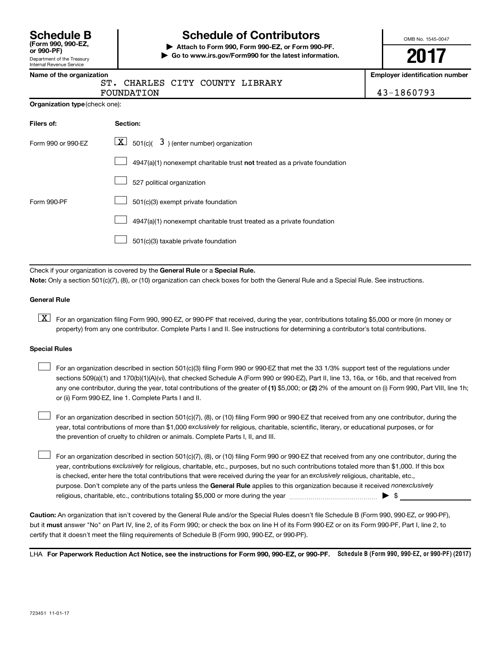| <b>Schedule B</b>  |  |
|--------------------|--|
| (Form 990, 990-EZ, |  |

Department of the Treasury Internal Revenue Service

# **Schedule of Contributors**

**or 990-PF) | Attach to Form 990, Form 990-EZ, or Form 990-PF. | Go to www.irs.gov/Form990 for the latest information.** OMB No. 1545-0047

**2017**

**Employer identification number** 

| CHARLES CITY COUNTY LIBRARY |  |            |
|-----------------------------|--|------------|
| FOUNDATION                  |  | 43-1860793 |

| Filers of:         | Section:                                                                           |
|--------------------|------------------------------------------------------------------------------------|
| Form 990 or 990-EZ | $ \mathbf{X} $ 501(c)( 3) (enter number) organization                              |
|                    | $4947(a)(1)$ nonexempt charitable trust <b>not</b> treated as a private foundation |
|                    | 527 political organization                                                         |
| Form 990-PF        | 501(c)(3) exempt private foundation                                                |
|                    | 4947(a)(1) nonexempt charitable trust treated as a private foundation              |
|                    | 501(c)(3) taxable private foundation                                               |

Check if your organization is covered by the General Rule or a Special Rule.

**Note:**  Only a section 501(c)(7), (8), or (10) organization can check boxes for both the General Rule and a Special Rule. See instructions.

## **General Rule**

**K** For an organization filing Form 990, 990-EZ, or 990-PF that received, during the year, contributions totaling \$5,000 or more (in money or property) from any one contributor. Complete Parts I and II. See instructions for determining a contributor's total contributions.

### **Special Rules**

 $\Box$ 

any one contributor, during the year, total contributions of the greater of (1) \$5,000; or (2) 2% of the amount on (i) Form 990, Part VIII, line 1h; For an organization described in section 501(c)(3) filing Form 990 or 990-EZ that met the 33 1/3% support test of the regulations under sections 509(a)(1) and 170(b)(1)(A)(vi), that checked Schedule A (Form 990 or 990-EZ), Part II, line 13, 16a, or 16b, and that received from or (ii) Form 990-EZ, line 1. Complete Parts I and II.  $\Box$ 

year, total contributions of more than \$1,000 *exclusively* for religious, charitable, scientific, literary, or educational purposes, or for For an organization described in section 501(c)(7), (8), or (10) filing Form 990 or 990-EZ that received from any one contributor, during the the prevention of cruelty to children or animals. Complete Parts I, II, and III.  $\Box$ 

purpose. Don't complete any of the parts unless the General Rule applies to this organization because it received nonexclusively year, contributions exclusively for religious, charitable, etc., purposes, but no such contributions totaled more than \$1,000. If this box is checked, enter here the total contributions that were received during the year for an exclusively religious, charitable, etc., For an organization described in section 501(c)(7), (8), or (10) filing Form 990 or 990-EZ that received from any one contributor, during the religious, charitable, etc., contributions totaling \$5,000 or more during the year  $\ldots$  $\ldots$  $\ldots$  $\ldots$  $\ldots$  $\ldots$ 

**Caution:**  An organization that isn't covered by the General Rule and/or the Special Rules doesn't file Schedule B (Form 990, 990-EZ, or 990-PF),  **must** but it answer "No" on Part IV, line 2, of its Form 990; or check the box on line H of its Form 990-EZ or on its Form 990-PF, Part I, line 2, to certify that it doesn't meet the filing requirements of Schedule B (Form 990, 990-EZ, or 990-PF).

LHA For Paperwork Reduction Act Notice, see the instructions for Form 990, 990-EZ, or 990-PF. Schedule B (Form 990, 990-EZ, or 990-PF) (2017)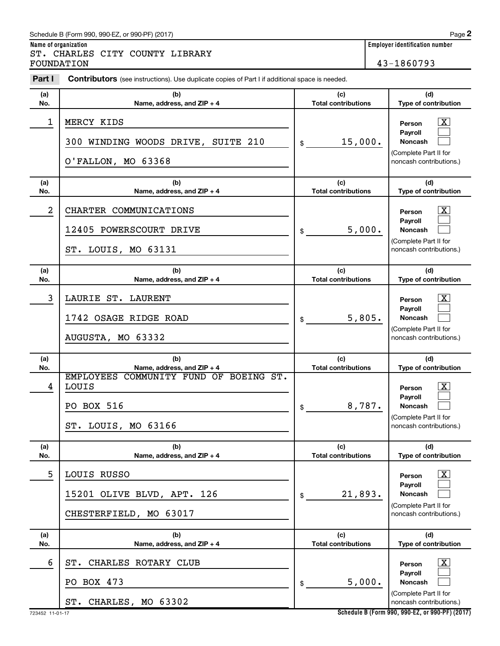# Schedule B (Form 990, 990-EZ, or 990-PF) (2017)

**Name of organization Employer identification number** ST. CHARLES CITY COUNTY LIBRARY FOUNDATION 43-1860793

| Part I           | <b>Contributors</b> (see instructions). Use duplicate copies of Part I if additional space is needed.              |                                             |                                                                                                                                          |  |  |  |
|------------------|--------------------------------------------------------------------------------------------------------------------|---------------------------------------------|------------------------------------------------------------------------------------------------------------------------------------------|--|--|--|
| (a)              | (b)                                                                                                                | (c)                                         | (d)                                                                                                                                      |  |  |  |
| No.              | Name, address, and ZIP + 4                                                                                         | <b>Total contributions</b>                  | Type of contribution                                                                                                                     |  |  |  |
| 1                | MERCY KIDS<br>300 WINDING WOODS DRIVE, SUITE 210<br>O'FALLON, MO 63368                                             | 15,000.<br>\$                               | $\overline{\mathbf{X}}$<br>Person<br>Payroll<br>Noncash<br>(Complete Part II for<br>noncash contributions.)                              |  |  |  |
| (a)<br>No.       | (b)<br>Name, address, and ZIP + 4                                                                                  | (c)<br><b>Total contributions</b>           | (d)<br>Type of contribution                                                                                                              |  |  |  |
| $\boldsymbol{2}$ | CHARTER COMMUNICATIONS<br>12405 POWERSCOURT DRIVE                                                                  | 5,000.<br>\$                                | $\mathbf{X}$<br>Person<br>Payroll<br>Noncash<br>(Complete Part II for                                                                    |  |  |  |
| (a)              | ST. LOUIS, MO 63131<br>(b)                                                                                         | (c)                                         | noncash contributions.)<br>(d)                                                                                                           |  |  |  |
| No.              | Name, address, and ZIP + 4                                                                                         | <b>Total contributions</b>                  | Type of contribution                                                                                                                     |  |  |  |
| 3                | LAURIE ST. LAURENT<br>1742 OSAGE RIDGE ROAD<br>AUGUSTA, MO 63332                                                   | 5,805.<br>\$                                | $\overline{\mathbf{X}}$<br>Person<br>Payroll<br>Noncash<br>(Complete Part II for<br>noncash contributions.)                              |  |  |  |
| (a)              | (b)                                                                                                                | (c)                                         | (d)                                                                                                                                      |  |  |  |
| No.<br>4         | Name, address, and ZIP + 4<br>EMPLOYEES COMMUNITY FUND OF BOEING ST.<br>LOUIS<br>PO BOX 516<br>ST. LOUIS, MO 63166 | <b>Total contributions</b><br>8,787.<br>\$  | Type of contribution<br>$\overline{\mathbf{X}}$<br>Person<br>Payroll<br>Noncash<br>(Complete Part II for<br>noncash contributions.)      |  |  |  |
| (a)              | (b)                                                                                                                | (c)                                         | (d)                                                                                                                                      |  |  |  |
| No.<br>5         | Name, address, and ZIP + 4<br>LOUIS RUSSO<br>15201 OLIVE BLVD, APT. 126<br>CHESTERFIELD, MO 63017                  | <b>Total contributions</b><br>21,893.<br>\$ | Type of contribution<br>$\overline{\text{X}}$<br>Person<br>Payroll<br><b>Noncash</b><br>(Complete Part II for<br>noncash contributions.) |  |  |  |
| (a)<br>No.       | (b)<br>Name, address, and ZIP + 4                                                                                  | (c)<br><b>Total contributions</b>           | (d)<br>Type of contribution                                                                                                              |  |  |  |
| 6                | CHARLES ROTARY CLUB<br>ST.<br>PO BOX 473<br>ST. CHARLES, MO 63302                                                  | 5,000.<br>\$                                | x<br>Person<br>Payroll<br><b>Noncash</b><br>(Complete Part II for<br>noncash contributions.)                                             |  |  |  |

**Schedule B (Form 990, 990-EZ, or 990-PF) (2017)**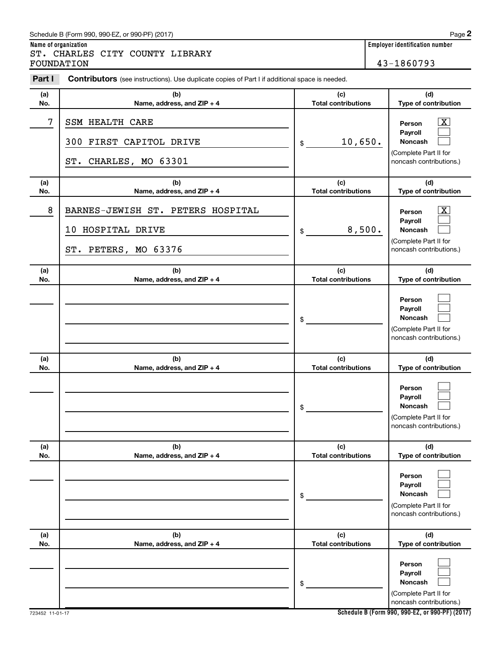# Schedule B (Form 990, 990-EZ, or 990-PF) (2017)

**Name of organization Employer identification number** ST. CHARLES CITY COUNTY LIBRARY FOUNDATION 43-1860793

| Part I     | <b>Contributors</b> (see instructions). Use duplicate copies of Part I if additional space is needed. |                                   |                                                                                                           |
|------------|-------------------------------------------------------------------------------------------------------|-----------------------------------|-----------------------------------------------------------------------------------------------------------|
| (a)<br>No. | (b)<br>Name, address, and ZIP + 4                                                                     | (c)<br><b>Total contributions</b> | (d)<br>Type of contribution                                                                               |
| 7          | <b>SSM HEALTH CARE</b><br>300 FIRST CAPITOL DRIVE<br>CHARLES, MO 63301<br>ST.                         | 10,650.<br>\$                     | $\overline{\text{X}}$<br>Person<br>Payroll<br>Noncash<br>(Complete Part II for<br>noncash contributions.) |
| (a)<br>No. | (b)<br>Name, address, and ZIP + 4                                                                     | (c)<br><b>Total contributions</b> | (d)<br>Type of contribution                                                                               |
| 8          | BARNES-JEWISH ST. PETERS HOSPITAL<br>10 HOSPITAL DRIVE<br>ST. PETERS, MO 63376                        | 8,500.<br>\$                      | $\mathbf{X}$<br>Person<br>Payroll<br>Noncash<br>(Complete Part II for<br>noncash contributions.)          |
| (a)<br>No. | (b)<br>Name, address, and ZIP + 4                                                                     | (c)<br><b>Total contributions</b> | (d)<br>Type of contribution                                                                               |
|            |                                                                                                       | \$                                | Person<br>Payroll<br>Noncash<br>(Complete Part II for<br>noncash contributions.)                          |
| (a)        | (b)                                                                                                   | (c)                               | (d)                                                                                                       |
| No.        | Name, address, and ZIP + 4                                                                            | <b>Total contributions</b><br>\$  | Type of contribution<br>Person<br>Payroll<br>Noncash<br>(Complete Part II for<br>noncash contributions.)  |
| (a)<br>No. | (b)<br>Name, address, and ZIP + 4                                                                     | (c)<br><b>Total contributions</b> | (d)<br>Type of contribution                                                                               |
|            |                                                                                                       | \$                                | Person<br>Payroll<br><b>Noncash</b><br>(Complete Part II for<br>noncash contributions.)                   |
| (a)<br>No. | (b)<br>Name, address, and ZIP + 4                                                                     | (c)<br><b>Total contributions</b> | (d)<br>Type of contribution                                                                               |
|            |                                                                                                       | \$                                | Person<br>Payroll<br><b>Noncash</b><br>(Complete Part II for<br>noncash contributions.)                   |

**Schedule B (Form 990, 990-EZ, or 990-PF) (2017)**

**2**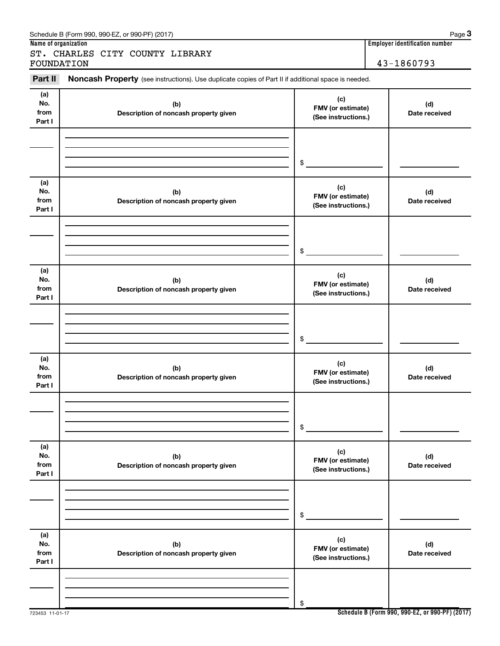| Part II                      | Noncash Property (see instructions). Use duplicate copies of Part II if additional space is needed. |                                                 |                      |
|------------------------------|-----------------------------------------------------------------------------------------------------|-------------------------------------------------|----------------------|
| (a)<br>No.<br>from<br>Part I | (b)<br>Description of noncash property given                                                        | (c)<br>FMV (or estimate)<br>(See instructions.) | (d)<br>Date received |
|                              |                                                                                                     | \$                                              |                      |
| (a)<br>No.<br>from<br>Part I | (b)<br>Description of noncash property given                                                        | (c)<br>FMV (or estimate)<br>(See instructions.) | (d)<br>Date received |
|                              |                                                                                                     | \$                                              |                      |
| (a)<br>No.<br>from<br>Part I | (b)<br>Description of noncash property given                                                        | (c)<br>FMV (or estimate)<br>(See instructions.) | (d)<br>Date received |
|                              |                                                                                                     | \$                                              |                      |
| (a)<br>No.<br>from<br>Part I | (b)<br>Description of noncash property given                                                        | (c)<br>FMV (or estimate)<br>(See instructions.) | (d)<br>Date received |
|                              |                                                                                                     | \$                                              |                      |
| (a)<br>No.<br>from<br>Part I | (b)<br>Description of noncash property given                                                        | (c)<br>FMV (or estimate)<br>(See instructions.) | (d)<br>Date received |
|                              |                                                                                                     | \$                                              |                      |
| (a)<br>No.<br>from<br>Part I | (b)<br>Description of noncash property given                                                        | (c)<br>FMV (or estimate)<br>(See instructions.) | (d)<br>Date received |
|                              |                                                                                                     | \$                                              |                      |

# Schedule B (Form 990, 990-EZ, or 990-PF) (2017)

ST. CHARLES CITY COUNTY LIBRARY FOUNDATION 43-1860793

**Name of organization Employer identification number**

**3**

**Schedule B (Form 990, 990-EZ, or 990-PF) (2017)**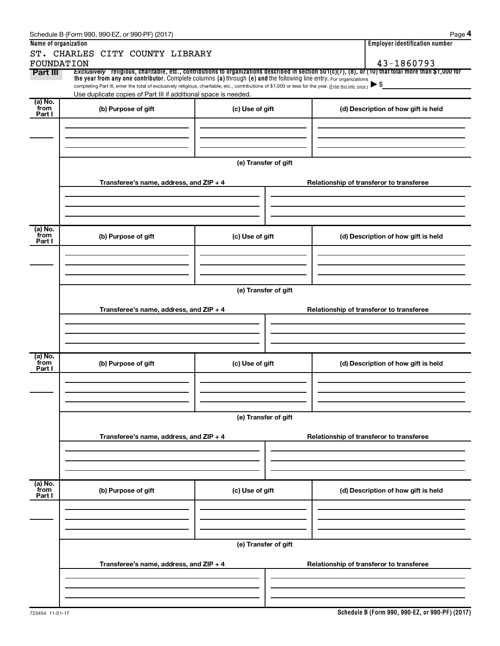|                        | Schedule B (Form 990, 990-EZ, or 990-PF) (2017)                                                                                                                                                                             |                      | Page 4                                                                                                                                                              |  |  |  |  |  |
|------------------------|-----------------------------------------------------------------------------------------------------------------------------------------------------------------------------------------------------------------------------|----------------------|---------------------------------------------------------------------------------------------------------------------------------------------------------------------|--|--|--|--|--|
| Name of organization   |                                                                                                                                                                                                                             |                      | <b>Employer identification number</b>                                                                                                                               |  |  |  |  |  |
|                        | ST. CHARLES CITY COUNTY LIBRARY                                                                                                                                                                                             |                      |                                                                                                                                                                     |  |  |  |  |  |
| FOUNDATION<br>Part III | the year from any one contributor. Complete columns (a) through (e) and the following line entry. For organizations                                                                                                         |                      | 43-1860793<br>Exclusively religious, charitable, etc., contributions to organizations described in section 501(c)(7), (8), or (10) that total more than \$1,000 for |  |  |  |  |  |
|                        | completing Part III, enter the total of exclusively religious, charitable, etc., contributions of \$1,000 or less for the year. (Enter this info. once.)<br>Use duplicate copies of Part III if additional space is needed. |                      | $\blacktriangleright$ \$                                                                                                                                            |  |  |  |  |  |
| (a) No.                |                                                                                                                                                                                                                             |                      |                                                                                                                                                                     |  |  |  |  |  |
| from<br>Part I         | (b) Purpose of gift                                                                                                                                                                                                         | (c) Use of gift      | (d) Description of how gift is held                                                                                                                                 |  |  |  |  |  |
|                        |                                                                                                                                                                                                                             |                      |                                                                                                                                                                     |  |  |  |  |  |
|                        |                                                                                                                                                                                                                             |                      |                                                                                                                                                                     |  |  |  |  |  |
|                        |                                                                                                                                                                                                                             |                      |                                                                                                                                                                     |  |  |  |  |  |
|                        |                                                                                                                                                                                                                             | (e) Transfer of gift |                                                                                                                                                                     |  |  |  |  |  |
|                        | Transferee's name, address, and ZIP + 4                                                                                                                                                                                     |                      | Relationship of transferor to transferee                                                                                                                            |  |  |  |  |  |
|                        |                                                                                                                                                                                                                             |                      |                                                                                                                                                                     |  |  |  |  |  |
| (a) No.                |                                                                                                                                                                                                                             |                      |                                                                                                                                                                     |  |  |  |  |  |
| from<br>Part I         | (b) Purpose of gift                                                                                                                                                                                                         | (c) Use of gift      | (d) Description of how gift is held                                                                                                                                 |  |  |  |  |  |
|                        |                                                                                                                                                                                                                             |                      |                                                                                                                                                                     |  |  |  |  |  |
|                        |                                                                                                                                                                                                                             |                      |                                                                                                                                                                     |  |  |  |  |  |
|                        |                                                                                                                                                                                                                             | (e) Transfer of gift |                                                                                                                                                                     |  |  |  |  |  |
|                        |                                                                                                                                                                                                                             |                      |                                                                                                                                                                     |  |  |  |  |  |
|                        | Transferee's name, address, and ZIP + 4                                                                                                                                                                                     |                      | Relationship of transferor to transferee                                                                                                                            |  |  |  |  |  |
|                        |                                                                                                                                                                                                                             |                      |                                                                                                                                                                     |  |  |  |  |  |
|                        |                                                                                                                                                                                                                             |                      |                                                                                                                                                                     |  |  |  |  |  |
| (a) No.<br>from        | (b) Purpose of gift                                                                                                                                                                                                         |                      | (d) Description of how gift is held                                                                                                                                 |  |  |  |  |  |
| Part I                 |                                                                                                                                                                                                                             | (c) Use of gift      |                                                                                                                                                                     |  |  |  |  |  |
|                        |                                                                                                                                                                                                                             |                      |                                                                                                                                                                     |  |  |  |  |  |
|                        |                                                                                                                                                                                                                             |                      |                                                                                                                                                                     |  |  |  |  |  |
|                        |                                                                                                                                                                                                                             |                      |                                                                                                                                                                     |  |  |  |  |  |
|                        |                                                                                                                                                                                                                             | (e) Transfer of gift |                                                                                                                                                                     |  |  |  |  |  |
|                        | Transferee's name, address, and ZIP + 4                                                                                                                                                                                     |                      | Relationship of transferor to transferee                                                                                                                            |  |  |  |  |  |
|                        |                                                                                                                                                                                                                             |                      |                                                                                                                                                                     |  |  |  |  |  |
|                        |                                                                                                                                                                                                                             |                      |                                                                                                                                                                     |  |  |  |  |  |
|                        |                                                                                                                                                                                                                             |                      |                                                                                                                                                                     |  |  |  |  |  |
| (a) No.<br>from        |                                                                                                                                                                                                                             |                      |                                                                                                                                                                     |  |  |  |  |  |
| Part I                 | (b) Purpose of gift                                                                                                                                                                                                         | (c) Use of gift      | (d) Description of how gift is held                                                                                                                                 |  |  |  |  |  |
|                        |                                                                                                                                                                                                                             |                      |                                                                                                                                                                     |  |  |  |  |  |
|                        |                                                                                                                                                                                                                             |                      |                                                                                                                                                                     |  |  |  |  |  |
|                        |                                                                                                                                                                                                                             |                      |                                                                                                                                                                     |  |  |  |  |  |
|                        | (e) Transfer of gift                                                                                                                                                                                                        |                      |                                                                                                                                                                     |  |  |  |  |  |
|                        |                                                                                                                                                                                                                             |                      |                                                                                                                                                                     |  |  |  |  |  |
|                        | Transferee's name, address, and ZIP + 4                                                                                                                                                                                     |                      | Relationship of transferor to transferee                                                                                                                            |  |  |  |  |  |
|                        |                                                                                                                                                                                                                             |                      |                                                                                                                                                                     |  |  |  |  |  |
|                        |                                                                                                                                                                                                                             |                      |                                                                                                                                                                     |  |  |  |  |  |
|                        |                                                                                                                                                                                                                             |                      |                                                                                                                                                                     |  |  |  |  |  |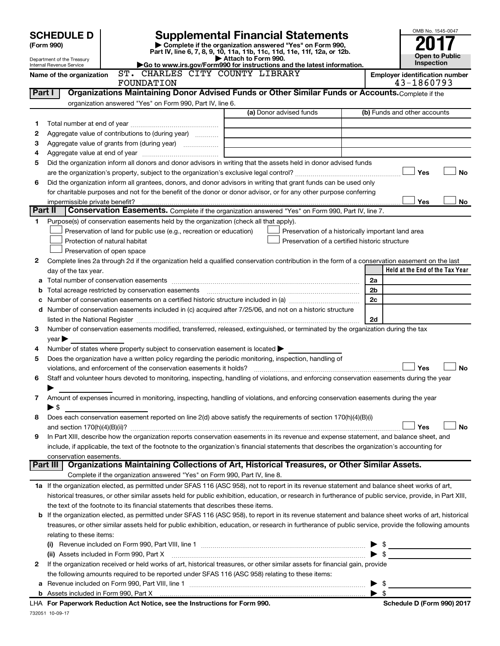|        | <b>SCHEDULE D</b>              |                                                                                                                                                                                                                                       | <b>Supplemental Financial Statements</b>                                                        |    | OMB No. 1545-0047                                   |
|--------|--------------------------------|---------------------------------------------------------------------------------------------------------------------------------------------------------------------------------------------------------------------------------------|-------------------------------------------------------------------------------------------------|----|-----------------------------------------------------|
|        | (Form 990)                     |                                                                                                                                                                                                                                       | Complete if the organization answered "Yes" on Form 990,                                        |    |                                                     |
|        | Department of the Treasury     |                                                                                                                                                                                                                                       | Part IV, line 6, 7, 8, 9, 10, 11a, 11b, 11c, 11d, 11e, 11f, 12a, or 12b.<br>Attach to Form 990. |    | <b>Open to Public</b>                               |
|        | Internal Revenue Service       |                                                                                                                                                                                                                                       | Go to www.irs.gov/Form990 for instructions and the latest information.                          |    | Inspection                                          |
|        | Name of the organization       | ST. CHARLES CITY COUNTY LIBRARY<br>FOUNDATION                                                                                                                                                                                         |                                                                                                 |    | <b>Employer identification number</b><br>43-1860793 |
| Part I |                                | Organizations Maintaining Donor Advised Funds or Other Similar Funds or Accounts. Complete if the                                                                                                                                     |                                                                                                 |    |                                                     |
|        |                                | organization answered "Yes" on Form 990, Part IV, line 6.                                                                                                                                                                             |                                                                                                 |    |                                                     |
|        |                                |                                                                                                                                                                                                                                       | (a) Donor advised funds                                                                         |    | (b) Funds and other accounts                        |
| 1      |                                |                                                                                                                                                                                                                                       |                                                                                                 |    |                                                     |
| 2      |                                | Aggregate value of contributions to (during year)                                                                                                                                                                                     |                                                                                                 |    |                                                     |
| 3      |                                |                                                                                                                                                                                                                                       | <u> 1980 - Johann John Stein, markin santa shekara 1980 - An an tsara</u>                       |    |                                                     |
| 4<br>5 |                                | Did the organization inform all donors and donor advisors in writing that the assets held in donor advised funds                                                                                                                      |                                                                                                 |    |                                                     |
|        |                                |                                                                                                                                                                                                                                       |                                                                                                 |    | Yes<br><b>No</b>                                    |
| 6      |                                | Did the organization inform all grantees, donors, and donor advisors in writing that grant funds can be used only                                                                                                                     |                                                                                                 |    |                                                     |
|        |                                | for charitable purposes and not for the benefit of the donor or donor advisor, or for any other purpose conferring                                                                                                                    |                                                                                                 |    |                                                     |
|        | impermissible private benefit? |                                                                                                                                                                                                                                       |                                                                                                 |    | Yes<br>No                                           |
|        | Part II                        | Conservation Easements. Complete if the organization answered "Yes" on Form 990, Part IV, line 7.                                                                                                                                     |                                                                                                 |    |                                                     |
| 1      |                                | Purpose(s) of conservation easements held by the organization (check all that apply).                                                                                                                                                 |                                                                                                 |    |                                                     |
|        |                                | Preservation of land for public use (e.g., recreation or education)                                                                                                                                                                   | Preservation of a historically important land area                                              |    |                                                     |
|        |                                | Protection of natural habitat                                                                                                                                                                                                         | Preservation of a certified historic structure                                                  |    |                                                     |
|        |                                | Preservation of open space                                                                                                                                                                                                            |                                                                                                 |    |                                                     |
| 2      |                                | Complete lines 2a through 2d if the organization held a qualified conservation contribution in the form of a conservation easement on the last                                                                                        |                                                                                                 |    | Held at the End of the Tax Year                     |
| a      | day of the tax year.           |                                                                                                                                                                                                                                       | 2a                                                                                              |    |                                                     |
| b      |                                | Total acreage restricted by conservation easements                                                                                                                                                                                    | 2 <sub>b</sub>                                                                                  |    |                                                     |
| с      |                                |                                                                                                                                                                                                                                       | 2c                                                                                              |    |                                                     |
|        |                                | d Number of conservation easements included in (c) acquired after 7/25/06, and not on a historic structure                                                                                                                            |                                                                                                 |    |                                                     |
|        |                                |                                                                                                                                                                                                                                       |                                                                                                 | 2d |                                                     |
| 3      |                                | Number of conservation easements modified, transferred, released, extinguished, or terminated by the organization during the tax                                                                                                      |                                                                                                 |    |                                                     |
|        | $year \triangleright$          |                                                                                                                                                                                                                                       |                                                                                                 |    |                                                     |
| 4      |                                | Number of states where property subject to conservation easement is located $\blacktriangleright$                                                                                                                                     |                                                                                                 |    |                                                     |
| 5      |                                | Does the organization have a written policy regarding the periodic monitoring, inspection, handling of                                                                                                                                |                                                                                                 |    |                                                     |
|        |                                | violations, and enforcement of the conservation easements it holds?                                                                                                                                                                   |                                                                                                 |    | Yes<br>No                                           |
| 6      |                                | Staff and volunteer hours devoted to monitoring, inspecting, handling of violations, and enforcing conservation easements during the year                                                                                             |                                                                                                 |    |                                                     |
| 7      |                                | Amount of expenses incurred in monitoring, inspecting, handling of violations, and enforcing conservation easements during the year                                                                                                   |                                                                                                 |    |                                                     |
|        | $\blacktriangleright$ \$       |                                                                                                                                                                                                                                       |                                                                                                 |    |                                                     |
| 8      |                                | Does each conservation easement reported on line 2(d) above satisfy the requirements of section 170(h)(4)(B)(i)                                                                                                                       |                                                                                                 |    |                                                     |
|        |                                |                                                                                                                                                                                                                                       |                                                                                                 |    | Yes<br>No                                           |
| 9      |                                | In Part XIII, describe how the organization reports conservation easements in its revenue and expense statement, and balance sheet, and                                                                                               |                                                                                                 |    |                                                     |
|        |                                | include, if applicable, the text of the footnote to the organization's financial statements that describes the organization's accounting for                                                                                          |                                                                                                 |    |                                                     |
|        | conservation easements.        |                                                                                                                                                                                                                                       |                                                                                                 |    |                                                     |
|        | Part III                       | Organizations Maintaining Collections of Art, Historical Treasures, or Other Similar Assets.                                                                                                                                          |                                                                                                 |    |                                                     |
|        |                                | Complete if the organization answered "Yes" on Form 990, Part IV, line 8.                                                                                                                                                             |                                                                                                 |    |                                                     |
|        |                                | 1a If the organization elected, as permitted under SFAS 116 (ASC 958), not to report in its revenue statement and balance sheet works of art,                                                                                         |                                                                                                 |    |                                                     |
|        |                                | historical treasures, or other similar assets held for public exhibition, education, or research in furtherance of public service, provide, in Part XIII,                                                                             |                                                                                                 |    |                                                     |
|        |                                | the text of the footnote to its financial statements that describes these items.<br>If the organization elected, as permitted under SFAS 116 (ASC 958), to report in its revenue statement and balance sheet works of art, historical |                                                                                                 |    |                                                     |
| b      |                                | treasures, or other similar assets held for public exhibition, education, or research in furtherance of public service, provide the following amounts                                                                                 |                                                                                                 |    |                                                     |
|        | relating to these items:       |                                                                                                                                                                                                                                       |                                                                                                 |    |                                                     |
|        |                                |                                                                                                                                                                                                                                       |                                                                                                 |    |                                                     |
|        |                                | (ii) Assets included in Form 990, Part X                                                                                                                                                                                              |                                                                                                 |    |                                                     |
| 2      |                                | If the organization received or held works of art, historical treasures, or other similar assets for financial gain, provide                                                                                                          |                                                                                                 |    |                                                     |
|        |                                | the following amounts required to be reported under SFAS 116 (ASC 958) relating to these items:                                                                                                                                       |                                                                                                 |    |                                                     |

732051 10-09-17 **b** Assets included in Form 990, Part X **For Paperwork Reduction Act Notice, see the Instructions for Form 990. Schedule D (Form 990) 2017** LHA

**a** Revenue included on Form 990, Part VIII, line 1 ~~~~~~~~~~~~~~~~~~~~~~~~~~~~~~ | \$

4 \$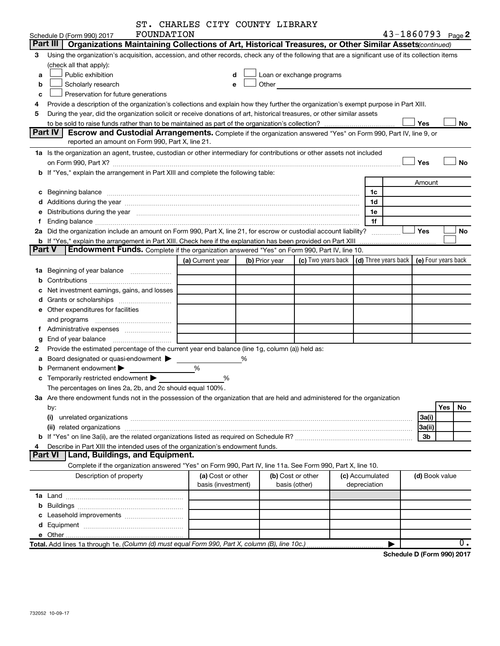|               | ST. CHARLES CITY COUNTY LIBRARY                                                                                                                                                                                                |   |                                         |                |       |                                    |                                 |                       |                     |     |                  |
|---------------|--------------------------------------------------------------------------------------------------------------------------------------------------------------------------------------------------------------------------------|---|-----------------------------------------|----------------|-------|------------------------------------|---------------------------------|-----------------------|---------------------|-----|------------------|
|               | FOUNDATION<br>Schedule D (Form 990) 2017<br>Part III                                                                                                                                                                           |   |                                         |                |       |                                    |                                 | $43 - 1860793$ Page 2 |                     |     |                  |
|               | Organizations Maintaining Collections of Art, Historical Treasures, or Other Similar Assets (continued)                                                                                                                        |   |                                         |                |       |                                    |                                 |                       |                     |     |                  |
| 3             | Using the organization's acquisition, accession, and other records, check any of the following that are a significant use of its collection items                                                                              |   |                                         |                |       |                                    |                                 |                       |                     |     |                  |
|               | (check all that apply):                                                                                                                                                                                                        |   |                                         |                |       |                                    |                                 |                       |                     |     |                  |
| a             | Public exhibition                                                                                                                                                                                                              |   | d                                       |                |       | Loan or exchange programs          |                                 |                       |                     |     |                  |
| b             | Scholarly research                                                                                                                                                                                                             |   |                                         | e              | Other |                                    |                                 |                       |                     |     |                  |
| c             | Preservation for future generations                                                                                                                                                                                            |   |                                         |                |       |                                    |                                 |                       |                     |     |                  |
| 4             | Provide a description of the organization's collections and explain how they further the organization's exempt purpose in Part XIII.                                                                                           |   |                                         |                |       |                                    |                                 |                       |                     |     |                  |
| 5             | During the year, did the organization solicit or receive donations of art, historical treasures, or other similar assets                                                                                                       |   |                                         |                |       |                                    |                                 |                       |                     |     |                  |
|               | Part IV                                                                                                                                                                                                                        |   |                                         |                |       |                                    |                                 |                       | Yes                 |     | No               |
|               | <b>Escrow and Custodial Arrangements.</b> Complete if the organization answered "Yes" on Form 990, Part IV, line 9, or<br>reported an amount on Form 990, Part X, line 21.                                                     |   |                                         |                |       |                                    |                                 |                       |                     |     |                  |
|               | 1a Is the organization an agent, trustee, custodian or other intermediary for contributions or other assets not included                                                                                                       |   |                                         |                |       |                                    |                                 |                       |                     |     |                  |
|               | on Form 990, Part X? [2010] [2010] [2010] [2010] [2010] [2010] [2010] [3010] [3010] [3010] [3010] [3010] [3010                                                                                                                 |   |                                         |                |       |                                    |                                 |                       | Yes                 |     | <b>No</b>        |
|               | b If "Yes," explain the arrangement in Part XIII and complete the following table:                                                                                                                                             |   |                                         |                |       |                                    |                                 |                       |                     |     |                  |
|               |                                                                                                                                                                                                                                |   |                                         |                |       |                                    |                                 |                       |                     |     |                  |
|               |                                                                                                                                                                                                                                |   |                                         |                |       |                                    |                                 |                       | Amount              |     |                  |
|               |                                                                                                                                                                                                                                |   |                                         |                |       |                                    | 1c                              |                       |                     |     |                  |
|               | d Additions during the year manufactured and an intervention of the state of Additions during the year manufactured and a state of the state of Additions during the year manufactured and a state of the state of the state o |   |                                         |                |       |                                    | 1d                              |                       |                     |     |                  |
|               | e Distributions during the year manufactured and an intervention of the year manufactured by the state of the state of the state of the state of the state of the state of the state of the state of the state of the state of |   |                                         |                |       |                                    | 1e                              |                       |                     |     |                  |
| f.            |                                                                                                                                                                                                                                |   |                                         |                |       |                                    | 1f                              |                       |                     |     |                  |
|               | 2a Did the organization include an amount on Form 990, Part X, line 21, for escrow or custodial account liability?                                                                                                             |   |                                         |                |       |                                    |                                 | .                     | Yes                 |     | No               |
| <b>Part V</b> | b If "Yes," explain the arrangement in Part XIII. Check here if the explanation has been provided on Part XIII<br>Endowment Funds. Complete if the organization answered "Yes" on Form 990, Part IV, line 10.                  |   |                                         |                |       |                                    |                                 |                       |                     |     |                  |
|               |                                                                                                                                                                                                                                |   |                                         |                |       | (c) Two years back                 | (d) Three years back            |                       | (e) Four years back |     |                  |
|               |                                                                                                                                                                                                                                |   | (a) Current year                        | (b) Prior year |       |                                    |                                 |                       |                     |     |                  |
|               | 1a Beginning of year balance                                                                                                                                                                                                   |   |                                         |                |       |                                    |                                 |                       |                     |     |                  |
| b             |                                                                                                                                                                                                                                |   |                                         |                |       |                                    |                                 |                       |                     |     |                  |
|               | Net investment earnings, gains, and losses                                                                                                                                                                                     |   |                                         |                |       |                                    |                                 |                       |                     |     |                  |
|               |                                                                                                                                                                                                                                |   |                                         |                |       |                                    |                                 |                       |                     |     |                  |
|               | e Other expenditures for facilities                                                                                                                                                                                            |   |                                         |                |       |                                    |                                 |                       |                     |     |                  |
|               |                                                                                                                                                                                                                                |   |                                         |                |       |                                    |                                 |                       |                     |     |                  |
|               |                                                                                                                                                                                                                                |   |                                         |                |       |                                    |                                 |                       |                     |     |                  |
| g             |                                                                                                                                                                                                                                |   |                                         |                |       |                                    |                                 |                       |                     |     |                  |
| 2             | Provide the estimated percentage of the current year end balance (line 1g, column (a)) held as:                                                                                                                                |   |                                         |                |       |                                    |                                 |                       |                     |     |                  |
|               | <b>a</b> Board designated or quasi-endowment $\blacktriangleright$                                                                                                                                                             |   |                                         | %              |       |                                    |                                 |                       |                     |     |                  |
|               | <b>b</b> Permanent endowment $\blacktriangleright$                                                                                                                                                                             | % |                                         |                |       |                                    |                                 |                       |                     |     |                  |
|               | <b>c</b> Temporarily restricted endowment $\blacktriangleright$                                                                                                                                                                |   | %                                       |                |       |                                    |                                 |                       |                     |     |                  |
|               | The percentages on lines 2a, 2b, and 2c should equal 100%.                                                                                                                                                                     |   |                                         |                |       |                                    |                                 |                       |                     |     |                  |
|               | 3a Are there endowment funds not in the possession of the organization that are held and administered for the organization                                                                                                     |   |                                         |                |       |                                    |                                 |                       |                     |     |                  |
|               | by:                                                                                                                                                                                                                            |   |                                         |                |       |                                    |                                 |                       |                     | Yes | No               |
|               |                                                                                                                                                                                                                                |   |                                         |                |       |                                    |                                 |                       | 3a(i)               |     |                  |
|               |                                                                                                                                                                                                                                |   |                                         |                |       |                                    |                                 |                       | 3a(ii)              |     |                  |
|               |                                                                                                                                                                                                                                |   |                                         |                |       |                                    |                                 |                       | 3b                  |     |                  |
| 4             | Describe in Part XIII the intended uses of the organization's endowment funds.                                                                                                                                                 |   |                                         |                |       |                                    |                                 |                       |                     |     |                  |
|               | Part VI<br>Land, Buildings, and Equipment.                                                                                                                                                                                     |   |                                         |                |       |                                    |                                 |                       |                     |     |                  |
|               | Complete if the organization answered "Yes" on Form 990, Part IV, line 11a. See Form 990, Part X, line 10.                                                                                                                     |   |                                         |                |       |                                    |                                 |                       |                     |     |                  |
|               | Description of property                                                                                                                                                                                                        |   | (a) Cost or other<br>basis (investment) |                |       | (b) Cost or other<br>basis (other) | (c) Accumulated<br>depreciation |                       | (d) Book value      |     |                  |
|               |                                                                                                                                                                                                                                |   |                                         |                |       |                                    |                                 |                       |                     |     |                  |
|               |                                                                                                                                                                                                                                |   |                                         |                |       |                                    |                                 |                       |                     |     |                  |
|               |                                                                                                                                                                                                                                |   |                                         |                |       |                                    |                                 |                       |                     |     |                  |
|               |                                                                                                                                                                                                                                |   |                                         |                |       |                                    |                                 |                       |                     |     |                  |
|               |                                                                                                                                                                                                                                |   |                                         |                |       |                                    |                                 |                       |                     |     |                  |
|               | Total. Add lines 1a through 1e. (Column (d) must equal Form 990, Part X, column (B), line 10c.)                                                                                                                                |   |                                         |                |       |                                    |                                 |                       |                     |     | $\overline{0}$ . |
|               |                                                                                                                                                                                                                                |   |                                         |                |       |                                    |                                 |                       |                     |     |                  |

**Schedule D (Form 990) 2017**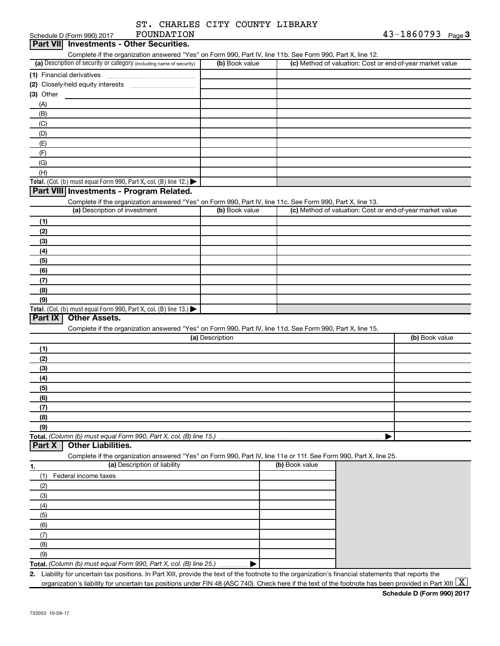| ST. CHARLES CITY COUNTY LIBRARY |  |            |
|---------------------------------|--|------------|
| <b>ROIMDATTON</b>               |  | 43-1860793 |

| Schedule D (Form 990) 2017<br><b>FOUNDATION</b><br>Part VII Investments - Other Securities.                                                          |                 |                | $43 - 1800793$<br>Page 3                                  |
|------------------------------------------------------------------------------------------------------------------------------------------------------|-----------------|----------------|-----------------------------------------------------------|
| Complete if the organization answered "Yes" on Form 990, Part IV, line 11b. See Form 990, Part X, line 12.                                           |                 |                |                                                           |
| (a) Description of security or category (including name of security)                                                                                 | (b) Book value  |                | (c) Method of valuation: Cost or end-of-year market value |
| (1) Financial derivatives                                                                                                                            |                 |                |                                                           |
| (2) Closely-held equity interests                                                                                                                    |                 |                |                                                           |
|                                                                                                                                                      |                 |                |                                                           |
| (3) Other                                                                                                                                            |                 |                |                                                           |
| (A)                                                                                                                                                  |                 |                |                                                           |
| (B)                                                                                                                                                  |                 |                |                                                           |
| (C)                                                                                                                                                  |                 |                |                                                           |
| (D)                                                                                                                                                  |                 |                |                                                           |
| (E)                                                                                                                                                  |                 |                |                                                           |
| (F)                                                                                                                                                  |                 |                |                                                           |
| (G)                                                                                                                                                  |                 |                |                                                           |
| (H)                                                                                                                                                  |                 |                |                                                           |
| Total. (Col. (b) must equal Form 990, Part X, col. (B) line 12.)                                                                                     |                 |                |                                                           |
| Part VIII Investments - Program Related.                                                                                                             |                 |                |                                                           |
| Complete if the organization answered "Yes" on Form 990, Part IV, line 11c. See Form 990, Part X, line 13.                                           |                 |                |                                                           |
| (a) Description of investment                                                                                                                        | (b) Book value  |                | (c) Method of valuation: Cost or end-of-year market value |
| (1)                                                                                                                                                  |                 |                |                                                           |
|                                                                                                                                                      |                 |                |                                                           |
| (2)                                                                                                                                                  |                 |                |                                                           |
| (3)                                                                                                                                                  |                 |                |                                                           |
| (4)                                                                                                                                                  |                 |                |                                                           |
| (5)                                                                                                                                                  |                 |                |                                                           |
| (6)                                                                                                                                                  |                 |                |                                                           |
| (7)                                                                                                                                                  |                 |                |                                                           |
| (8)                                                                                                                                                  |                 |                |                                                           |
| (9)                                                                                                                                                  |                 |                |                                                           |
| Total. (Col. (b) must equal Form 990, Part X, col. (B) line 13.)                                                                                     |                 |                |                                                           |
| <b>Other Assets.</b><br>Part IX                                                                                                                      |                 |                |                                                           |
| Complete if the organization answered "Yes" on Form 990, Part IV, line 11d. See Form 990, Part X, line 15.                                           |                 |                |                                                           |
|                                                                                                                                                      | (a) Description |                | (b) Book value                                            |
| (1)                                                                                                                                                  |                 |                |                                                           |
| (2)                                                                                                                                                  |                 |                |                                                           |
| (3)                                                                                                                                                  |                 |                |                                                           |
| (4)                                                                                                                                                  |                 |                |                                                           |
|                                                                                                                                                      |                 |                |                                                           |
| (5)                                                                                                                                                  |                 |                |                                                           |
| (6)                                                                                                                                                  |                 |                |                                                           |
| (7)                                                                                                                                                  |                 |                |                                                           |
| (8)                                                                                                                                                  |                 |                |                                                           |
| (9)                                                                                                                                                  |                 |                |                                                           |
|                                                                                                                                                      |                 |                |                                                           |
| Part X<br><b>Other Liabilities.</b>                                                                                                                  |                 |                |                                                           |
| Complete if the organization answered "Yes" on Form 990, Part IV, line 11e or 11f. See Form 990, Part X, line 25.                                    |                 |                |                                                           |
| (a) Description of liability<br>1.                                                                                                                   |                 | (b) Book value |                                                           |
| Federal income taxes<br>(1)                                                                                                                          |                 |                |                                                           |
| (2)                                                                                                                                                  |                 |                |                                                           |
| (3)                                                                                                                                                  |                 |                |                                                           |
|                                                                                                                                                      |                 |                |                                                           |
| (4)                                                                                                                                                  |                 |                |                                                           |
| (5)                                                                                                                                                  |                 |                |                                                           |
| (6)                                                                                                                                                  |                 |                |                                                           |
| (7)                                                                                                                                                  |                 |                |                                                           |
| (8)                                                                                                                                                  |                 |                |                                                           |
| (9)                                                                                                                                                  |                 |                |                                                           |
| Total. (Column (b) must equal Form 990, Part X, col. (B) line 25.)                                                                                   |                 |                |                                                           |
| 2. Liability for uncertain tax positions. In Part XIII, provide the text of the footnote to the organization's financial statements that reports the |                 |                |                                                           |

organization's liability for uncertain tax positions under FIN 48 (ASC 740). Check here if the text of the footnote has been provided in Part XIII  $\boxed{\text{X}}$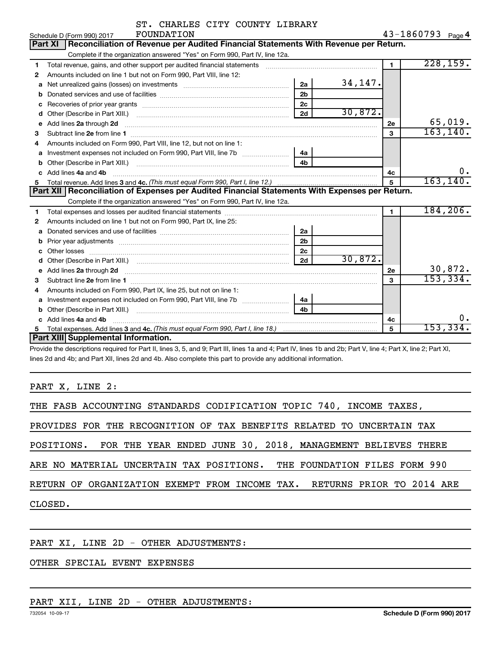|    | ST. CHARLES CITY COUNTY LIBRARY                                                                                                                                                                                                     |                |           |                |                   |
|----|-------------------------------------------------------------------------------------------------------------------------------------------------------------------------------------------------------------------------------------|----------------|-----------|----------------|-------------------|
|    | FOUNDATION<br>Schedule D (Form 990) 2017                                                                                                                                                                                            |                |           |                | 43-1860793 Page 4 |
|    | Reconciliation of Revenue per Audited Financial Statements With Revenue per Return.<br><b>Part XI</b>                                                                                                                               |                |           |                |                   |
|    | Complete if the organization answered "Yes" on Form 990, Part IV, line 12a.                                                                                                                                                         |                |           |                |                   |
| 1  | Total revenue, gains, and other support per audited financial statements                                                                                                                                                            |                |           | $\blacksquare$ | 228, 159.         |
| 2  | Amounts included on line 1 but not on Form 990, Part VIII, line 12:                                                                                                                                                                 |                |           |                |                   |
| a  | Net unrealized gains (losses) on investments [111] [12] matter and all the unrealized gains (losses) on investments                                                                                                                 | 2a             | 34, 147.  |                |                   |
| b  |                                                                                                                                                                                                                                     | 2 <sub>b</sub> |           |                |                   |
|    |                                                                                                                                                                                                                                     | 2c             |           |                |                   |
| d  |                                                                                                                                                                                                                                     | 2d             | 30,872.   |                |                   |
| e  | Add lines 2a through 2d                                                                                                                                                                                                             |                |           | <b>2e</b>      | 65,019.           |
| 3  |                                                                                                                                                                                                                                     |                |           | 3              | 163, 140.         |
| 4  | Amounts included on Form 990, Part VIII, line 12, but not on line 1:                                                                                                                                                                |                |           |                |                   |
| а  | Investment expenses not included on Form 990, Part VIII, line 7b [100] [100] [100] [100] [100] [100] [100] [10                                                                                                                      | 4a             |           |                |                   |
| b  |                                                                                                                                                                                                                                     | 4h             |           |                |                   |
| c  | Add lines 4a and 4b                                                                                                                                                                                                                 |                |           | 4с             | $0 \cdot$         |
| 5. |                                                                                                                                                                                                                                     | 5              | 163, 140. |                |                   |
|    | Part XII   Reconciliation of Expenses per Audited Financial Statements With Expenses per Return.                                                                                                                                    |                |           |                |                   |
|    | Complete if the organization answered "Yes" on Form 990, Part IV, line 12a.                                                                                                                                                         |                |           |                |                   |
| 1  |                                                                                                                                                                                                                                     |                |           | 1              | 184, 206.         |
| 2  | Amounts included on line 1 but not on Form 990, Part IX, line 25:                                                                                                                                                                   |                |           |                |                   |
| a  |                                                                                                                                                                                                                                     | 2a             |           |                |                   |
| b  |                                                                                                                                                                                                                                     | 2 <sub>b</sub> |           |                |                   |
|    |                                                                                                                                                                                                                                     | 2c             |           |                |                   |
|    |                                                                                                                                                                                                                                     | 2d             | 30,872.   |                |                   |
| е  | Add lines 2a through 2d <b>contained a contained a contained a contained a</b> contained a contact the set of the set of the set of the set of the set of the set of the set of the set of the set of the set of the set of the set |                |           | 2е             | 30,872.           |
| 3  |                                                                                                                                                                                                                                     |                |           | $\mathbf{a}$   | 153,334.          |
| 4  | Amounts included on Form 990, Part IX, line 25, but not on line 1:                                                                                                                                                                  |                |           |                |                   |
| a  |                                                                                                                                                                                                                                     | 4a             |           |                |                   |
| b  |                                                                                                                                                                                                                                     | 4b             |           |                |                   |
| c  | Add lines 4a and 4b                                                                                                                                                                                                                 |                |           | 4с             |                   |
|    |                                                                                                                                                                                                                                     |                |           | 5              | 153,334           |
|    | Part XIII Supplemental Information.                                                                                                                                                                                                 |                |           |                |                   |

Provide the descriptions required for Part II, lines 3, 5, and 9; Part III, lines 1a and 4; Part IV, lines 1b and 2b; Part V, line 4; Part X, line 2; Part XI, lines 2d and 4b; and Part XII, lines 2d and 4b. Also complete this part to provide any additional information.

PART X, LINE 2:

| THE FASB ACCOUNTING STANDARDS CODIFICATION TOPIC 740, INCOME TAXES,       |
|---------------------------------------------------------------------------|
| PROVIDES FOR THE RECOGNITION OF TAX BENEFITS RELATED TO UNCERTAIN TAX     |
| POSITIONS. FOR THE YEAR ENDED JUNE 30, 2018, MANAGEMENT BELIEVES THERE    |
| ARE NO MATERIAL UNCERTAIN TAX POSITIONS. THE FOUNDATION FILES FORM 990    |
| RETURN OF ORGANIZATION EXEMPT FROM INCOME TAX.  RETURNS PRIOR TO 2014 ARE |
| CLOSED.                                                                   |
|                                                                           |

# PART XI, LINE 2D - OTHER ADJUSTMENTS:

# OTHER SPECIAL EVENT EXPENSES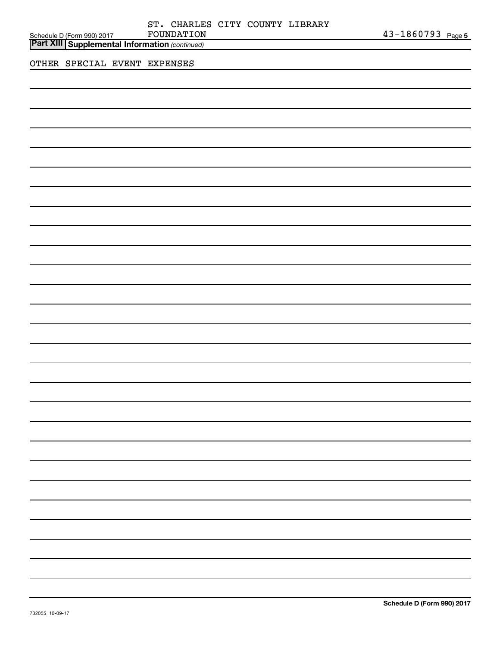| ST. CHARLES CITY COUNTY LIBRARY<br>FOUNDATION<br>Schedule D (Form 990) 2017<br>Part XIII Supplemental Information (continued) | 43-1860793 Page 5 |
|-------------------------------------------------------------------------------------------------------------------------------|-------------------|
| OTHER SPECIAL EVENT EXPENSES                                                                                                  |                   |
|                                                                                                                               |                   |
|                                                                                                                               |                   |
|                                                                                                                               |                   |
|                                                                                                                               |                   |
|                                                                                                                               |                   |
|                                                                                                                               |                   |
|                                                                                                                               |                   |
|                                                                                                                               |                   |
|                                                                                                                               |                   |
|                                                                                                                               |                   |
|                                                                                                                               |                   |
|                                                                                                                               |                   |
|                                                                                                                               |                   |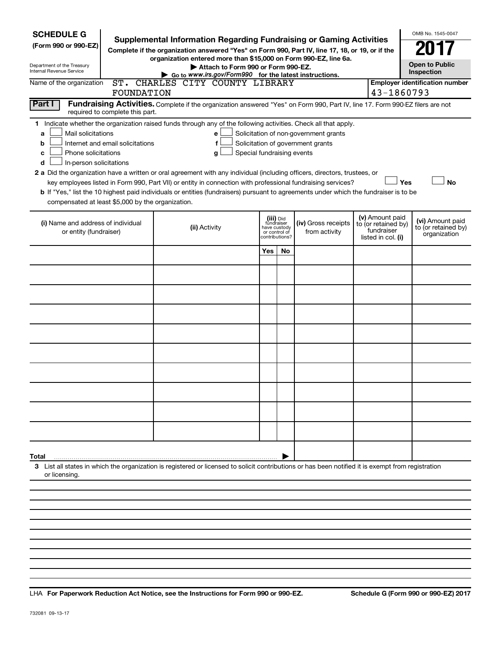| <b>SCHEDULE G</b>                                                                                                                                                                                                                                                                                                                                                                                                                                                                                                                                                                                                                                                                                                                                                                                                                         | <b>Supplemental Information Regarding Fundraising or Gaming Activities</b> |                                                                                                                    |    |  |                                                                                                                                       |  | OMB No. 1545-0047 |  |  |
|-------------------------------------------------------------------------------------------------------------------------------------------------------------------------------------------------------------------------------------------------------------------------------------------------------------------------------------------------------------------------------------------------------------------------------------------------------------------------------------------------------------------------------------------------------------------------------------------------------------------------------------------------------------------------------------------------------------------------------------------------------------------------------------------------------------------------------------------|----------------------------------------------------------------------------|--------------------------------------------------------------------------------------------------------------------|----|--|---------------------------------------------------------------------------------------------------------------------------------------|--|-------------------|--|--|
| (Form 990 or 990-EZ)<br>Complete if the organization answered "Yes" on Form 990, Part IV, line 17, 18, or 19, or if the<br>organization entered more than \$15,000 on Form 990-EZ, line 6a.<br>Department of the Treasury                                                                                                                                                                                                                                                                                                                                                                                                                                                                                                                                                                                                                 |                                                                            | <b>Open to Public</b>                                                                                              |    |  |                                                                                                                                       |  |                   |  |  |
| Attach to Form 990 or Form 990-EZ.<br>Internal Revenue Service<br>Inspection<br>Go to www.irs.gov/Form990 for the latest instructions.                                                                                                                                                                                                                                                                                                                                                                                                                                                                                                                                                                                                                                                                                                    |                                                                            |                                                                                                                    |    |  |                                                                                                                                       |  |                   |  |  |
| ST. CHARLES CITY COUNTY LIBRARY<br><b>Employer identification number</b><br>Name of the organization<br>43-1860793<br>FOUNDATION                                                                                                                                                                                                                                                                                                                                                                                                                                                                                                                                                                                                                                                                                                          |                                                                            |                                                                                                                    |    |  |                                                                                                                                       |  |                   |  |  |
| Part I<br>Fundraising Activities. Complete if the organization answered "Yes" on Form 990, Part IV, line 17. Form 990-EZ filers are not<br>required to complete this part.                                                                                                                                                                                                                                                                                                                                                                                                                                                                                                                                                                                                                                                                |                                                                            |                                                                                                                    |    |  |                                                                                                                                       |  |                   |  |  |
| 1 Indicate whether the organization raised funds through any of the following activities. Check all that apply.<br>Mail solicitations<br>Solicitation of non-government grants<br>e<br>a<br>Solicitation of government grants<br>Internet and email solicitations<br>b<br>f<br>Phone solicitations<br>Special fundraising events<br>с<br>a<br>In-person solicitations<br>d<br>2 a Did the organization have a written or oral agreement with any individual (including officers, directors, trustees, or<br>Yes<br><b>No</b><br>key employees listed in Form 990, Part VII) or entity in connection with professional fundraising services?<br>b If "Yes," list the 10 highest paid individuals or entities (fundraisers) pursuant to agreements under which the fundraiser is to be<br>compensated at least \$5,000 by the organization. |                                                                            |                                                                                                                    |    |  |                                                                                                                                       |  |                   |  |  |
| (i) Name and address of individual<br>or entity (fundraiser)                                                                                                                                                                                                                                                                                                                                                                                                                                                                                                                                                                                                                                                                                                                                                                              | (ii) Activity                                                              | (iii) Did<br>fundraiser<br>(iv) Gross receipts<br>have custody<br>from activity<br>or control of<br>contributions? |    |  | (v) Amount paid<br>(vi) Amount paid<br>to (or retained by)<br>to (or retained by)<br>fundraiser<br>organization<br>listed in col. (i) |  |                   |  |  |
|                                                                                                                                                                                                                                                                                                                                                                                                                                                                                                                                                                                                                                                                                                                                                                                                                                           |                                                                            | Yes                                                                                                                | No |  |                                                                                                                                       |  |                   |  |  |
|                                                                                                                                                                                                                                                                                                                                                                                                                                                                                                                                                                                                                                                                                                                                                                                                                                           |                                                                            |                                                                                                                    |    |  |                                                                                                                                       |  |                   |  |  |
|                                                                                                                                                                                                                                                                                                                                                                                                                                                                                                                                                                                                                                                                                                                                                                                                                                           |                                                                            |                                                                                                                    |    |  |                                                                                                                                       |  |                   |  |  |
|                                                                                                                                                                                                                                                                                                                                                                                                                                                                                                                                                                                                                                                                                                                                                                                                                                           |                                                                            |                                                                                                                    |    |  |                                                                                                                                       |  |                   |  |  |
|                                                                                                                                                                                                                                                                                                                                                                                                                                                                                                                                                                                                                                                                                                                                                                                                                                           |                                                                            |                                                                                                                    |    |  |                                                                                                                                       |  |                   |  |  |
|                                                                                                                                                                                                                                                                                                                                                                                                                                                                                                                                                                                                                                                                                                                                                                                                                                           |                                                                            |                                                                                                                    |    |  |                                                                                                                                       |  |                   |  |  |
|                                                                                                                                                                                                                                                                                                                                                                                                                                                                                                                                                                                                                                                                                                                                                                                                                                           |                                                                            |                                                                                                                    |    |  |                                                                                                                                       |  |                   |  |  |
|                                                                                                                                                                                                                                                                                                                                                                                                                                                                                                                                                                                                                                                                                                                                                                                                                                           |                                                                            |                                                                                                                    |    |  |                                                                                                                                       |  |                   |  |  |
|                                                                                                                                                                                                                                                                                                                                                                                                                                                                                                                                                                                                                                                                                                                                                                                                                                           |                                                                            |                                                                                                                    |    |  |                                                                                                                                       |  |                   |  |  |
|                                                                                                                                                                                                                                                                                                                                                                                                                                                                                                                                                                                                                                                                                                                                                                                                                                           |                                                                            |                                                                                                                    |    |  |                                                                                                                                       |  |                   |  |  |
| Total                                                                                                                                                                                                                                                                                                                                                                                                                                                                                                                                                                                                                                                                                                                                                                                                                                     |                                                                            |                                                                                                                    |    |  |                                                                                                                                       |  |                   |  |  |
| 3 List all states in which the organization is registered or licensed to solicit contributions or has been notified it is exempt from registration<br>or licensing.                                                                                                                                                                                                                                                                                                                                                                                                                                                                                                                                                                                                                                                                       |                                                                            |                                                                                                                    |    |  |                                                                                                                                       |  |                   |  |  |
|                                                                                                                                                                                                                                                                                                                                                                                                                                                                                                                                                                                                                                                                                                                                                                                                                                           |                                                                            |                                                                                                                    |    |  |                                                                                                                                       |  |                   |  |  |
|                                                                                                                                                                                                                                                                                                                                                                                                                                                                                                                                                                                                                                                                                                                                                                                                                                           |                                                                            |                                                                                                                    |    |  |                                                                                                                                       |  |                   |  |  |

**For Paperwork Reduction Act Notice, see the Instructions for Form 990 or 990-EZ. Schedule G (Form 990 or 990-EZ) 2017** LHA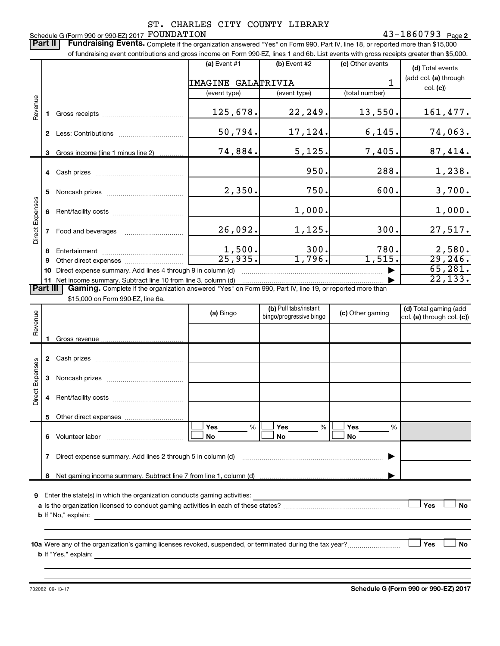### **2** FOUNDATION **2 2** Schedule G (Form 990 or 990-EZ) 2017 FOUNDATION ST. CHARLES CITY COUNTY LIBRARY

Part II | Fundraising Events. Complete if the organization answered "Yes" on Form 990, Part IV, line 18, or reported more than \$15,000 of fundraising event contributions and gross income on Form 990-EZ, lines 1 and 6b. List events with gross receipts greater than \$5,000.  $(a)$  Event #1  $\qquad \qquad |$   $(b)$  Event #2  $\qquad \qquad |$   $(c)$  Other events H **(d)**  Total events

|                 |                                                                                                                          |                                                                                                                                                                                                                                |                           |              |                | (add col. (a) through |  |  |  |  |
|-----------------|--------------------------------------------------------------------------------------------------------------------------|--------------------------------------------------------------------------------------------------------------------------------------------------------------------------------------------------------------------------------|---------------------------|--------------|----------------|-----------------------|--|--|--|--|
|                 |                                                                                                                          |                                                                                                                                                                                                                                | <b>IMAGINE GALATRIVIA</b> |              |                | col. (c)              |  |  |  |  |
|                 |                                                                                                                          |                                                                                                                                                                                                                                | (event type)              | (event type) | (total number) |                       |  |  |  |  |
| Revenue         |                                                                                                                          | Gross receipts and the control of the control of the control of the control of the control of the control of the control of the control of the control of the control of the control of the control of the control of the cont | 125,678.                  | 22,249.      | 13,550.        | 161,477.              |  |  |  |  |
|                 | $\mathbf{2}$                                                                                                             | Less: Contributions                                                                                                                                                                                                            | 50,794.                   | 17,124.      | 6, 145.        | 74,063.               |  |  |  |  |
|                 | 3.                                                                                                                       | Gross income (line 1 minus line 2)                                                                                                                                                                                             | 74,884.                   | 5,125.       | 7,405.         | 87,414.               |  |  |  |  |
|                 |                                                                                                                          |                                                                                                                                                                                                                                |                           | 950.         | 288.           | 1,238.                |  |  |  |  |
|                 | 5.                                                                                                                       |                                                                                                                                                                                                                                | 2,350.                    | 750.         | 600.           | 3,700.                |  |  |  |  |
|                 | 6                                                                                                                        |                                                                                                                                                                                                                                |                           | 1,000.       |                | 1,000.                |  |  |  |  |
| Direct Expenses |                                                                                                                          | Food and beverages                                                                                                                                                                                                             | 26,092.                   | 1,125.       | 300.           | 27,517.               |  |  |  |  |
|                 | 8                                                                                                                        |                                                                                                                                                                                                                                | 1,500.                    | 300.         | 780.           | 2,580.                |  |  |  |  |
|                 | 9                                                                                                                        | Other direct expenses <i>manually contained</i>                                                                                                                                                                                | 25,935.                   | 1,796.       | 1,515.         | 29, 246.              |  |  |  |  |
|                 | 10                                                                                                                       | Direct expense summary. Add lines 4 through 9 in column (d)                                                                                                                                                                    |                           |              |                | 65,281.               |  |  |  |  |
|                 |                                                                                                                          | 11 Net income summary. Subtract line 10 from line 3, column (d)                                                                                                                                                                |                           |              |                | 22, 133.              |  |  |  |  |
|                 | <b>Part III</b> Gaming. Complete if the organization answered "Yes" on Form 990, Part IV, line 19, or reported more than |                                                                                                                                                                                                                                |                           |              |                |                       |  |  |  |  |

\$15,000 on Form 990-EZ, line 6a.

| Revenue         |                                                                                                                                                                                                                                                               |  | (a) Bingo             | (b) Pull tabs/instant<br>bingo/progressive bingo | (c) Other gaming                             | (d) Total gaming (add<br>col. (a) through col. (c)) |  |  |  |
|-----------------|---------------------------------------------------------------------------------------------------------------------------------------------------------------------------------------------------------------------------------------------------------------|--|-----------------------|--------------------------------------------------|----------------------------------------------|-----------------------------------------------------|--|--|--|
|                 |                                                                                                                                                                                                                                                               |  |                       |                                                  |                                              |                                                     |  |  |  |
|                 | 2                                                                                                                                                                                                                                                             |  |                       |                                                  |                                              |                                                     |  |  |  |
|                 | 3                                                                                                                                                                                                                                                             |  |                       |                                                  |                                              |                                                     |  |  |  |
| Direct Expenses | 4                                                                                                                                                                                                                                                             |  |                       |                                                  |                                              |                                                     |  |  |  |
|                 | 5                                                                                                                                                                                                                                                             |  |                       |                                                  |                                              |                                                     |  |  |  |
|                 | 6                                                                                                                                                                                                                                                             |  | Yes<br>%<br><b>No</b> | Yes $\qquad \qquad \qquad$<br>%<br>No            | Yes $\qquad \qquad \qquad$<br>%<br><b>No</b> |                                                     |  |  |  |
|                 | 7                                                                                                                                                                                                                                                             |  |                       |                                                  |                                              |                                                     |  |  |  |
|                 | 8                                                                                                                                                                                                                                                             |  |                       |                                                  |                                              |                                                     |  |  |  |
| 9               | Yes<br><b>No</b><br><b>b</b> If "No," explain:<br><u> 1999 - Johann Stoff, deutscher Stoffen und der Stoffen und der Stoffen und der Stoffen und der Stoffen und der</u>                                                                                      |  |                       |                                                  |                                              |                                                     |  |  |  |
|                 | Yes<br><b>No</b><br><b>b</b> If "Yes," explain: <u>contract and a set of the set of the set of the set of the set of the set of the set of the set of the set of the set of the set of the set of the set of the set of the set of the set of the set of </u> |  |                       |                                                  |                                              |                                                     |  |  |  |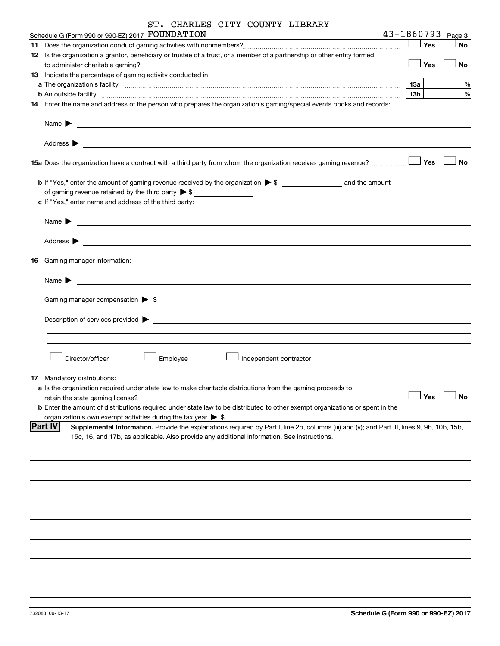| ST. CHARLES CITY COUNTY LIBRARY                                                                                                                               |                        |                       |
|---------------------------------------------------------------------------------------------------------------------------------------------------------------|------------------------|-----------------------|
| Schedule G (Form 990 or 990-EZ) 2017 FOUNDATION<br><u> 1980 - Johann Barbara, martxa alemaniar eta politikaria (h. 1908).</u>                                 |                        | $43 - 1860793$ Page 3 |
|                                                                                                                                                               | — SYes                 | No                    |
| 12 Is the organization a grantor, beneficiary or trustee of a trust, or a member of a partnership or other entity formed                                      |                        |                       |
|                                                                                                                                                               | $\Box$ Yes             | No                    |
| 13 Indicate the percentage of gaming activity conducted in:                                                                                                   |                        |                       |
| b An outside facility www.communications.com/news/communications.com/news/communications.com/news/communication                                               | 13а<br>13 <sub>b</sub> | ℅<br>%                |
| 14 Enter the name and address of the person who prepares the organization's gaming/special events books and records:                                          |                        |                       |
| Name $\blacktriangleright$<br><u> 1989 - Jan Alexandria de Alexandria de la contrada de la contrada de la contrada de la contrada de la contrad</u>           |                        |                       |
|                                                                                                                                                               |                        |                       |
|                                                                                                                                                               |                        | No                    |
|                                                                                                                                                               |                        |                       |
| of gaming revenue retained by the third party $\triangleright$ \$                                                                                             |                        |                       |
| c If "Yes," enter name and address of the third party:                                                                                                        |                        |                       |
| Name $\blacktriangleright$<br><u> 1989 - Jan James James Schwalz, amerikansk politik (d. 1989)</u>                                                            |                        |                       |
| Address $\blacktriangleright$                                                                                                                                 |                        |                       |
| <b>16</b> Gaming manager information:                                                                                                                         |                        |                       |
|                                                                                                                                                               |                        |                       |
| Name $\blacktriangleright$                                                                                                                                    |                        |                       |
|                                                                                                                                                               |                        |                       |
|                                                                                                                                                               |                        |                       |
|                                                                                                                                                               |                        |                       |
|                                                                                                                                                               |                        |                       |
| Director/officer<br>Employee<br>Independent contractor                                                                                                        |                        |                       |
| 17 Mandatory distributions:                                                                                                                                   |                        |                       |
| a Is the organization required under state law to make charitable distributions from the gaming proceeds to                                                   |                        |                       |
| retain the state gaming license?                                                                                                                              | Yes                    | <b>No</b>             |
| <b>b</b> Enter the amount of distributions required under state law to be distributed to other exempt organizations or spent in the                           |                        |                       |
| organization's own exempt activities during the tax year $\triangleright$ \$                                                                                  |                        |                       |
| <b>Part IV</b><br>Supplemental Information. Provide the explanations required by Part I, line 2b, columns (iii) and (v); and Part III, lines 9, 9b, 10b, 15b, |                        |                       |
| 15c, 16, and 17b, as applicable. Also provide any additional information. See instructions.                                                                   |                        |                       |
|                                                                                                                                                               |                        |                       |
|                                                                                                                                                               |                        |                       |
|                                                                                                                                                               |                        |                       |
|                                                                                                                                                               |                        |                       |
|                                                                                                                                                               |                        |                       |
|                                                                                                                                                               |                        |                       |
|                                                                                                                                                               |                        |                       |
|                                                                                                                                                               |                        |                       |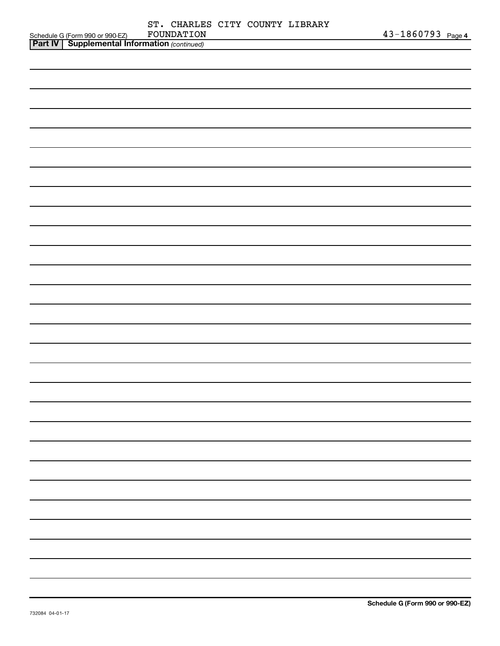|                                                                                                     |            |  | ST. CHARLES CITY COUNTY LIBRARY |                   |
|-----------------------------------------------------------------------------------------------------|------------|--|---------------------------------|-------------------|
| Schedule G (Form 990 or 990-EZ) FOUNDATION<br><b>Part IV   Supplemental Information</b> (continued) | FOUNDATION |  |                                 | 43-1860793 Page 4 |
|                                                                                                     |            |  |                                 |                   |
|                                                                                                     |            |  |                                 |                   |
|                                                                                                     |            |  |                                 |                   |
|                                                                                                     |            |  |                                 |                   |
|                                                                                                     |            |  |                                 |                   |
|                                                                                                     |            |  |                                 |                   |
|                                                                                                     |            |  |                                 |                   |
|                                                                                                     |            |  |                                 |                   |
|                                                                                                     |            |  |                                 |                   |
|                                                                                                     |            |  |                                 |                   |
|                                                                                                     |            |  |                                 |                   |
|                                                                                                     |            |  |                                 |                   |
|                                                                                                     |            |  |                                 |                   |
|                                                                                                     |            |  |                                 |                   |
|                                                                                                     |            |  |                                 |                   |
|                                                                                                     |            |  |                                 |                   |
|                                                                                                     |            |  |                                 |                   |
|                                                                                                     |            |  |                                 |                   |
|                                                                                                     |            |  |                                 |                   |
|                                                                                                     |            |  |                                 |                   |
|                                                                                                     |            |  |                                 |                   |
|                                                                                                     |            |  |                                 |                   |
|                                                                                                     |            |  |                                 |                   |
|                                                                                                     |            |  |                                 |                   |
|                                                                                                     |            |  |                                 |                   |
|                                                                                                     |            |  |                                 |                   |
|                                                                                                     |            |  |                                 |                   |
|                                                                                                     |            |  |                                 |                   |
|                                                                                                     |            |  |                                 |                   |
|                                                                                                     |            |  |                                 |                   |
|                                                                                                     |            |  |                                 |                   |
|                                                                                                     |            |  |                                 |                   |
|                                                                                                     |            |  |                                 |                   |
|                                                                                                     |            |  |                                 |                   |
|                                                                                                     |            |  |                                 |                   |
|                                                                                                     |            |  |                                 |                   |
|                                                                                                     |            |  |                                 |                   |
|                                                                                                     |            |  |                                 |                   |
|                                                                                                     |            |  |                                 |                   |
|                                                                                                     |            |  |                                 |                   |
|                                                                                                     |            |  |                                 |                   |
|                                                                                                     |            |  |                                 |                   |
|                                                                                                     |            |  |                                 |                   |
|                                                                                                     |            |  |                                 |                   |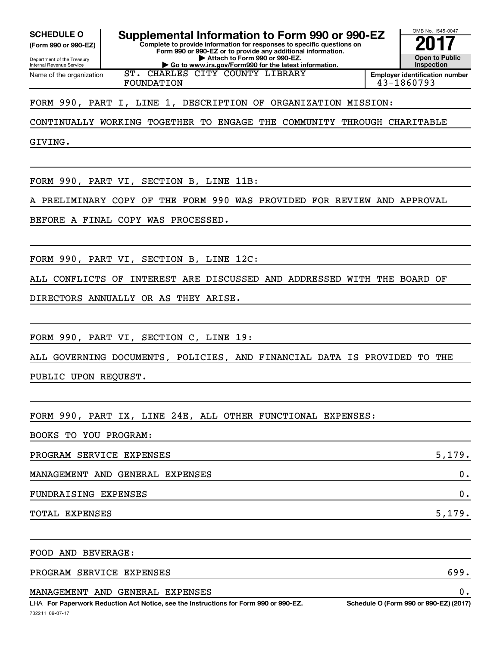**(Form 990 or 990-EZ)**

Department of the Treasury Internal Revenue Service Name of the organization

**Complete to provide information for responses to specific questions on SCHEDULE O Supplemental Information to Form 990 or 990-EZ 2017**<br>(Form 990 or 990-EZ) Complete to provide information for responses to specific questions on

**Form 990 or 990-EZ or to provide any additional information. | Attach to Form 990 or 990-EZ. | Go to www.irs.gov/Form990 for the latest information.**

ST. CHARLES CITY COUNTY LIBRARY FOUNDATION 43-1860793

**Inspection Employer identification number**

OMB No. 1545-0047

**Open to Public**

FORM 990, PART I, LINE 1, DESCRIPTION OF ORGANIZATION MISSION:

CONTINUALLY WORKING TOGETHER TO ENGAGE THE COMMUNITY THROUGH CHARITABLE

GIVING.

FORM 990, PART VI, SECTION B, LINE 11B:

A PRELIMINARY COPY OF THE FORM 990 WAS PROVIDED FOR REVIEW AND APPROVAL

BEFORE A FINAL COPY WAS PROCESSED.

FORM 990, PART VI, SECTION B, LINE 12C:

ALL CONFLICTS OF INTEREST ARE DISCUSSED AND ADDRESSED WITH THE BOARD OF

DIRECTORS ANNUALLY OR AS THEY ARISE.

FORM 990, PART VI, SECTION C, LINE 19:

ALL GOVERNING DOCUMENTS, POLICIES, AND FINANCIAL DATA IS PROVIDED TO THE

PUBLIC UPON REQUEST.

FORM 990, PART IX, LINE 24E, ALL OTHER FUNCTIONAL EXPENSES:

BOOKS TO YOU PROGRAM:

PROGRAM SERVICE EXPENSES 5,179. MANAGEMENT AND GENERAL EXPENSES 0. FUNDRAISING EXPENSES 0. TOTAL EXPENSES 5,179.

FOOD AND BEVERAGE:

PROGRAM SERVICE EXPENSES 699.

MANAGEMENT AND GENERAL EXPENSES 0.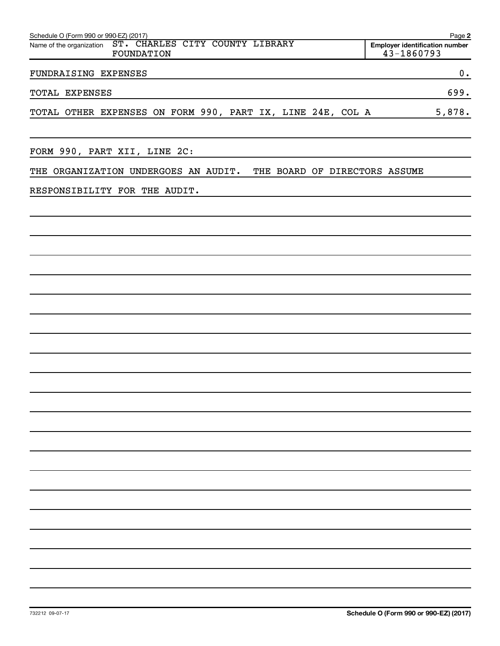| Schedule O (Form 990 or 990-EZ) (2017)                                    | Page 2                                              |
|---------------------------------------------------------------------------|-----------------------------------------------------|
| ST. CHARLES CITY COUNTY LIBRARY<br>Name of the organization<br>FOUNDATION | <b>Employer identification number</b><br>43-1860793 |
| FUNDRAISING EXPENSES                                                      | $\mathbf 0$ .                                       |
| TOTAL EXPENSES                                                            | 699.                                                |
| TOTAL OTHER EXPENSES ON FORM 990, PART IX, LINE 24E, COL A                | 5,878.                                              |
| FORM 990, PART XII, LINE 2C:                                              |                                                     |
| THE ORGANIZATION UNDERGOES AN AUDIT.<br>THE BOARD OF DIRECTORS ASSUME     |                                                     |
| RESPONSIBILITY FOR THE AUDIT.                                             |                                                     |
|                                                                           |                                                     |
|                                                                           |                                                     |
|                                                                           |                                                     |
|                                                                           |                                                     |
|                                                                           |                                                     |
|                                                                           |                                                     |
|                                                                           |                                                     |
|                                                                           |                                                     |
|                                                                           |                                                     |
|                                                                           |                                                     |
|                                                                           |                                                     |
|                                                                           |                                                     |
|                                                                           |                                                     |
|                                                                           |                                                     |
|                                                                           |                                                     |
|                                                                           |                                                     |
|                                                                           |                                                     |
|                                                                           |                                                     |
|                                                                           |                                                     |
|                                                                           |                                                     |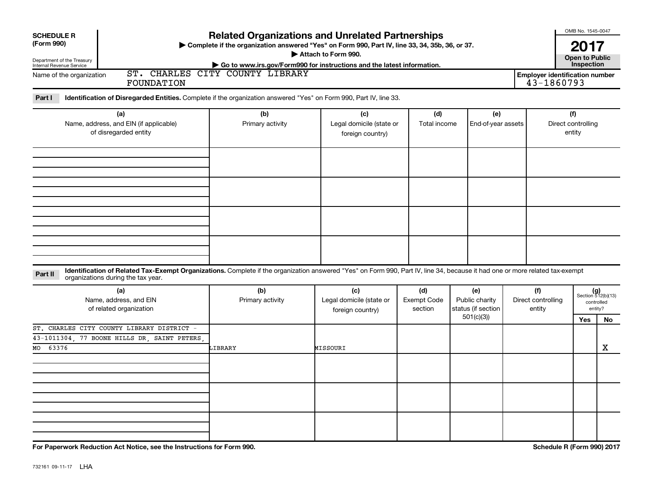| <b>SCHEDULE R</b>                                                                                                                                                            | <b>Related Organizations and Unrelated Partnerships</b>                                                   |                                                     |                               |                                             |  |                                                     | OMB No. 1545-0047             |                                                      |
|------------------------------------------------------------------------------------------------------------------------------------------------------------------------------|-----------------------------------------------------------------------------------------------------------|-----------------------------------------------------|-------------------------------|---------------------------------------------|--|-----------------------------------------------------|-------------------------------|------------------------------------------------------|
| (Form 990)                                                                                                                                                                   | > Complete if the organization answered "Yes" on Form 990, Part IV, line 33, 34, 35b, 36, or 37.          | Attach to Form 990.                                 |                               |                                             |  |                                                     | 2017<br><b>Open to Public</b> |                                                      |
| Department of the Treasury<br>Internal Revenue Service                                                                                                                       | Go to www.irs.gov/Form990 for instructions and the latest information.<br>ST. CHARLES CITY COUNTY LIBRARY |                                                     |                               |                                             |  |                                                     | Inspection                    |                                                      |
| Name of the organization<br><b>FOUNDATION</b>                                                                                                                                |                                                                                                           |                                                     |                               |                                             |  | <b>Employer identification number</b><br>43-1860793 |                               |                                                      |
| Part I<br>Identification of Disregarded Entities. Complete if the organization answered "Yes" on Form 990, Part IV, line 33.                                                 |                                                                                                           |                                                     |                               |                                             |  |                                                     |                               |                                                      |
| (a)<br>Name, address, and EIN (if applicable)<br>of disregarded entity                                                                                                       | (b)<br>(c)<br>Primary activity<br>Legal domicile (state or<br>foreign country)                            |                                                     | (d)<br>Total income           | (e)<br>End-of-year assets                   |  | (f)<br>Direct controlling<br>entity                 |                               |                                                      |
|                                                                                                                                                                              |                                                                                                           |                                                     |                               |                                             |  |                                                     |                               |                                                      |
|                                                                                                                                                                              |                                                                                                           |                                                     |                               |                                             |  |                                                     |                               |                                                      |
|                                                                                                                                                                              |                                                                                                           |                                                     |                               |                                             |  |                                                     |                               |                                                      |
| Identification of Related Tax-Exempt Organizations. Complete if the organization answered "Yes" on Form 990, Part IV, line 34, because it had one or more related tax-exempt |                                                                                                           |                                                     |                               |                                             |  |                                                     |                               |                                                      |
| Part II<br>organizations during the tax year.                                                                                                                                |                                                                                                           |                                                     |                               |                                             |  |                                                     |                               |                                                      |
| (a)<br>Name, address, and EIN<br>of related organization                                                                                                                     | (b)<br>Primary activity                                                                                   | (c)<br>Legal domicile (state or<br>foreign country) | (d)<br>Exempt Code<br>section | (e)<br>Public charity<br>status (if section |  | (f)<br>Direct controlling<br>entity                 |                               | $(g)$<br>Section 512(b)(13)<br>controlled<br>entity? |
|                                                                                                                                                                              |                                                                                                           |                                                     |                               | 501(c)(3)                                   |  |                                                     | Yes                           | No                                                   |
| ST. CHARLES CITY COUNTY LIBRARY DISTRICT<br>43-1011304, 77 BOONE HILLS DR, SAINT PETERS,<br>63376<br>MO                                                                      | LIBRARY                                                                                                   | MISSOURI                                            |                               |                                             |  |                                                     |                               | $\mathbf X$                                          |
|                                                                                                                                                                              |                                                                                                           |                                                     |                               |                                             |  |                                                     |                               |                                                      |
|                                                                                                                                                                              |                                                                                                           |                                                     |                               |                                             |  |                                                     |                               |                                                      |
|                                                                                                                                                                              |                                                                                                           |                                                     |                               |                                             |  |                                                     |                               |                                                      |

**For Paperwork Reduction Act Notice, see the Instructions for Form 990. Schedule R (Form 990) 2017**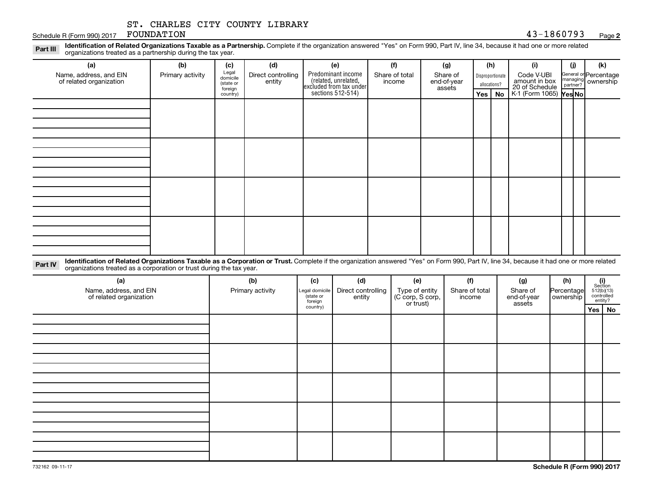#### Schedule R (Form 990) 2017 FOUNDATION 43-1860793 FOUNDATION

# **2**

Part III Identification of Related Organizations Taxable as a Partnership. Complete if the organization answered "Yes" on Form 990, Part IV, line 34, because it had one or more related<br>Part III International tracted as a p organizations treated as a partnership during the tax year.

| (a)<br>Name, address, and EIN<br>of related organization | (b)<br>Primary activity | (c)<br>Legal<br>domicile         | (d)<br>Direct controlling | (e)<br>Predominant income                                           | (f)<br>Share of total | (g)<br>Share of       |                                  | (h)<br>Disproportionate | (i)<br>Code V-UBI                                                    | (j) | (k)<br>General or Percentage<br>managing ownership<br>partner? |
|----------------------------------------------------------|-------------------------|----------------------------------|---------------------------|---------------------------------------------------------------------|-----------------------|-----------------------|----------------------------------|-------------------------|----------------------------------------------------------------------|-----|----------------------------------------------------------------|
|                                                          |                         | (state or<br>foreign<br>country) | entity                    | related, unrelated,<br>excluded from tax under<br>sections 512-514) | income                | end-of-year<br>assets | allocations?<br>$Yes \mid$<br>No |                         | amount in box<br>20 of Schedule<br>$K1$ (Form 1065) $\sqrt{Y}$ es No |     |                                                                |
|                                                          |                         |                                  |                           |                                                                     |                       |                       |                                  |                         |                                                                      |     |                                                                |
|                                                          |                         |                                  |                           |                                                                     |                       |                       |                                  |                         |                                                                      |     |                                                                |
|                                                          |                         |                                  |                           |                                                                     |                       |                       |                                  |                         |                                                                      |     |                                                                |
|                                                          |                         |                                  |                           |                                                                     |                       |                       |                                  |                         |                                                                      |     |                                                                |
|                                                          |                         |                                  |                           |                                                                     |                       |                       |                                  |                         |                                                                      |     |                                                                |
|                                                          |                         |                                  |                           |                                                                     |                       |                       |                                  |                         |                                                                      |     |                                                                |
|                                                          |                         |                                  |                           |                                                                     |                       |                       |                                  |                         |                                                                      |     |                                                                |
|                                                          |                         |                                  |                           |                                                                     |                       |                       |                                  |                         |                                                                      |     |                                                                |

Part IV Identification of Related Organizations Taxable as a Corporation or Trust. Complete if the organization answered "Yes" on Form 990, Part IV, line 34, because it had one or more related organizations treated as a corporation or trust during the tax year.

| (a)<br>Name, address, and EIN<br>of related organization | (b)<br>Primary activity | (c)<br>Legal domicile<br>(state or<br>foreign | (d)<br>Direct controlling<br>entity | (e)<br>Type of entity<br>(C corp, S corp,<br>or trust) | (f)<br>Share of total<br>income | (g)<br>Share of<br>end-of-year<br>assets | (h)<br>Percentage<br>ownership | $\begin{array}{c} \textbf{(i)}\\ \text{Section}\\ 512 \text{(b)} \text{(13)}\\ \text{controlled} \\ \text{entity?} \end{array}$ |          |
|----------------------------------------------------------|-------------------------|-----------------------------------------------|-------------------------------------|--------------------------------------------------------|---------------------------------|------------------------------------------|--------------------------------|---------------------------------------------------------------------------------------------------------------------------------|----------|
|                                                          |                         | country)                                      |                                     |                                                        |                                 |                                          |                                |                                                                                                                                 | Yes   No |
|                                                          |                         |                                               |                                     |                                                        |                                 |                                          |                                |                                                                                                                                 |          |
|                                                          |                         |                                               |                                     |                                                        |                                 |                                          |                                |                                                                                                                                 |          |
|                                                          |                         |                                               |                                     |                                                        |                                 |                                          |                                |                                                                                                                                 |          |
|                                                          |                         |                                               |                                     |                                                        |                                 |                                          |                                |                                                                                                                                 |          |
|                                                          |                         |                                               |                                     |                                                        |                                 |                                          |                                |                                                                                                                                 |          |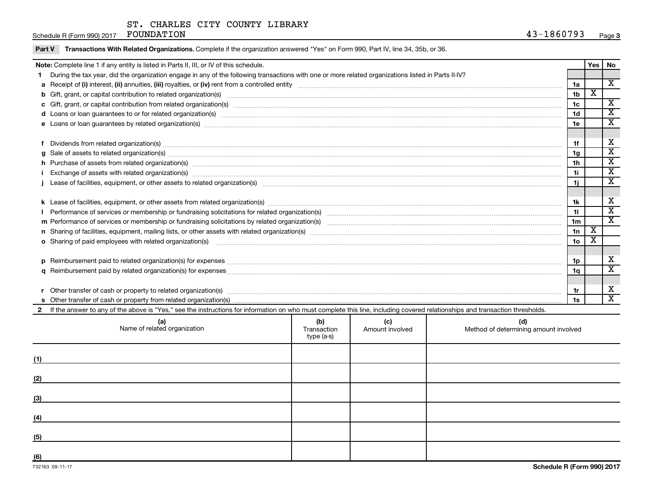Schedule R (Form 990) 2017 Page FOUNDATION 43-1860793

| Part V Transactions With Related Organizations. Complete if the organization answered "Yes" on Form 990, Part IV, line 34, 35b, or 36. |  |  |
|----------------------------------------------------------------------------------------------------------------------------------------|--|--|
|                                                                                                                                        |  |  |

|                                                                                                                                                    | Note: Complete line 1 if any entity is listed in Parts II, III, or IV of this schedule.                                                                                                                                        |  |  |  |                 | Yes I                       | <b>No</b>                    |
|----------------------------------------------------------------------------------------------------------------------------------------------------|--------------------------------------------------------------------------------------------------------------------------------------------------------------------------------------------------------------------------------|--|--|--|-----------------|-----------------------------|------------------------------|
|                                                                                                                                                    | During the tax year, did the organization engage in any of the following transactions with one or more related organizations listed in Parts II-IV?                                                                            |  |  |  |                 |                             |                              |
|                                                                                                                                                    |                                                                                                                                                                                                                                |  |  |  | 1a              |                             | $\overline{\mathbf{X}}$      |
|                                                                                                                                                    | b Gift, grant, or capital contribution to related organization(s) manufaction contracts and contribution to related organization(s) manufaction contribution to related organization(s) manufactured contracts and contributio |  |  |  | 1 <sub>b</sub>  | $\overline{\textbf{X}}$     |                              |
|                                                                                                                                                    |                                                                                                                                                                                                                                |  |  |  | 1c              |                             | $\overline{\mathbf{x}}$      |
|                                                                                                                                                    | d Loans or loan guarantees to or for related organization(s) www.communically.com/www.communically.com/www.communically.com/www.communically.com/www.communically.com/www.communically.com/www.communically.com/www.communical |  |  |  | 1 <sub>d</sub>  |                             | $\overline{\texttt{x}}$      |
|                                                                                                                                                    |                                                                                                                                                                                                                                |  |  |  | 1e              |                             | $\overline{\texttt{x}}$      |
|                                                                                                                                                    |                                                                                                                                                                                                                                |  |  |  |                 |                             |                              |
|                                                                                                                                                    | Dividends from related organization(s) manufacture contraction and contract and contract or contract or contract or contract or contract or contract or contract or contract or contract or contract or contract or contract o |  |  |  | 1f              |                             | X                            |
| 1 <sub>g</sub>                                                                                                                                     |                                                                                                                                                                                                                                |  |  |  |                 |                             | $\overline{\texttt{x}}$      |
|                                                                                                                                                    | h Purchase of assets from related organization(s) manufactured and content to content the content of assets from related organization(s) manufactured and content of the content of the content of the content of the content  |  |  |  | 1 <sub>h</sub>  |                             | $\overline{\texttt{x}}$      |
| 1i                                                                                                                                                 |                                                                                                                                                                                                                                |  |  |  |                 |                             | $\overline{\mathbf{x}}$      |
| 1i.                                                                                                                                                |                                                                                                                                                                                                                                |  |  |  |                 |                             | $\overline{\textbf{x}}$      |
|                                                                                                                                                    |                                                                                                                                                                                                                                |  |  |  |                 |                             |                              |
|                                                                                                                                                    |                                                                                                                                                                                                                                |  |  |  | 1k              |                             | X                            |
|                                                                                                                                                    |                                                                                                                                                                                                                                |  |  |  | 11              |                             | $\overline{\mathbf{x}}$      |
|                                                                                                                                                    |                                                                                                                                                                                                                                |  |  |  | 1 <sub>m</sub>  |                             | $\overline{\mathbf{x}}$      |
|                                                                                                                                                    |                                                                                                                                                                                                                                |  |  |  | 1n              | $\overline{\textnormal{x}}$ |                              |
|                                                                                                                                                    | o Sharing of paid employees with related organization(s) manufactured content to the content of the state of the content of the content of the content of the content of the content of the content of the content of the cont |  |  |  | 10 <sub>o</sub> | х                           |                              |
|                                                                                                                                                    |                                                                                                                                                                                                                                |  |  |  |                 |                             |                              |
|                                                                                                                                                    |                                                                                                                                                                                                                                |  |  |  | 1p              |                             | х                            |
|                                                                                                                                                    |                                                                                                                                                                                                                                |  |  |  | 1q              |                             | $\overline{\texttt{x}}$      |
|                                                                                                                                                    |                                                                                                                                                                                                                                |  |  |  |                 |                             |                              |
|                                                                                                                                                    |                                                                                                                                                                                                                                |  |  |  | 1r              |                             | X<br>$\overline{\mathbf{x}}$ |
|                                                                                                                                                    | 1s                                                                                                                                                                                                                             |  |  |  |                 |                             |                              |
|                                                                                                                                                    | If the answer to any of the above is "Yes," see the instructions for information on who must complete this line, including covered relationships and transaction thresholds.                                                   |  |  |  |                 |                             |                              |
| (b)<br>(c)<br>(a)<br>Name of related organization<br>(d)<br>Method of determining amount involved<br>Transaction<br>Amount involved<br>$type(a-s)$ |                                                                                                                                                                                                                                |  |  |  |                 |                             |                              |

|     | . |  |
|-----|---|--|
| (1) |   |  |
| (2) |   |  |
| (3) |   |  |
| (4) |   |  |
| (5) |   |  |
| (6) |   |  |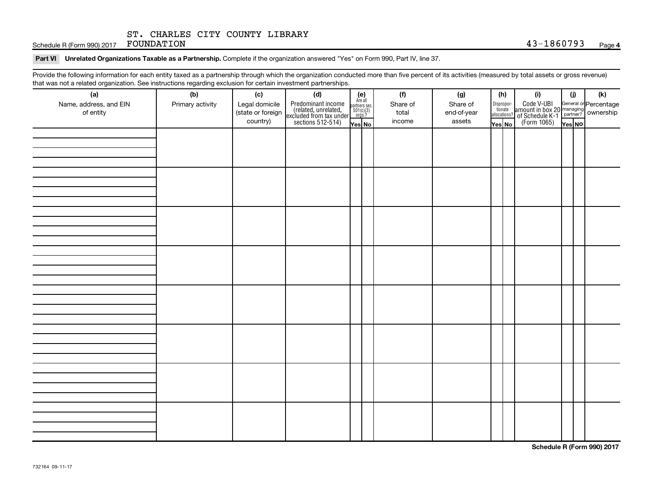Schedule R (Form 990) 2017 FOUNDATION

Part VI Unrelated Organizations Taxable as a Partnership. Complete if the organization answered "Yes" on Form 990, Part IV, line 37.

Provide the following information for each entity taxed as a partnership through which the organization conducted more than five percent of its activities (measured by total assets or gross revenue) that was not a related organization. See instructions regarding exclusion for certain investment partnerships.

| (a)                                 | (b)              | (c)                                             | (d)                                                                                        |                                                                    | (f)                         | (g)                               |        | (h)                              | (i)                                                                                                                   | (i)    | (k) |  |  |  |  |
|-------------------------------------|------------------|-------------------------------------------------|--------------------------------------------------------------------------------------------|--------------------------------------------------------------------|-----------------------------|-----------------------------------|--------|----------------------------------|-----------------------------------------------------------------------------------------------------------------------|--------|-----|--|--|--|--|
| Name, address, and EIN<br>of entity | Primary activity | Legal domicile<br>(state or foreign<br>country) | Predominant income<br>(related, unrelated,<br>excluded from tax under<br>sections 512-514) | (e)<br>Are all<br>partners sec.<br>$501(c)(3)$<br>orgs.?<br>Yes No | Share of<br>total<br>income | Share of<br>end-of-year<br>assets | Yes No | Disproportionate<br>allocations? | Code V-UBI<br>amount in box 20 managing<br><sup>22</sup> of Schedule K-1<br>(Form 1065)<br><b>Property Resolution</b> | Yes NO |     |  |  |  |  |
|                                     |                  |                                                 |                                                                                            |                                                                    |                             |                                   |        |                                  |                                                                                                                       |        |     |  |  |  |  |
|                                     |                  |                                                 |                                                                                            |                                                                    |                             |                                   |        |                                  |                                                                                                                       |        |     |  |  |  |  |
|                                     |                  |                                                 |                                                                                            |                                                                    |                             |                                   |        |                                  |                                                                                                                       |        |     |  |  |  |  |
|                                     |                  |                                                 |                                                                                            |                                                                    |                             |                                   |        |                                  |                                                                                                                       |        |     |  |  |  |  |
|                                     |                  |                                                 |                                                                                            |                                                                    |                             |                                   |        |                                  |                                                                                                                       |        |     |  |  |  |  |
|                                     |                  |                                                 |                                                                                            |                                                                    |                             |                                   |        |                                  |                                                                                                                       |        |     |  |  |  |  |
|                                     |                  |                                                 |                                                                                            |                                                                    |                             |                                   |        |                                  |                                                                                                                       |        |     |  |  |  |  |
|                                     |                  |                                                 |                                                                                            |                                                                    |                             |                                   |        |                                  |                                                                                                                       |        |     |  |  |  |  |
|                                     |                  |                                                 |                                                                                            |                                                                    |                             |                                   |        |                                  |                                                                                                                       |        |     |  |  |  |  |
|                                     |                  |                                                 |                                                                                            |                                                                    |                             |                                   |        |                                  |                                                                                                                       |        |     |  |  |  |  |
|                                     |                  |                                                 |                                                                                            |                                                                    |                             |                                   |        |                                  |                                                                                                                       |        |     |  |  |  |  |
|                                     |                  |                                                 |                                                                                            |                                                                    |                             |                                   |        |                                  |                                                                                                                       |        |     |  |  |  |  |
|                                     |                  |                                                 |                                                                                            |                                                                    |                             |                                   |        |                                  |                                                                                                                       |        |     |  |  |  |  |
|                                     |                  |                                                 |                                                                                            |                                                                    |                             |                                   |        |                                  |                                                                                                                       |        |     |  |  |  |  |
|                                     |                  |                                                 |                                                                                            |                                                                    |                             |                                   |        |                                  |                                                                                                                       |        |     |  |  |  |  |
|                                     |                  |                                                 |                                                                                            |                                                                    |                             |                                   |        |                                  |                                                                                                                       |        |     |  |  |  |  |
|                                     |                  |                                                 |                                                                                            |                                                                    |                             |                                   |        |                                  |                                                                                                                       |        |     |  |  |  |  |
|                                     |                  |                                                 |                                                                                            |                                                                    |                             |                                   |        |                                  |                                                                                                                       |        |     |  |  |  |  |
|                                     |                  |                                                 |                                                                                            |                                                                    |                             |                                   |        |                                  |                                                                                                                       |        |     |  |  |  |  |
|                                     |                  |                                                 |                                                                                            |                                                                    |                             |                                   |        |                                  |                                                                                                                       |        |     |  |  |  |  |
|                                     |                  |                                                 |                                                                                            |                                                                    |                             |                                   |        |                                  |                                                                                                                       |        |     |  |  |  |  |
|                                     |                  |                                                 |                                                                                            |                                                                    |                             |                                   |        |                                  |                                                                                                                       |        |     |  |  |  |  |
|                                     |                  |                                                 |                                                                                            |                                                                    |                             |                                   |        |                                  |                                                                                                                       |        |     |  |  |  |  |
|                                     |                  |                                                 |                                                                                            |                                                                    |                             |                                   |        |                                  |                                                                                                                       |        |     |  |  |  |  |
|                                     |                  |                                                 |                                                                                            |                                                                    |                             |                                   |        |                                  |                                                                                                                       |        |     |  |  |  |  |
|                                     |                  |                                                 |                                                                                            |                                                                    |                             |                                   |        |                                  |                                                                                                                       |        |     |  |  |  |  |
|                                     |                  |                                                 |                                                                                            |                                                                    |                             |                                   |        |                                  |                                                                                                                       |        |     |  |  |  |  |
|                                     |                  |                                                 |                                                                                            |                                                                    |                             |                                   |        |                                  |                                                                                                                       |        |     |  |  |  |  |
|                                     |                  |                                                 |                                                                                            |                                                                    |                             |                                   |        |                                  |                                                                                                                       |        |     |  |  |  |  |

**Schedule R (Form 990) 2017**